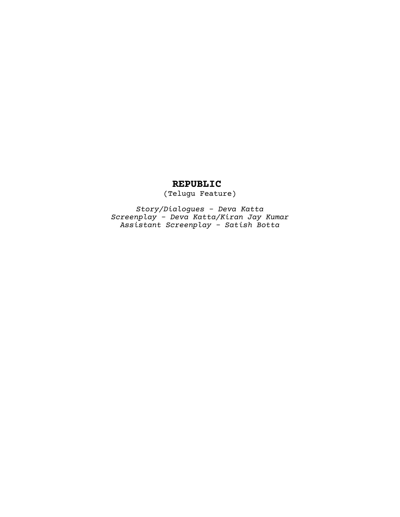### **REPUBLIC**

(Telugu Feature)

*Story/Dialogues - Deva Katta Screenplay - Deva Katta/Kiran Jay Kumar Assistant Screenplay - Satish Botta*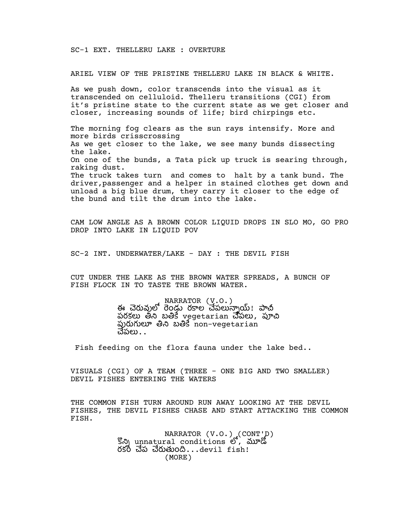SC-1 EXT. THELLERU LAKE : OVERTURE

ARIEL VIEW OF THE PRISTINE THELLERU LAKE IN BLACK & WHITE.

As we push down, color transcends into the visual as it transcended on celluloid. Thelleru transitions (CGI) from it's pristine state to the current state as we get closer and closer, increasing sounds of life; bird chirpings etc.

The morning fog clears as the sun rays intensify. More and more birds crisscrossing As we get closer to the lake, we see many bunds dissecting the lake. On one of the bunds, a Tata pick up truck is searing through, raking dust. The truck takes turn and comes to halt by a tank bund. The driver,passenger and a helper in stained clothes get down and unload a big blue drum, they carry it closer to the edge of the bund and tilt the drum into the lake.

CAM LOW ANGLE AS A BROWN COLOR LIQUID DROPS IN SLO MO, GO PRO DROP INTO LAKE IN LIQUID POV

SC-2 INT. UNDERWATER/LAKE - DAY : THE DEVIL FISH

CUT UNDER THE LAKE AS THE BROWN WATER SPREADS, A BUNCH OF FISH FLOCK IN TO TASTE THE BROWN WATER.

> NARRATOR (V.O.) ఈ చెరువులో రెండ్డు రకాల చేపలున్నాయ్! పాచ పరకలు తీని బతికే vegetarian చేపలు, పూచి పురుగులూ తిని బతికే non-vegetarian చేపలు $\ldots$

Fish feeding on the flora fauna under the lake bed..

VISUALS (CGI) OF A TEAM (THREE - ONE BIG AND TWO SMALLER) DEVIL FISHES ENTERING THE WATERS

THE COMMON FISH TURN AROUND RUN AWAY LOOKING AT THE DEVIL FISHES, THE DEVIL FISHES CHASE AND START ATTACKING THE COMMON FISH.

> NARRATOR  $(V.0.)$  (CONT'D)  $\mathbb{S}_{\mathcal{O}}$  unnatural conditions  $\mathcal{O}'$ , మూడో రకం చేప చేరుతుంది $\ldots$ devil fish! (MORE)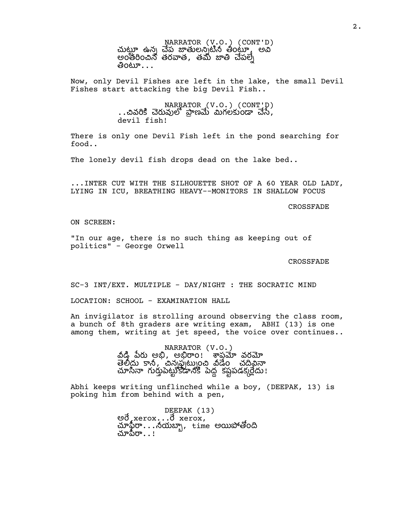NARRATOR (V.O.) (CONT'D) చుట్టూ ఉన్న చేప జాతులన్నటిన తీంట్కూ అవి అంతంన తరత, తమ ప తింటూ $\dots$ 

Now, only Devil Fishes are left in the lake, the small Devil Fishes start attacking the big Devil Fish..

> NARRATOR (V.O.) (CONT'D) ..చివరికి చెరువులో పాణమే మిగలకుండా చేసే, devil fish!

There is only one Devil Fish left in the pond searching for food..

The lonely devil fish drops dead on the lake bed..

...INTER CUT WITH THE SILHOUETTE SHOT OF A 60 YEAR OLD LADY, LYING IN ICU, BREATHING HEAVY--MONITORS IN SHALLOW FOCUS

CROSSFADE

ON SCREEN:

"In our age, there is no such thing as keeping out of politics" - George Orwell

#### CROSSFADE

SC-3 INT/EXT. MULTIPLE - DAY/NIGHT : THE SOCRATIC MIND

LOCATION: SCHOOL - EXAMINATION HALL

An invigilator is strolling around observing the class room, a bunch of 8th graders are writing exam, ABHI (13) is one among them, writing at jet speed, the voice over continues..

> NARRATOR (V.O.) వీడి పేరు అభి, అభిరాం! ` శాప్తమేా వరమో తెలిదు కానీ, చిన్నప్పట్నుంచి వీడేం చదివినా చూసినా గుర్తుపెట్టుకోడానికి పెద్ద కష్టపడకుదేదు!

Abhi keeps writing unflinched while a boy, (DEEPAK, 13) is poking him from behind with a pen,

> DEEPAK (13)<br>මට් xerox...ට් xerox, చూఫైరా...నీయబ్బా, time అయిపోతోంది చూపిరా $\ldots$ !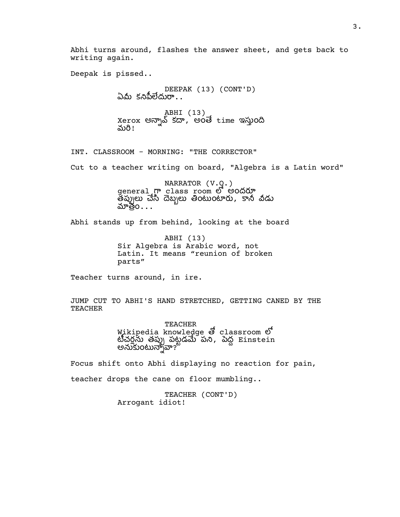Abhi turns around, flashes the answer sheet, and gets back to writing again.

Deepak is pissed..

DEEPAK (13) (CONT'D) ఏమీ కనిపీలేదురా $\ldots$ ABHI (13)<br>Xerox అన్నావ్ కదా, అంతే time ఇస్తుంది నురి!

INT. CLASSROOM - MORNING: "THE CORRECTOR" Cut to a teacher writing on board, "Algebra is a Latin word"

> NARRATOR (V.O.) general  $\sigma$  class room లో అందరూ తప్పులు చేసి దెబ్బలు తింటుంటారు, కానీ వీడు మాత్రం...

Abhi stands up from behind, looking at the board

ABHI (13) Sir Algebra is Arabic word, not Latin. It means "reunion of broken parts"

Teacher turns around, in ire.

JUMP CUT TO ABHI'S HAND STRETCHED, GETTING CANED BY THE TEACHER

> TEACHER Wikipedia knowledge & classroom  $\mathfrak S$ టీచర్లను తప్పు పట్టడమే పని, పెద్ద Einstein అనుకుంటున్నావా?

Focus shift onto Abhi displaying no reaction for pain, teacher drops the cane on floor mumbling..

> TEACHER (CONT'D) Arrogant idiot!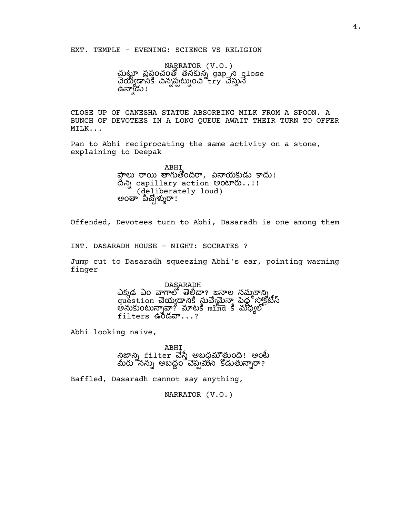EXT. TEMPLE - EVENING: SCIENCE VS RELIGION

NARRATOR (V.O.) చుట్టూ ప్రపంచంతో తనకున్న gap ని close చేయ్యడానికి చిన్నప్పట్నుంచి try చేస్తునే ఉన్నాడు!

CLOSE UP OF GANESHA STATUE ABSORBING MILK FROM A SPOON. A BUNCH OF DEVOTEES IN A LONG QUEUE AWAIT THEIR TURN TO OFFER MILK...

Pan to Abhi reciprocating the same activity on a stone, explaining to Deepak

> ABHI ప్తాలు రాయి తాగుతోందిరా, వినాయకుడు కాదు! దీని capillary action అంటారు..!! (deliberately loud) అంతా` పిచ్చోళ్ళురా!

Offended, Devotees turn to Abhi, Dasaradh is one among them

INT. DASARADH HOUSE - NIGHT: SOCRATES ?

Jump cut to Dasaradh squeezing Abhi's ear, pointing warning finger

> DASARADH ఎక్కడ ఏం వాగాలో తెల్తీదా? జనాల నమ్మకాన్ని uestion చెయ్యడానికి నువ్వేమన్యా పెద్ద సాక్షేక్టీస్ అనుకుంటున్నావా? మాటకీ mind కీ మధ్యలో  $f$ ilters ఉ $\delta$ డవా $\ldots$ ?

Abhi looking naive,

ABHI నిజాన్ని filter చేస్తే అబధమౌతుంది! అంటే మీరు నన్ను అబద్ధం చెప్పమని కొడుతున్నారా?

Baffled, Dasaradh cannot say anything,

NARRATOR (V.O.)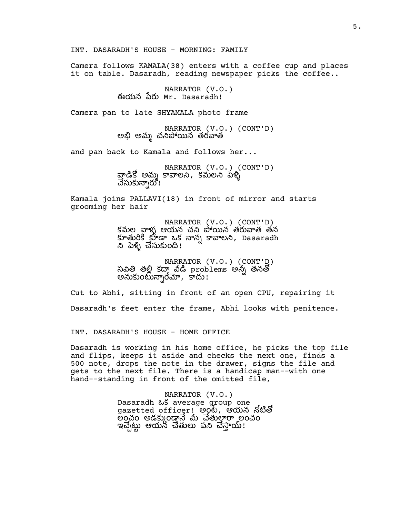INT. DASARADH'S HOUSE - MORNING: FAMILY

Camera follows KAMALA(38) enters with a coffee cup and places it on table. Dasaradh, reading newspaper picks the coffee..

> NARRATOR (V.O.) ఈయన Mr. Dasaradh!

Camera pan to late SHYAMALA photo frame

NARRATOR (V.O.) (CONT'D) అభి అమ్మ చనిపోయిన తరవాత

and pan back to Kamala and follows her...

NARRATOR (V.O.) (CONT'D) వాడికో అమ్మ కావాలని, కమలని పేళ్ళి చేసుకున్నారు !

Kamala joins PALLAVI(18) in front of mirror and starts grooming her hair

> NARRATOR (V.O.) (CONT'D) కమల వాళ్ళ ఆయన చని పోయిన తరువాత తన కూతురికి కూడా ఒక నాన్న కావాలని, Dasaradh ని పెళ్ళి చేసుకుంది!

NARRATOR (V.O.) (CONT'D)<br>సవితి తల్లి కదాౖవీడి problems అన్నీ తనతో అనుకుంటున్నారేమో, కాదు!

Cut to Abhi, sitting in front of an open CPU, repairing it

Dasaradh's feet enter the frame, Abhi looks with penitence.

INT. DASARADH'S HOUSE - HOME OFFICE

Dasaradh is working in his home office, he picks the top file and flips, keeps it aside and checks the next one, finds a 500 note, drops the note in the drawer, signs the file and gets to the next file. There is a handicap man--with one hand--standing in front of the omitted file,

> NARRATOR (V.O.) Dasaradh ఒక average group one gazetted officer! అంటే, ఆయన నోటితో లంచం అడక్కుండ్తానే మీ చేతులారా లంచం ఇచ్చేట్టు ఆయన చేతులు పని చేస్తాయ్!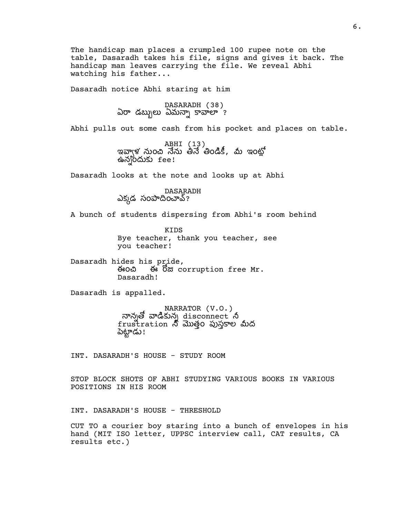The handicap man places a crumpled 100 rupee note on the table, Dasaradh takes his file, signs and gives it back. The handicap man leaves carrying the file. We reveal Abhi watching his father...

Dasaradh notice Abhi staring at him

DASARADH (38) ఏరా డబ్బులు ఏమన్నా కావాలా ?

Abhi pulls out some cash from his pocket and places on table.

ABHI (13)<br>ఇవ్వాళ నుంచి నేను తినే తిండికీ, మీ ఇంట్లో ఉన్నందుకు  $fee!$ 

Dasaradh looks at the note and looks up at Abhi

DASARADH ఎక్కడ సంపాదించావ్?

A bunch of students dispersing from Abhi's room behind

KIDS Bye teacher, thank you teacher, see you teacher!

Dasaradh hides his pride,<br>ఈంచి ఈ రోజు corruption free Mr. Dasaradh!

Dasaradh is appalled.

NARRATOR (V.O.) నాన్నతో వాడికున్న  $\operatorname{\mathbf{disconnect}}\nolimits'$  నీ frustration నీ మొత్తం పుస్తకాల మీద .<br>పెట్టాడు !

INT. DASARADH'S HOUSE - STUDY ROOM

STOP BLOCK SHOTS OF ABHI STUDYING VARIOUS BOOKS IN VARIOUS POSITIONS IN HIS ROOM

INT. DASARADH'S HOUSE - THRESHOLD

CUT TO a courier boy staring into a bunch of envelopes in his hand (MIT ISO letter, UPPSC interview call, CAT results, CA results etc.)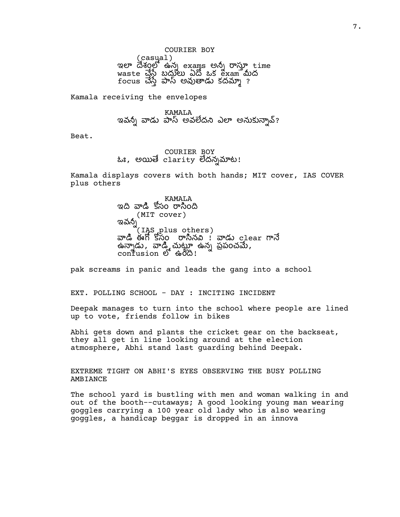COURIER BOY (casual)<br>ఇలా దేశంలో ఉన్న exams అన్నీ రాస్తూ time waste చేసే బదులు ఏదో ఒక exam మీద focus చేస్తే పాస్ అవుతాడు కదమ్మా ?

Kamala receiving the envelopes

KAMALA ఇవన్నీ వాడు పాస్ అవలేదని ఎలా అనుకున్నావ్?

Beat.

### COURIER BOY ఓః, అయితే clarity లేదన్నమాట!

Kamala displays covers with both hands; MIT cover, IAS COVER plus others

> KAMALA ఇది వాడి కోసం రాసింది (MIT cover) ఇవన్నీ (IAS plus others) వాడి ఈగో కోసం రాసినవి ! వాడు c1ear గానే  $\vec{a}$ న్నాడు, వాడి చుట్టూ ఉన్న ప్రపంచమే,  $\overline{\text{confusion}}$   $\mathfrak{G}$   $\oplus$   $\mathfrak{G}$  :

pak screams in panic and leads the gang into a school

EXT. POLLING SCHOOL - DAY : INCITING INCIDENT

Deepak manages to turn into the school where people are lined up to vote, friends follow in bikes

Abhi gets down and plants the cricket gear on the backseat, they all get in line looking around at the election atmosphere, Abhi stand last guarding behind Deepak.

EXTREME TIGHT ON ABHI'S EYES OBSERVING THE BUSY POLLING AMBIANCE

The school yard is bustling with men and woman walking in and out of the booth--cutaways; A good looking young man wearing goggles carrying a 100 year old lady who is also wearing goggles, a handicap beggar is dropped in an innova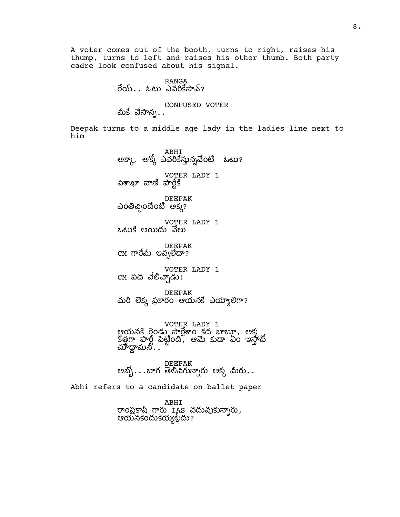A voter comes out of the booth, turns to right, raises his thump, turns to left and raises his other thumb. Both party cadre look confused about his signal.

### RANGA  $\overline{0}$ య్.. ఓటు ఎవరికేసావ్?

CONFUSED VOTER మీకే వేసాన $\ldots$ 

Deepak turns to a middle age lady in the ladies line next to him

> ABHI<br>అక్కా, అక్కో ఎవరికేస్తున్నవేంటి ఓటు? VOTER LADY 1 విశాఖా వాణి పార్**కి** DEEPAK ఎంతిచ్చిందేంటి అక్క? VOTER LADY 1 ఓటుకి అయిదు వేలు DEEPAK CM గారేమీ ఇవ్వలేదా? VOTER LADY 1 CM పది వేలిచ్చాడు! DEEPAK మరి లెక్క ప్రకారం ఆయనకే ఎయ్యాలిగా?

VOTER LADY 1 ఆయనకి రెండు సార్జేశాం కద బాబూ, అక్క కొత్తగా పార్టీ పెట్టింది, ఆమె కుడా ఏం ఇన్హాదీ  $\vec{\Delta}$ ూడ్డామనీ $\ldots$ 

DEEPAK అబ్బో $\ldots$ బాగ తెలివిగున్నారు అక్క మీరు $\ldots$ 

Abhi refers to a candidate on ballet paper

ABHI రాంప్రకాష్ గారు IAS చదువుకున్నారు, ఆయనకెందుకెయ్యట్లేదు?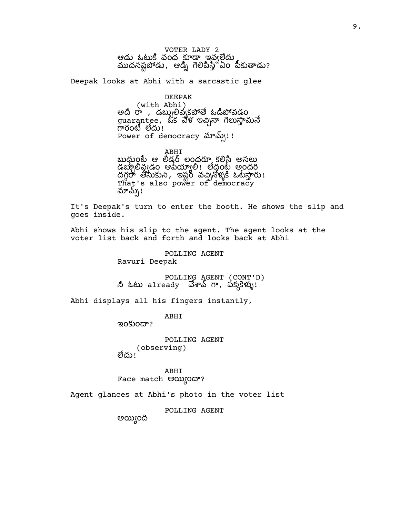VOTER LADY 2 ఆడు ఓటుకి వంద కూడా ఇవఁలేదు ముదనష్టపాడు, ఆడ్నీ గెలిపిస్తే ఏం పీకుతాడు?

Deepak looks at Abhi with a sarcastic glee

### DEEPAK

(with Abhi) అది రా , డబ్బులివ్వకపోతే ఓడిపోవడం guarantee, ఒక వేళ ఇచ్చినా గెలుస్తామనే గారంటి లేదు! Power of democracy  $\Delta v \Delta$ )!!

ABHI బుధుంటే ఆ లీడర్ లందరూ కలిసి అసలు డబ్బాలివ్వడం ఆపేయ్యాలి! లేదంటే అందరి దగ్గరా తీసుకుని, ఇష్టం వచ్చినోళ్ళకి ఓటేస్తారు! That's also power of democracy మామ్స్!

It's Deepak's turn to enter the booth. He shows the slip and goes inside.

Abhi shows his slip to the agent. The agent looks at the voter list back and forth and looks back at Abhi

POLLING AGENT

Ravuri Deepak

POLLING AGENT (CONT'D) నీ ఓటు a $1$ ready  $\vec{\omega}$ శావ్ గా, పక్కకెళ్ళు!

Abhi displays all his fingers instantly,

ABHI

ఇంకుందా?

POLLING AGENT (observing) లేదు!

ABHI Face match అయ్యిందా?

Agent glances at Abhi's photo in the voter list

POLLING AGENT

అయిఁంద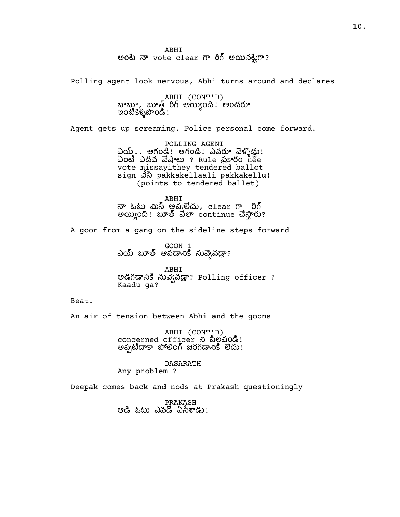ABHI అంటే నా vote clear గా రిగ్ అయినట్టేగా?

Polling agent look nervous, Abhi turns around and declares

ABHI (CONT'D) బాబూ, బూత్ రిగ్ అయ్యింది! అందరూ ఇంటికెళ్ళిపొండి !

Agent gets up screaming, Police personal come forward.

POLLING AGENT ప్రియ్. . ఆగండ్ ! ఆగండ్ ! ఎవరూ వెళ్ళిద్దు! ఏంటి ఎదవ వేషాలు ? Rule ప్రకారం <del>గ</del>ీంe vote missayithey tendered ballot sign ຜ່ຳ pakkakellaali pakkakellu! (points to tendered ballet)

ABHI నా ఓటు మిస్ అవ్వలేదు,clear గా ైరిగ్ అయ్యింది! బూత్ విలా continue చేస్తారు?

A goon from a gang on the sideline steps forward

GOON 1 ఎయ్ బూత్ ఆపడానికి నువెఁవడ్డా?

ABHI అడగడానికి నువె(వడ్రా? Polling officer ? Kaadu ga?

Beat.

An air of tension between Abhi and the goons

ABHI (CONT'D) concerned officer ని పిల్లవండి! అప్పటిదాకా పోలింగ్ జరగడానికి లేదు!

DASARATH Any problem ?

Deepak comes back and nods at Prakash questioningly

PRAKASH ఆడి ఓటు ఎవడో ఏసేశాడు!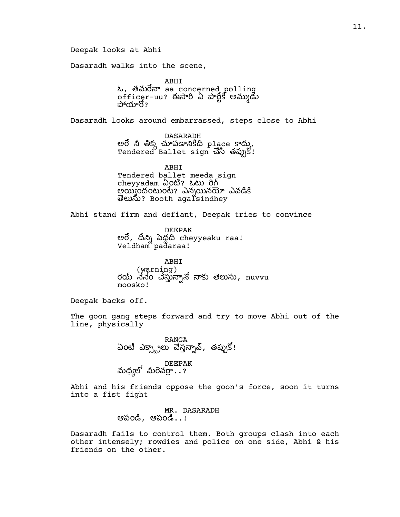Deepak looks at Abhi

Dasaradh walks into the scene,

ABHI  $\omega$ , తమరేనా aa concerned polling officer-uu? ఈసారి ఏ పార్టీకి అమ్ముడు పోయారో?

Dasaradh looks around embarrassed, steps close to Abhi

DASARADH అరే నీ తిక్క చూపడానికిది p1ace కాద్ను,  $\mathop{\mathsf{Tendered}}\limits^G$  Ballet  $\mathop{\mathsf{sign}}\limits^G \vec{\mathfrak{d}}$   $\widetilde{\mathfrak{d}}$   $\widetilde{\mathfrak{d}}$   $\widetilde{\mathfrak{d}}$   $\widetilde{\mathfrak{d}}$   $\widetilde{\mathfrak{d}}$   $\widetilde{\mathfrak{d}}$   $\widetilde{\mathfrak{d}}$   $\widetilde{\mathfrak{d}}$   $\widetilde{\mathfrak{d}}$  :

ABHI Tendered ballet meeda\_sign cheyyadam ఏoటి? ఓటు రిగ్ అయ్యందంటుంటే? ఎన్నయినయో ఎవడికి ? Booth agalsindhey

Abhi stand firm and defiant, Deepak tries to convince

DEEPAK అరే, దీన్ని పెద్దది cheyyeaku raa! Veldham`pad̃araa!

ABHI (warning)<br>రెయ్ నేనేం చేస్తున్నానో నాకు తెలుసు, nuvvu moosko!

Deepak backs off.

The goon gang steps forward and try to move Abhi out of the line, physically

RANGA<br>ఏంటి ఎక్స్ట్రాలు చేస్తన్నావ్, తప్పుకో!

DEEPAK<br>మధ్యలో మీరెవర్రా $\ldots$ ?

Abhi and his friends oppose the goon's force, soon it turns into a fist fight

> MR. DASARADH ఆపండి, ఆపండి..!

Dasaradh fails to control them. Both groups clash into each other intensely; rowdies and police on one side, Abhi & his friends on the other.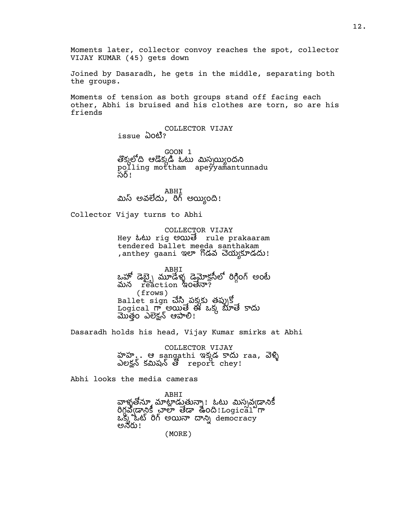Moments later, collector convoy reaches the spot, collector VIJAY KUMAR (45) gets down

Joined by Dasaradh, he gets in the middle, separating both the groups.

Moments of tension as both groups stand off facing each other, Abhi is bruised and his clothes are torn, so are his friends

> COLLECTOR VIJAY issue ఏoటి?

GOON 1 తొక్కలోది ఆడొక్కడి ఒటు మిస్సయ్యిందని polling mottham apeyyamantunnadu సర్!

ABHI మిస్ అవలేదు, రిగ్ అయ్యింది!

Collector Vijay turns to Abhi

COLLECTOR VIJAY Hey ಓಟು rig అయిම rule prakaaram tendered ballet meeda santhakam ,anthey gaani ఇలా గోడవ చెయ్యకూడదు!

ABHI ఒహో డెబె ృ మూడేళ్ళ డెమోకసీలో రిగింగ్ అంటే మన reaction ఇంతేనా? (frows) Ballet  $\mathop{\mathrm{sign}}$  చేసి పక్కకు తప్పుకో  $\frac{1}{2}$  Logical గ్రాం $\frac{1}{2}$  అయితే ఈ ఒక్క బూతే కాదు తం ఎక ఆ!

Dasaradh holds his head, Vijay Kumar smirks at Abhi

COLLECTOR VIJAY హహ.. ఆ sangathi ఇక్కడ కాదు raa, వెళ్ళి deg savad of report chey!

Abhi looks the media cameras

ABHI

వాళ్ళతోన్కూ మాట్లాడుతున్నా! ఓటు మిస్సవ్వడానికీ dyste as we dee to hundred m  $\alpha$ క్క<sup>ు</sup>ఒట్ రిగ్ అయినా దాన్ని democracy అనరు!

(MORE)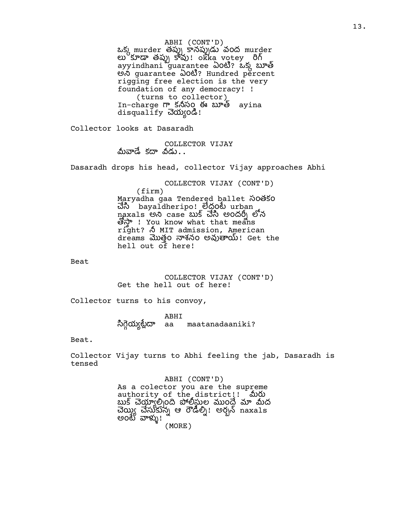ABHI (CONT'D) ఒక్క murder తప్పు కానప్పుడు వంద murder లు $^6$ కూడా తప్పు కావు!ంkka votey రిగ్ ayyindhani guarantee ఏoటీ? ఒక్క బూత్ මා guarantee ఏoහී? Hundred percent rigging free election is the very foundation of any democracy! ! (turns to collector) In-charge కసం ఈ ayina disqualify చెయ్యండి!

Collector looks at Dasaradh

COLLECTOR VIJAY మీవాడే కదా వీడు $\ldots$ 

Dasaradh drops his head, collector Vijay approaches Abhi

COLLECTOR VIJAY (CONT'D)

(firm) Maryadha gaa Tendered ballet సంతకం చేసి bayaldheripo! లేద్దంటే urban naxals అని case బుక్ చేసి అందర్ని లోన ! You know what that means right? MIT admission, American dreams మొత్తం నాశనం అవుతాయి! Get the hell out of here!

Beat

COLLECTOR VIJAY (CONT'D) Get the hell out of here!

Collector turns to his convoy,

ABHI య aa maatanadaaniki?

Beat.

Collector Vijay turns to Abhi feeling the jab, Dasaradh is tensed

> ABHI (CONT'D) As a colector you are the supreme authority of the district!! మీరు బుక్ చెయ్తూలి<sub>)</sub>oది పోలీస్తుల ముంద్రే మా మీద చెయ్యి చేసుకున్న ఆ రౌడీల్ని! అర్బన్ naxa1s అంటే వాళ్ళు! (MORE)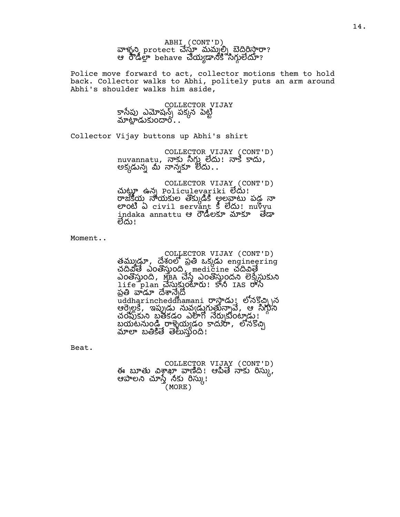ABHI (CONT'D) వాళ్ళని, protect చేస్తూ మమ్మల్ని బెదిరిస్తారా? ఆ రోడీల్లా behave చేయ్యడానికి సిగ్గులేదూ?

Police move forward to act, collector motions them to hold back. Collector walks to Abhi, politely puts an arm around Abhi's shoulder walks him aside,

> COLLECTOR VIJAY కాసేపు ఎమోషన్స్ పక్కన పెట్టి<br>మాట్లాడుకుందారి .

Collector Vijay buttons up Abhi's shirt

COLLECTOR VIJAY (CONT'D) nuvannatu, నాకు సిగ్గు లేదు! నాకే కాదు, అక్కడున్న మీ నాన్నకూ లేదు $\ldots$ 

COLLECTOR VIJAY (CONT'D) చుట్టూ ఉన్న Policulevariki లేదు! రాజకీయ నాయకుల తొక్కుడికి అలవాటు పడ నా ලා හි බි civil servant 5 විකා! nuvyu indaka annattu ఆ ల లేదు!

Moment..

COLLECTOR VIJAY (CONT'D) తమ్ముడ్తూ, దేశంలో ప్రతి ఒక్కడు engineering చదివైతే ఎంతోస్తుంది, medicine చదివితే ఎంతొస్తుంది, MEA చేస్తే ఎంతొస్తుందని లెక్కేస్తుకుని life plan చెసుకుంటారు! కానీ IAS రాస్ ప్రతి వాడూ దేశాన్నేదో uddharincheddhamani రాస్తాడు! లోనకోచి న ఆల, ఇ వ, ఆ చంపుకుని బ్రతీకడం ఎలాగో నేర్చుకుంట్కడు.! బయటనుండి రాళ్ళెయ్యడం కాదురా, లోనకొచ్చి<br>మాలా బతికితే తెలుస్తుంది!

Beat.

COLLECTOR VIJAY (CONT'D) ఈ బూతు విశ్రాఖా వాణిది! ఆపితే నాకు రిస్కు, ఆపాలని చూస్తే నీకు రిస్కు! (MORE)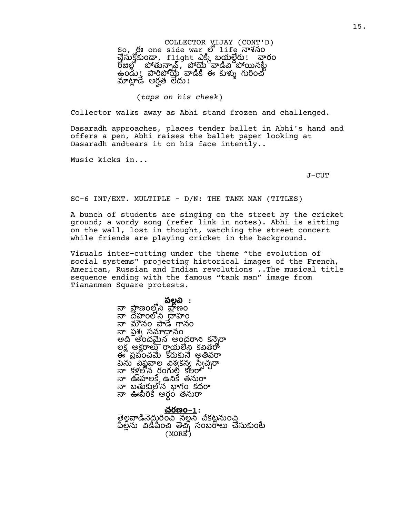COLLECTOR VIJAY (CONT'D) So, ఈ one side war లో life నాశనం  $\vec{B}$ လ်န်န်) တွေ flight  $\lambda_{\mathcal{S}}$  ဆိုလ်ခွဲတွေ ဆိုလ် రోజుల్లో పోతున్నావ్, పోయై వాడీవి పోయినట్టే ఉండు! పారిపోయే వాడికి ఈ కుళ్ళు గురించో మాట్లాడే అర్హత లేదు!

#### (*taps on his cheek*)

Collector walks away as Abhi stand frozen and challenged.

Dasaradh approaches, places tender ballet in Abhi's hand and offers a pen, Abhi raises the ballet paper looking at Dasaradh andtears it on his face intently..

Music kicks in...

J-CUT

SC-6 INT/EXT. MULTIPLE - D/N: THE TANK MAN (TITLES)

A bunch of students are singing on the street by the cricket ground; a wordy song (refer link in notes). Abhi is sitting on the wall, lost in thought, watching the street concert while friends are playing cricket in the background.

Visuals inter-cutting under the theme "the evolution of social systems" projecting historical images of the French, American, Russian and Indian revolutions ..The musical title sequence ending with the famous "tank man" image from Tiananmen Square protests.

> <u> పల్లవి</u> : నా ప్రాణంలోని హైణం నా దేహంలోని ద్రాహం నా మౌనం పాడే గానం నా ప్రశ్న సమాధానం అది అందమైన అంద్దరాని కన్నెరా లక్ష అక్షరాలు రాయలేని కవితరా ఈ ప్రపంచమే కోరుకునే అతివరా పెను విష్ణవాల విశ్వకన్న స్వేచ్చరా నా కళ్లలోన రంగుల్తి కలరా నా ఊహలకే ఉనికే తనురా నా బతుకులోన బాగం కదరా ...<br>నా ఊపిరికే అరం తనురా

<u>చరణం–1</u>: తెల్లవాడినెదురించి నల్లని చీకట్లనుంచి పిల్లను విడిపించి తెచ్చి సంబరాలు చేసుకుంటే (MORE)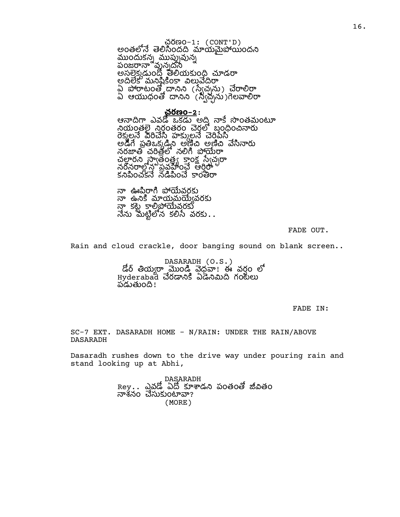చరణం–1: (CONT'D) అంతలోనే తెలిసిందది మాయమైపోయిందని ముందుకన్న ముప్పువున్న పంజరానా వునుదని అసలెక్కడుందో తెలియకుంది చూడరా అదిలేక మనిషికింకా విలువేద్రిరా ఏ పోరాటంతో దానిని (స్వేచ్చను) చేరాలిర్గా ఏ ఆయుధంతో దానిని (స్వేచ్చను)గెలవాలిరా

# చరణం**–2**:

ఆనాదిగా ఎవడో ఒకడు అది నాకే సొంతమంటూ నియంతలె నిరంతరం చెరలో బందించినారు రెక్మలనే వీరిచేసి హక్కులనే చెరిపేసి అడిగే పతిఒక డిని అణిచి అణిచి వేసినారు నరజాతి చరితలో నలిగి పోయేరా సీతాం సాతంత్ర కాంక సీచురా నరీనరాలోన<sup>వ్వవ</sup>న పీలించే అంతో కనిపించకనే నడిపించే కాంతీరా

నా ఊపిరాగి పోయేవరకు నా ఉనికి మాయమయ్యేవరకు ...<br>నా కట కాలిపోయేవరకు  $\vec{a}$ ను మట్టిలోన కలిసే వరకు $\ldots$ 

FADE OUT.

Rain and cloud crackle, door banging sound on blank screen..

DASARADH (O.S.) డోర్ తియ్యరా\_మొండీ వేద్దవా! ఈ వర్షం లో Hyderabad చేరడానికి ఏడేనిమిది గంటలు పడుతుంది!

FADE IN:

SC-7 EXT. DASARADH HOME - N/RAIN: UNDER THE RAIN/ABOVE DASARADH

Dasaradh rushes down to the drive way under pouring rain and stand looking up at Abhi,

> DASARADH Rey . . ఎవడో ఏదో కూశాడని పంతంతో జీవితం నాశనం చెసుకుంటావా? (MORE)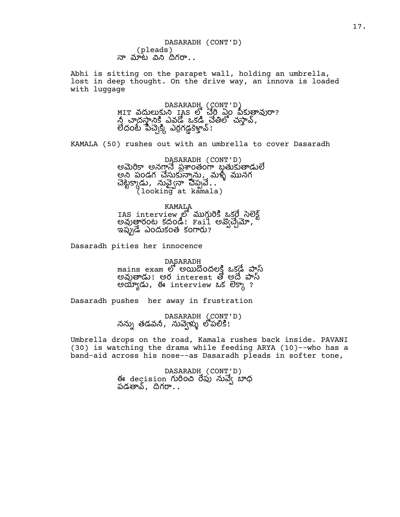DASARADH (CONT'D) (pleads)  $\overline{p}$  నూట విని దిగరా..

Abhi is sitting on the parapet wall, holding an umbrella, lost in deep thought. On the drive way, an innova is loaded with luggage

> DASARADH (CONT'D) MIT వదులుకుని IAS లో చేరి ఏం పీకుతావురా? ద ఎవ ఒక చ, లేదంటే పీచ్చెక్కి ఎర్రగడ్డకెళ్లావ్!

KAMALA (50) rushes out with an umbrella to cover Dasaradh

DASARADH (CONT'D) అమెరికా అనగానే ప్రశాంతంగా బ్రతుకుతాడులే అని పండగ చేసుకున్నాను, మళ్ళీ మునగ చెట్టేక్కాడు, నువ్వైనా చిప్పవే... (looking at kamala)

KAMALA IAS interview లో ముగ్గురికి ఒకరే సెలెక్ట్ అవుత్తారంట కదండి! Fail అవ్వచ్చేమో, ఇప్పుడే ఎందుకంత కంగారు?

Dasaradh pities her innocence

DASARADH mains exam లో అయిదొందలక్షి ఒకడే పాస్ అవుతాడు! అర interest తో అదే పాస్ అయ్యాడు, ఈ interview ఒక లెక్కా?

Dasaradh pushes her away in frustration

DASARADH (CONT'D) నన్ను తడవనీ, నువ్వెళ్ళు లోపలికి!

Umbrella drops on the road, Kamala rushes back inside. PAVANI (30) is watching the drama while feeding ARYA (10)--who has a band-aid across his nose--as Dasaradh pleads in softer tone,

> DASARADH (CONT'D) ఈ decision గురించి రేపు నువె $\chi$  బాధ పడతావ్, దిగరా $\ldots$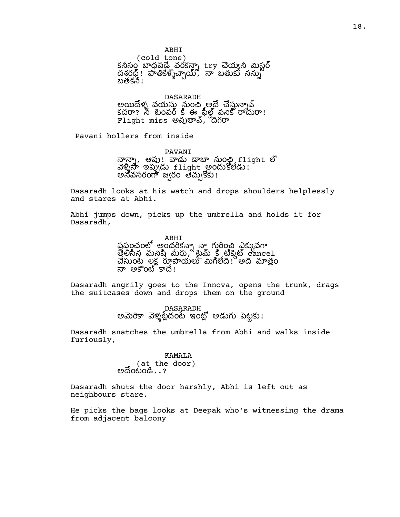ABHI (cold tone) కనీసం బాధపడ్డేవరకన్నా try చెయ్యనీ మిస్టర్ దశరధ్ $\,$ : పాతికేళ్ళొచ్చాయ్, నా బతుకు నన్ను బతకనీ!

DASARADH అయిదేళ్ళ వయసు నుంచి అదే చేసున్నావ్ కదరా? నీ టెంపర్ కి ఈ ఫీల్డ్ పనికి రాదురా!  ${\tt Flight}$  miss అవుతావ్, దిగరా

Pavani hollers from inside

PAVANI నాన్నా, ఆపు! వాడు డాబా నుంఛి flight లో వెళ్ళినా ఇప్పుడు flight అందుకొలేడు! అనవసరంగా జ్వరం తేచ్చుకోకు!

Dasaradh looks at his watch and drops shoulders helplessly and stares at Abhi.

Abhi jumps down, picks up the umbrella and holds it for Dasaradh,

> ABHI పపంచంలో అందరికనా\ నా గురించి ఎకుువగా త్రలిసిన మనిషి మీరు, బ్రీమ్ క్రి టిక్కెట్ cancel చేసుంటే లక్ష రూపాయలు మిగిలేది! అది మాత్రం నా అకౌంటో కాదే!

Dasaradh angrily goes to the Innova, opens the trunk, drags the suitcases down and drops them on the ground

DASARADH<br>అమెరికా వెళ్ళట్లేదంటే ఇంట్లో అడుగు పెట్టకు!

Dasaradh snatches the umbrella from Abhi and walks inside furiously,

> KAMALA (at the door) అదేంటండి. . ?

Dasaradh shuts the door harshly, Abhi is left out as neighbours stare.

He picks the bags looks at Deepak who's witnessing the drama from adjacent balcony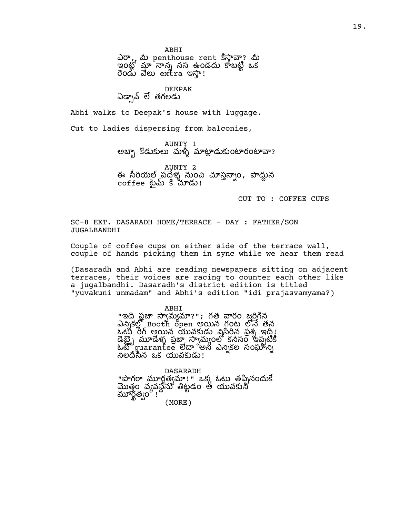ABHI

ఎరా, మీ penthouse rent కిస్తావా? మీ ...<br>ఇంటో మా నాన్న నస ఉండదు కాబటి ఒక రెండు వేలు  $ex$ tra ఇస్తా!

### DEEPAK

ఏడ్నావ్ లే తగలడు

Abhi walks to Deepak's house with luggage.

Cut to ladies dispersing from balconies,

AUNTY 1 అబ్బా కొడుకులు మళ్ళీ మాట్లాడుకుంటారంటావా?

AUNTY 2 ఈ సీరియల్ పద్దేళ్ళ నుంచి చూస్తన్నాం, పొద్దున coffee టైమ్ కి చూడు!

CUT TO : COFFEE CUPS

SC-8 EXT. DASARADH HOME/TERRACE - DAY : FATHER/SON JUGALBANDHI

Couple of coffee cups on either side of the terrace wall, couple of hands picking them in sync while we hear them read

(Dasaradh and Abhi are reading newspapers sitting on adjacent terraces, their voices are racing to counter each other like a jugalbandhi. Dasaradh's district edition is titled "yuvakuni unmadam" and Abhi's edition "idi prajasvamyama?)

ABHI

"ఇది ఫ్లైజా స్వామ్యమా?"; గత వారం జరిగిన ఎన్నికల్లో Booth open అయిన గంట లోనే తన ఒట్టు రీగ్ అయిన యువకుడు విసిరిన ప్రశ్న ఇది! డేబ్ మూడేళ్లు పజా సామంలో కనీసం ఇప్పటికి  $\delta \mathbb{E}^2$ guarantee లేదా అని ఎన్నికల సంఘాన్ని  $\sim$ లదీసిన ఒక యువకుడు!

DASARADH "పొగరా మూర్ఖత్వమా!" ఒక్క ఓటు తప్పినందుకే మొతం వసనీసు తిటడం ఆ యువకుని మూర్ఖత్వం ! ' (MORE)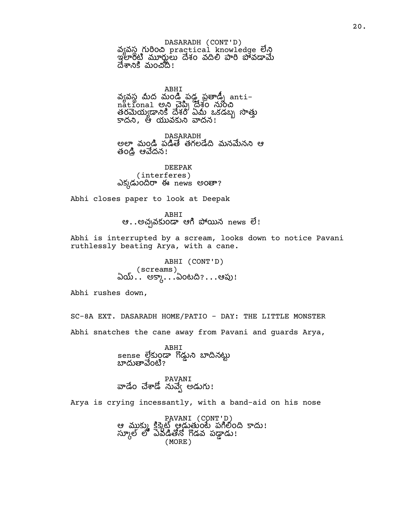DASARADH (CONT'D) သို့လဲလို့ လပ်ဝဲဆို practical knowledge లేని ఇం శం వ వ దేశానికి మంచిది!

ABHI వ్యవస్థ మీద మండి పడ్డ ప్రతాడ్ని antinational అని చెప్పి దేశం నుంచి తరయ శం ఏ ఒకడబ కాదని, ఆ యువకుని వాదన!

DASARADH అలా మండి పడితే తగలడేది మనమేనని ఆ తండ్రి ఆవేదన!

DEEPAK (interferes) ఎక్కడుందిరా ఈ news అంతా?

Abhi closes paper to look at Deepak

ABHI ఆ $\ldots$ అచ్చవకుండా ఆగి పోయిన news లే!

Abhi is interrupted by a scream, looks down to notice Pavani ruthlessly beating Arya, with a cane.

> ABHI (CONT'D) (screams) ఏయ్.`. అక్కా...ఏంటది?...ఆపు!

Abhi rushes down,

SC-8A EXT. DASARADH HOME/PATIO - DAY: THE LITTLE MONSTER Abhi snatches the cane away from Pavani and guards Arya,

> ABHI sense లేకుండా గొడ్డుని బాదినట్టు బాదుతావేంటి?

PAVANI వాడేం చేశాడో నువ్వే అడుగు!

Arya is crying incessantly, with a band-aid on his nose

PAVANI (CONT'D) ఆ ముక్కు క్రిక్కెట్ ఆడుతుంటే పగిలింది కాదు! స్కూల్ లో ఎవడితోనో గొడవ పడ్డాడు! (MORE)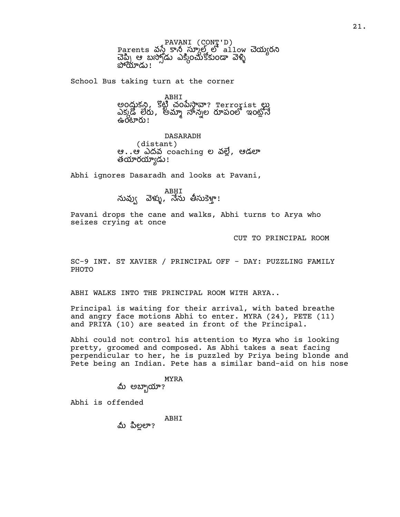PAVANI (CONT'D) Parents వస్తే కానీ స్కూల్ లో allow చెయ్యరని చెప్పి ఆ బస్సోడు ఎక్కించుకోకుండా వెళ్ళి<br>పోయాడు!

School Bus taking turn at the corner

ABHI అంద్రుకని, కొట్టి చంపేస్తావా? Terrorist లు ఎక్కడో లేరు, అమ్మా చాన్నల రూపంలో ఇంట్లోనే ക്ക്ക്ര $\mu$ !

DASARADH (distant) ఆ $\dots$ ఆ ఎదవ coaching ల వల్లే, ఆడలా తయారయ్యాడు!

Abhi ignores Dasaradh and looks at Pavani,

మవ్వు ABHI<br>నువ్వు వెళ్ళు, నేను తీసుకెళ్తా!

Pavani drops the cane and walks, Abhi turns to Arya who seizes crying at once

CUT TO PRINCIPAL ROOM

SC-9 INT. ST XAVIER / PRINCIPAL OFF - DAY: PUZZLING FAMILY PHOTO

ABHI WALKS INTO THE PRINCIPAL ROOM WITH ARYA..

Principal is waiting for their arrival, with bated breathe and angry face motions Abhi to enter. MYRA (24), PETE (11) and PRIYA (10) are seated in front of the Principal.

Abhi could not control his attention to Myra who is looking pretty, groomed and composed. As Abhi takes a seat facing perpendicular to her, he is puzzled by Priya being blonde and Pete being an Indian. Pete has a similar band-aid on his nose

> MYRA మీ అబ్బాయా?

Abhi is offended

ABHI

మీ పిలలా?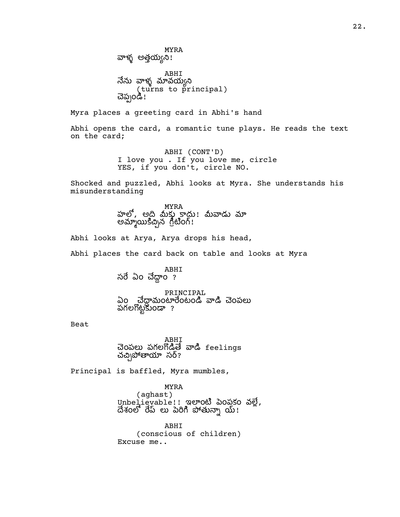MYRA వాళ్ళ అత్తయ్యని! ABHI నేను వాళ్ళ మావయ్యని (turns to principal) చెప్పండి!

Myra places a greeting card in Abhi's hand

Abhi opens the card, a romantic tune plays. He reads the text on the card;

> ABHI (CONT'D) I love you . If you love me, circle YES, if you don't, circle NO.

Shocked and puzzled, Abhi looks at Myra. She understands his misunderstanding

> MYRA హలో, అది మీకు కాదు! మీవాడు మా అమ్మాయికిచ్చిన గ్రీటింగ్!

Abhi looks at Arya, Arya drops his head,

Abhi places the card back on table and looks at Myra

ABHI సరే ఏం చేద్దాం ?

PRINCIPAL ఏం చేదామంటారేంటండి వాడి చెంపలు పగలగొట్టకుండా ?

Beat

ABHI చెంపలు పగలగొడితే వాడి feelings చచ్చిపోతాయా సర్?

Principal is baffled, Myra mumbles,

MYRA (aghast)

Unbelievable!! ఇలాంటి పెంపకం వల్లే, దేశంలో రేప్ లు పెరిగి పోతున్నా య్!

ABHI (conscious of children) Excuse me..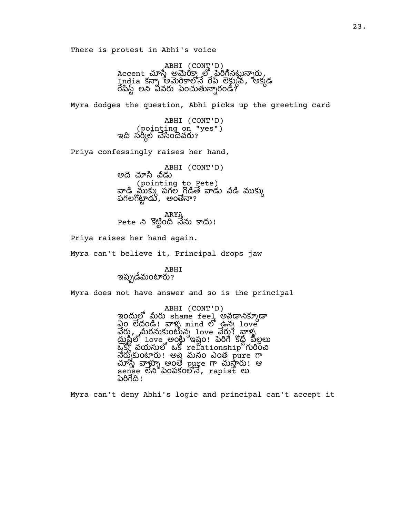There is protest in Abhi's voice

ABHI (CONT'D)<br>Accent చూస్తే అమెరిక్తా లో పైరిగినట్టున్నారు, India కన్నా అమెరికాలోనే రేప్ లెక్ట్కువ, అక్కడ  $\overline{d}$ పిస్ట్ లని వివరు పెంచుతున్నారండి?

Myra dodges the question, Abhi picks up the greeting card

ABHI (CONT'D) (pointing on "yes") ఇది సర్కీల్ చేసిందెవరు?

Priya confessingly raises her hand,

ABHI (CONT'D) అది చూసి వీడు (pointing to Pete) వాడి ముకు) పగల గొడితే వాడు విడి ముకు) పగలగొట్టాడు, అంతేనా?

ARYA Pete ని కొట్టింది నేను కాదు!

Priya raises her hand again.

Myra can't believe it, Principal drops jaw

ABHI ఇప్పుడేమంటారు?

Myra does not have answer and so is the principal

ABHI (CONT'D) ఇందులో మీరు shame feel అవడానిక్కూడా  $\Delta$ o లేదండి! వాళ్ళ mind లో ఉన్న love వేరు, మీరనుకుంటీన్న 1ంve వేరు! వాళ్ళ<br>ద్రుష్టిలో 1ంve అంర్హే ఇష్టం! పెరిగే కొద్దీ పీల్లలు  $\mathbb{Z}_2^{\mathbb{Z}}$  వయసులో ఒక relationship గురించి నేర్చుకుంటారు! అవి మనం ఎంత pure గా  $\omega$ ్యుత్ రాళ్ళు అంతే pure గా చుస్తారు! ఆ  $\vec{s}$ ense లేని పెంపకంలోనే, rapist లు ಪಿರಿಗೆದಿ!

Myra can't deny Abhi's logic and principal can't accept it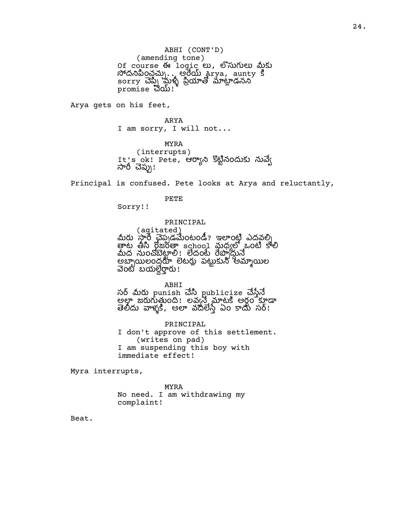ABHI (CONT'D) (amending tone) Of course ఈ logic හ, ඒ බාහන ණිහ  $\alpha$ దనిపించచ్చు $\ldots$  అరేయ్ Arya, aunty క sorry మ డన promise  $30$ .

Arya gets on his feet,

ARYA I am sorry, I will not...

MYRA (interrupts) It's ok! Pete, ఆర్యాని కొట్టినందుకు నువ్వే<br>సారీ చెప్పు!

Principal is confused. Pete looks at Arya and reluctantly,

PETE

Sorry!!

#### PRINCIPAL

( agitated)<br>మీరు సారీ చెప్పడమేంటండీ? ఇలాంటి ఎదవల్ని<br>తాట తీసి ర్గోజంతా school మధ్యల ఒంటి కాలి మీద నుంచోబెట్టాలి! లేదంటే రేప్పాద్దునే అలంద ట ప అల వెంటి బయల్దేర్తారు!

ABHI

సర్ మీరు punish చేసి publicize చేస్తేనే అల్లా జరుగుతుంది! అవ్వే మాటకీ అర్ధం కూడా తెలీదు వాళ్ళకి, అలా వదలేస్తే ఏం కాదు సర్!

PRINCIPAL I don't approve of this settlement. (writes on pad) I am suspending this boy with immediate effect!

Myra interrupts,

MYRA No need. I am withdrawing my complaint!

Beat.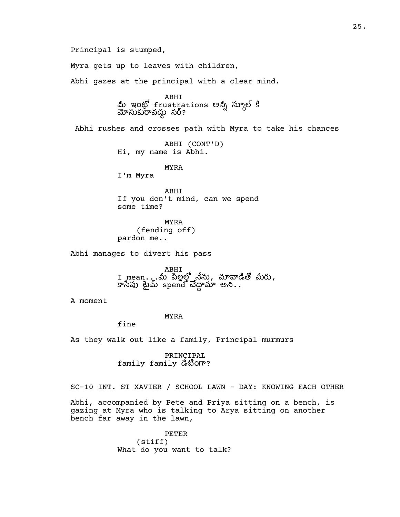Principal is stumped,

Myra gets up to leaves with children,

Abhi gazes at the principal with a clear mind.

ABHI<br>మీ ఇంట్లో frustrations అన్నీ స్కూల్ కి వ స?

Abhi rushes and crosses path with Myra to take his chances

ABHI (CONT'D) Hi, my name is Abhi.

MYRA

I'm Myra

ABHI If you don't mind, can we spend some time?

MYRA (fending off) pardon me..

Abhi manages to divert his pass

ABHI  $\scriptstyle{I}$  mean $\ldots$ ు మీ పిల్లల్లో నేను, మావాడితో మీరు, – సీమ మీ బంజనీ చేద్దామా అని..

A moment

### MYRA

fine

As they walk out like a family, Principal murmurs

PRINCIPAL  $family$   $G$   $\ddot{\circ}$   $\ddot{\circ}$   $\ddot{\circ}$   $\ddot{\circ}$   $\ddot{\circ}$   $\ddot{\circ}$   $\ddot{\circ}$   $\ddot{\circ}$ 

SC-10 INT. ST XAVIER / SCHOOL LAWN - DAY: KNOWING EACH OTHER

Abhi, accompanied by Pete and Priya sitting on a bench, is gazing at Myra who is talking to Arya sitting on another bench far away in the lawn,

> PETER (stiff) What do you want to talk?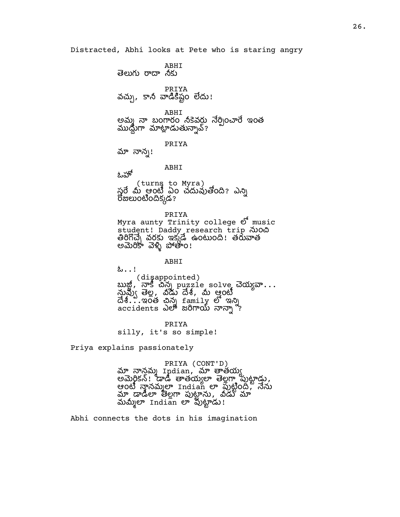Distracted, Abhi looks at Pete who is staring angry

ABHI తెలుగు రాదా నీకు PRIYA వచ్చు, కానీ వాడికిష్టం లేదు! ABHI అమ్మ నా బంగారం నీకెవర్డు నేర్పించారే ఇంత ముడ్దుగా మాట్లాడుతున్నావ్? PRIYA మా నాన్న! ABHI ఓహో (turns to Myra) స్త్రరే మీ ఆంటీ ఏం చదువుతోంది? ఎన్ని రోజులుంటిందిక్కడ? PRIYA Myra aunty Trinity college  $\mathcal{O}^*$  music student! Daddy research trip నుంచి తిరిగొచ్చే వరకు ఇక్కడే ఉంటుంది! తరువాత అమెరికా వెళ్ళి పోతాం!

ABHI ఓ..! (disappointed) బుజ్జీ, నాకీ చిన్న puzzle solve చెయ్యవా...<br>నువ్వు తెల్ల, వీడు దేశీ, మీ ఆ్త్రంటీ  $\vec{\mathcal{A}}$ 8...ఇంత చిన్న  $\vec{\mathcal{A}}$  family లో ఇన్ని accidents ఎలా జరిగాయ్ నాన్నా<sup>న</sup>?

PRIYA silly, it's so simple!

Priya explains passionately

PRIYA (CONT'D) మా నాన్డమ్మ Indian, మా తాతయ్య అమెర్జికన్! డాడీ తాతయ్యల తెల్లగా పుట్టాడు, ఆంటీ నానమ్మలా Indian లా పుట్టింద్, నేను మా డాడీలా తెల్లగా పుట్టాను, నీడు మా మమ్మీలా Indian లా వుట్టాడు!

Abhi connects the dots in his imagination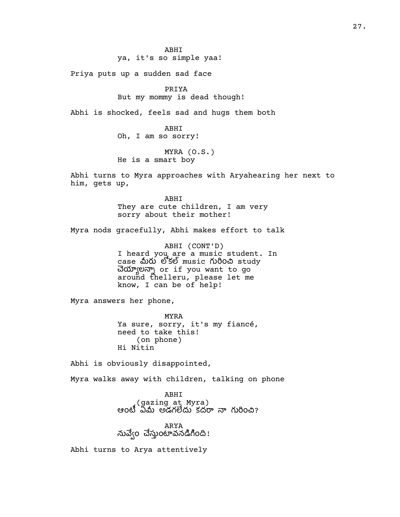ya, it's so simple yaa!

Priya puts up a sudden sad face

PRIYA

But my mommy is dead though!

Abhi is shocked, feels sad and hugs them both

ABHI Oh, I am so sorry!

MYRA (O.S.) He is a smart boy

Abhi turns to Myra approaches with Aryahearing her next to him, gets up,

> ABHI They are cute children, I am very sorry about their mother!

Myra nods gracefully, Abhi makes effort to talk

ABHI (CONT'D) I heard you are a music student. In case మీరు లోకల్ music గురించి study ల or if you want to go around thelleru, please let me know, I can be of help!

Myra answers her phone,

MYRA Ya sure, sorry, it's my fiancé, need to take this! (on phone) Hi Nitin

Abhi is obviously disappointed,

Myra walks away with children, talking on phone

ABHI (gazing at Myra) ఆంటీ ఏమీ అడగలేదు కదరా నా గురించి?

ARYA నువ్వేం చేస్తుంటావనడిగింది!

Abhi turns to Arya attentively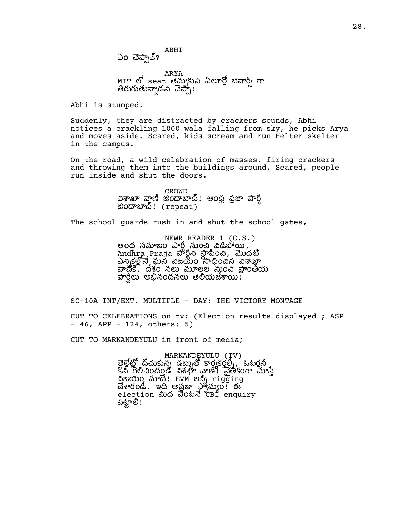ABHI  $\omega$ ం చెప్పావ్?

ARYA MIT లో seat తెచ్చుకుని ఏలూర్లో బెవార్స్ గా తిరుగుతున్నాడని చెప్పా!

Abhi is stumped.

Suddenly, they are distracted by crackers sounds, Abhi notices a crackling 1000 wala falling from sky, he picks Arya and moves aside. Scared, kids scream and run Helter skelter in the campus.

On the road, a wild celebration of masses, firing crackers and throwing them into the buildings around. Scared, people run inside and shut the doors.

> CROWD విశాఖా వాౖణి జిందాబాద్! ఆంధ్ర ప్రజా పార్టీ ం! (repeat)

The school guards rush in and shut the school gates,

NEWR READER 1 (O.S.) ఆంధ్ర సమాజం పార్ట్ నుంచి విడిపోయి, Andhra Praja వార్షని స్థాపించి, మొదటి ఎక ఘన జయం ంన , శం న లల ం ంయ పార్టీలు అభినందనలు తెలియజేశాయి!

SC-10A INT/EXT. MULTIPLE - DAY: THE VICTORY MONTAGE

CUT TO CELEBRATIONS on tv: (Election results displayed ; ASP - 46, APP - 124, others: 5)

CUT TO MARKANDEYULU in front of media;

MARKANDEYULU (TV) త్రైల్లేట్లో డిస్ట్రిండ్ రార్యకర్తల్నే, ఓటర్లన కొనీ గేలిచిందండి విశఖా వాణి! నైతికంగా సూస్తే విజయం మాదే! EVM లన్నీ rigging చేశారండి, ఇది అప్రజా స్వామ్యం! ఈ election మీద వెంటనే cBI enquiry పెట్టాలి!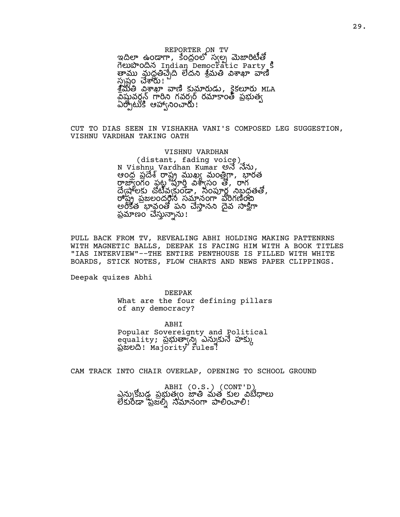REPORTER ON TV ఇదిలా ఉండాగా, కేంద్రంలో స్వల్న మెజారిటీతో den Book Indian Democratic Party 3 మద ద మ స్పష్టం చేశారు! శ్రీమతి విశాఖా వాణి కుమారుడు, కైకలూరు MLA వేషువర్లన్ గారిని గవర్నర్ రమాకాంత్ ప్రభుత్వ ఏర్పోటుకి ఆహాఁని౦చారుి!

CUT TO DIAS SEEN IN VISHAKHA VANI'S COMPOSED LEG SUGGESTION, VISHNU VARDHAN TAKING OATH

> VISHNU VARDHAN (distant, fading voice)  $N$  Vishnu Vardhan Kumar అనే నేను, - రంధ ప్రదేశ్ రాష్ట్ర ముఖ్య మంత్రిగా, భారత రాజ్యాంగం పట్ట మార్తి విశ్వాసం తో, రాగ ద్వేషాలకు చోటీవ్వకుండా, సంపూర్ణ నిబ్జడతతో, ష పజలంద సనం పగం అంకేత బావంతో పని చేసానని దేవ సాకిగా ప్రమాణం చెస్తున్నాను!

PULL BACK FROM TV, REVEALING ABHI HOLDING MAKING PATTENRNS WITH MAGNETIC BALLS, DEEPAK IS FACING HIM WITH A BOOK TITLES "IAS INTERVIEW"--THE ENTIRE PENTHOUSE IS FILLED WITH WHITE BOARDS, STICK NOTES, FLOW CHARTS AND NEWS PAPER CLIPPINGS.

Deepak quizes Abhi

DEEPAK What are the four defining pillars of any democracy?

ABHI Popular Sovereignty and Political equality; ప్రభుత్వాన్ని ఎన్నుకునే హక్కు ప్రభుత్వ, *strity* rules?

CAM TRACK INTO CHAIR OVERLAP, OPENING TO SCHOOL GROUND

ABHI (O.S.) (CONT'D) ఎన్నుకోబడ పబుత్వం జాతి మత కుల విబేదాలు లేకురీడా ప్రజల్ని నమానంగా పాలించాలి!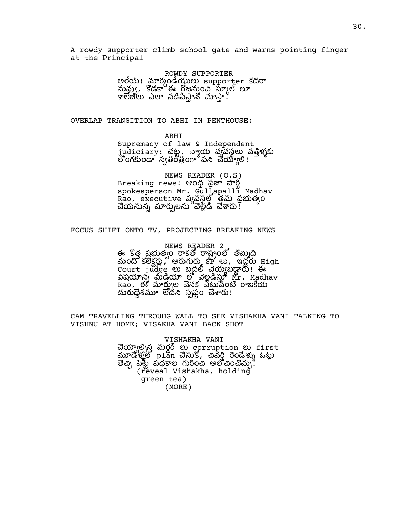A rowdy supporter climb school gate and warns pointing finger at the Principal

> ROWDY SUPPORTER అరేయ్! మార్కండెయ్తులు supporter కదరా నువ్వు, కొడకా ఈ రోజనుంచి స్కూల్ లూ ఎ న !

OVERLAP TRANSITION TO ABHI IN PENTHOUSE:

ABHI

Supremacy of law & Independent judiciary: చట , య వవస వళ ంగకుండా స్వతంతంగా పని చేయ్యాలి!

NEWS READER (O.S) Breaking news! ఆంధ్ర ప్రజా పార్ట్ spokesperson Mr. Gullapalli Madhav Rao, executive వృవస్థలో తమ ప్రభుత్వం చేయనున్న మార్పులను వెళ్లిడి చేశారు!

### FOCUS SHIFT ONTO TV, PROJECTING BREAKING NEWS

NEWS READER 2 ఈ కొత్త ప్రభుత్వం రాక్రతో రాష్ట్రంలో తొమ్మిది  $\Delta$  0  $\Delta$  3  $\overline{\text{S}}$  ,  $\overline{\text{S}}$  ,  $\overline{\text{S}}$  ,  $\overline{\text{S}}$  ,  $\overline{\text{S}}$  ,  $\overline{\text{S}}$  ,  $\overline{\text{S}}$  ,  $\overline{\text{S}}$  ,  $\overline{\text{S}}$  ,  $\overline{\text{S}}$  ,  $\overline{\text{S}}$  ,  $\overline{\text{S}}$  ,  $\overline{\text{S}}$  ,  $\overline{\text{S}}$  ,  $\overline{\text{S}}$  ,  $\overline{\text{S}}$  , Court judge బ యబ ! ఈ విషయాన్న మ్డియా లో వెల్లడిస్తూ Mr. Madhav Rao, ఈ మార్చుల వెనక ఎట్టువంటి రాజకీయ శ ద సష ం !

CAM TRAVELLING THROUHG WALL TO SEE VISHAKHA VANI TALKING TO VISHNU AT HOME; VISAKHA VANI BACK SHOT

> VISHAKHA VANI చెయ్యాల్సిన మర్ధర్ లు corruption లు first  $\overline{\text{aw}}$ డిళ్ళలో plan చేసుకో, చివర్హి రెండేళ్ళు ఓట్లు పధల ం ఆం! (reveal Vishakha, holding green tea) (MORE)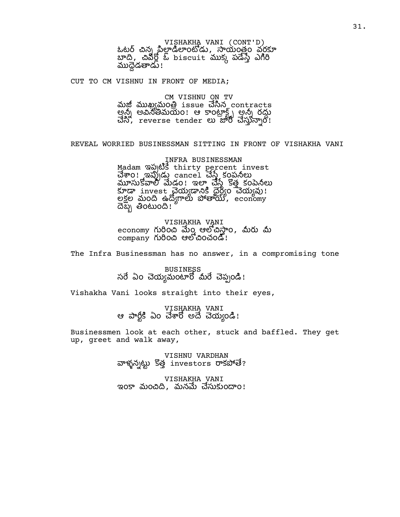VISHAKHA VANI (CONT'D)<br>ఓటర్ చిన్న పిల్లాడిలాంటోడు, సాయంత్రం వరకూ  $\overline{w}$ దే, చివర్లోబ్ biscuit ముక్క పడేస్తే ఎగిరి ముద్దేడతాడు!

CUT TO CM VISHNU IN FRONT OF MEDIA;

CM VISHNU ON TV మజీ ముఖ్యమంత్రి issue చేసిన\_contracts అన్నీ అవినీతిమయం! ఆ కాంట్రాక్ట్స్ అన్నీ రద్దు  $\vec{a}$ ,  $\vec{b}$  , reverse tender  $\vec{c}$   $\vec{c}$   $\vec{d}$   $\vec{c}$   $\vec{d}$   $\vec{c}$   $\vec{d}$   $\vec{c}$   $\vec{d}$   $\vec{c}$   $\vec{d}$ 

REVEAL WORRIED BUSINESSMAN SITTING IN FRONT OF VISHAKHA VANI

INFRA BUSINESSMAN Madam ఇప్పటికే thirty percent invest ం! ఇ cancel కంప మూసుకోవాలి మేడం! ఇలా చేస్తే కొత్త కంపెనీలు  $\overline{\text{S}}$ ræ $\,$  invest చెయ్యడానికి ధైర్యం చెయ్యవు! లక్షల మంది ఉద్యోగాలు పోతాయ్, economy ದಬ್ಬ ತಿಂಟುಂದಿ!

VISHAKHA VANI economy గురించి మేం ఆలోచిస్తాం, మీరు మీ  $\overline{\text{company}}$  గురించి ఆలోచించండి!

The Infra Businessman has no answer, in a compromising tone

BUSINESS సరే ఏం చెయ్యమంటారో మీరే చెప్పండి!

Vishakha Vani looks straight into their eyes,

VISHAKHA VANI ఆ పార్టీకి ఏం చేశారో అదే చెయ్యెండి!

Businessmen look at each other, stuck and baffled. They get up, greet and walk away,

> VISHNU VARDHAN వాళ్ళన్నట్టు కొత్త investors రాకపోతే?

VISHAKHA VANI ఇంకా మంచిది, మనమే చేసుకుందాం!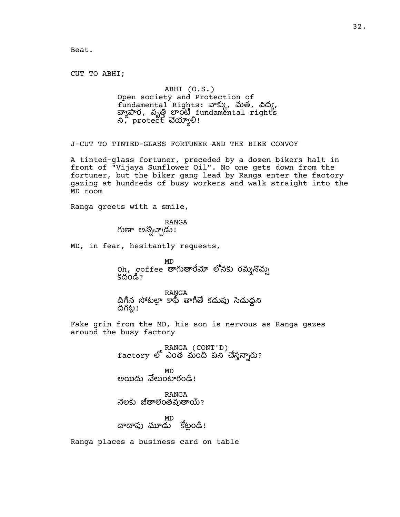Beat.

CUT TO ABHI;

## ABHI (O.S.) Open society and Protection of<br>fundamental Rights: వాక్కు, మత, విద్య, fundamental Rights: నాక్కు, మత, విద్య,<br>వ్యాపార, వృత్తి లాంటి fundamental rights  $\alpha$ , protect  $\vec{a}$ က္ခ်က္တံ၊

J-CUT TO TINTED-GLASS FORTUNER AND THE BIKE CONVOY

A tinted-glass fortuner, preceded by a dozen bikers halt in front of "Vijaya Sunflower Oil". No one gets down from the fortuner, but the biker gang lead by Ranga enter the factory gazing at hundreds of busy workers and walk straight into the MD room

Ranga greets with a smile,

RANGA గుణా అన్నొచ్చాడు<mark>!</mark>

MD, in fear, hesitantly requests,

MD oh,coffee తాగుతారేమో లోనకు రమ్మనొచ్చు కదండి?

RANGA దిగిన సోటలా కాపీ తాగితే కడుపు సెడుదని దిగట్ల!

Fake grin from the MD, his son is nervous as Ranga gazes around the busy factory

RANGA (CONT'D)<br>factory లో ఎంత మంది పని చేస్తన్నారు?

MD అయిదు వేలుంటారండి!

RANGA నెలకు జీతాలెంతవుతాయ్?

MD దాదాపు మూడు కోట్లండి!

Ranga places a business card on table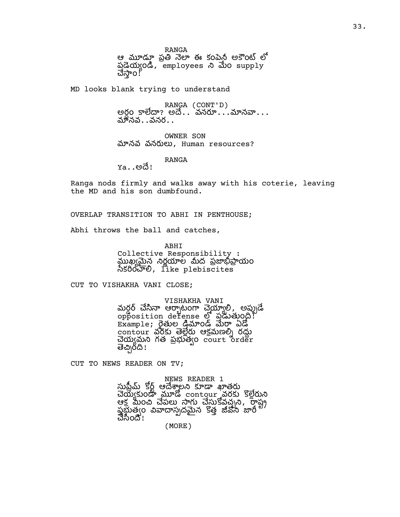RANGA

ఆ మూడూ ప్రతి నెలా ఈ కంపెన్ట అకౌంట్ లో పయం, employees ం supply చేస్తాం! $^p$ 

MD looks blank trying to understand

RANGA (CONT'D) అర్ధం కాలేదా? అదే.. `వనరూ...´.మానవా...<br>మానవ..వనర..

OWNER SON మానవ వనరులు, Human resources?

RANGA

<u>Ya. . అదే! </u>

Ranga nods firmly and walks away with his coterie, leaving the MD and his son dumbfound.

OVERLAP TRANSITION TO ABHI IN PENTHOUSE;

Abhi throws the ball and catches,

ABHI

Collective Responsibility : ఖన ర ల ద పయం నీకరించాలి, like plebiscites

CUT TO VISHAKHA VANI CLOSE;

VISHAKHA VANI

మర్డర్ చేసినా ఆర్భాటంగా చెయ్యాలి, అప్పుడే  $\overline{\mathrm{op}}$ position defense  $\overline{\mathrm{op}}$  သို့လတ်ပွဲ ( ---<br>Example; రైతుల డిమాండ్ మేరా ఏడో ------------<br>contour వరకు తెల్లేరు ఆక్రమణల్ని రద్దు చెయ్యమని గత ప్రభుత్వం court order తెచ్చిరది!

CUT TO NEWS READER ON TV;

NEWS READER 1 సుపీమ్ కోర్ ఆదేశాలని కూడా ఖాతరు wow shows contour ads segon ఆక్ర మించి చేపలు సాగు చేస్తుకోవచ్చని, రాష్ట్ర ప్రభుతోం వివాదాస్పదమైన కొత్త జీవనీ జారీ చేసింది!

(MORE)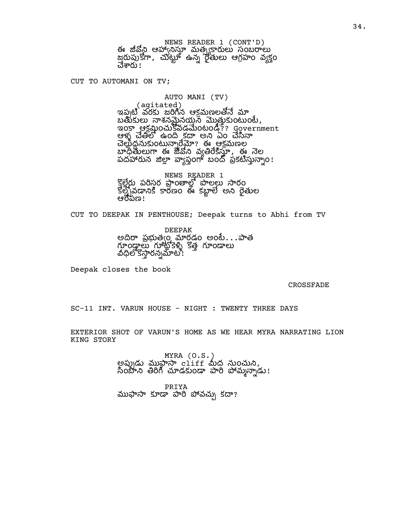NEWS READER 1 (CONT'D) ఈ జీవోని ఆహానిస్తూ మత్స్యారులు సంబరాలు జరుపుకోగా, చుట్టూ ఉన్న రైతులు ఆగ్రహం వ్యక్తం చేశారు!

CUT TO AUTOMANI ON TV;

AUTO MANI (TV)

(agitated)

ఇప్పటి వరకు జరిగిన ఆక్రమణలతోనే మా బతుకులు నాశనమైనయ్య మొత్తుకుంటుంటే, <u>ఇంకా ఆక్ర</u>మంచుకేవడమేంటండీ?? Government ఆళ్ళ చేతిలో ఉంది కదా అని ఏం చేసినా <u>ౘ</u>ఴౢఀౙఀ౻౽౽౸౸ఴఀ౼ౢౢ౹౸ౘౣౣౣఄఄఄ౼ౚ౼ఴఀ౾ౘౢౢౢఴౣ హెధ్దేతులుగా ఈ జీవని వ్యతిరేకిస్తూ, ఈ నెల పదహారున జిల్లా వ్యాప్తంగా బందో ప్రకటిస్తున్నాం!

NEWS READER 1<br>కొలేరు పరిసర పాంతాలో పాలలు సారం కోలో వడానికి కారణం ఈ కబాలే అని రేతుల ఆరోపణ!

CUT TO DEEPAK IN PENTHOUSE; Deepak turns to Abhi from TV

DEEPAK అదిరా ప్రభుత్వం మార్గడం అంటే. . .పాత గూండాలు గూటోకెళ్టీ కొత్త గూండాలు వీధిలోకొస్తారన్నమాటి!

Deepak closes the book

CROSSFADE

SC-11 INT. VARUN HOUSE - NIGHT : TWENTY THREE DAYS

EXTERIOR SHOT OF VARUN'S HOME AS WE HEAR MYRA NARRATING LION KING STORY

> MYRA (O.S.) అప్పుడు ముఫ్తాసా cliff మీద నుంచుని, సింబాని తిరిగి చూడకుండా పారి పోమ్మన్నాడు!

PRIYA ముఫాసా కూడా పారి పోవచ్చు కదా?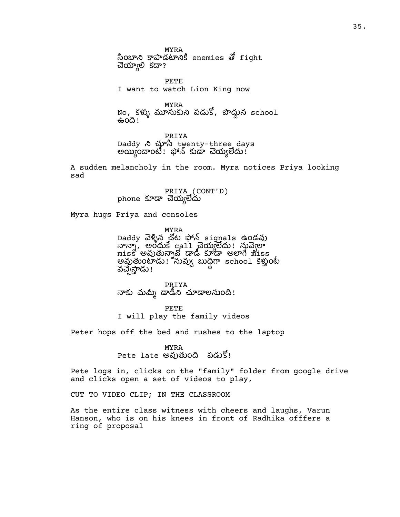MYRA సింబాని కాపాడటానికి enemies తో fight చెయ్యాలి కదా?

PETE I want to watch Lion King now

MYRA No, కళ్ళు మూసుకుని పడుకో, పొద్దున school ఉంది!

PRIYA Daddy twenty-three days అయ్యిందాంటి! ఫోన్ కుడా చెయ్యలేదు!

A sudden melancholy in the room. Myra notices Priya looking sad

> PRIYA (CONT'D) phone కూడా చెయ్యలేదు

Myra hugs Priya and consoles

MYRA Daddy వెళ్ళిన చోట ఫోన్ signals ఉండవు నాన్నా, అందుకే call చెయ్యలేదు! నువ్వెలా miss అవుతున్నావో డాడీ కూడా అలాగే miss అవుతుంటాడు! నువ్వు బుధిగా school కెళ్తుంటే వచ్చేస్తాడు!

PRIYA నాకు మమ్మీ డాడిని చూడాలనుంది!

PETE I will play the family videos

Peter hops off the bed and rushes to the laptop

MYRA Pete late అవుతుంది పడుకో!

Pete logs in, clicks on the "family" folder from google drive and clicks open a set of videos to play,

CUT TO VIDEO CLIP; IN THE CLASSROOM

As the entire class witness with cheers and laughs, Varun Hanson, who is on his knees in front of Radhika offfers a ring of proposal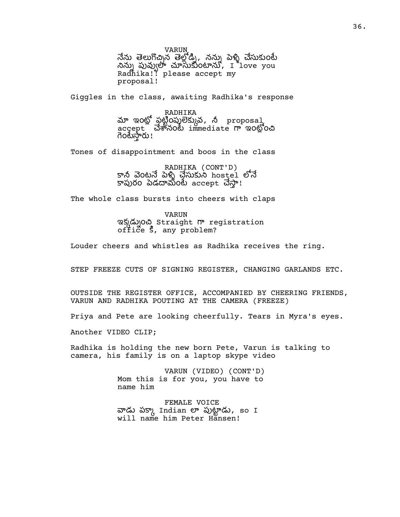VARUN నేను తెలుగొచ్చిన తెల్లోడ్ని, నన్ను పెళ్ళి చేసుకుంటే నిన్ను పువ్వులా చూసుకుంటాను,  $I$ ీ $1$ ove you Radhika!? please accept my proposal!

Giggles in the class, awaiting Radhika's response

RADHIKA మా ఇంట్లో పట్టింపులెక్కువ, నీ proposal, accept *చేశానం*లు immediate గా ఇంట్లోంచి గెంటేస్తారు!

Tones of disappointment and boos in the class

RADHIKA (CONT'D) కానీ వెంటనే పెళ్ళి చేసుకుని hostel లోనే కాపురం పెడదామంటే accept చేస్తా!

The whole class bursts into cheers with claps

VARUN ఇక్కడ్నుంచి Straight గా registration office  $\zeta$ , any problem?

Louder cheers and whistles as Radhika receives the ring.

STEP FREEZE CUTS OF SIGNING REGISTER, CHANGING GARLANDS ETC.

OUTSIDE THE REGISTER OFFICE, ACCOMPANIED BY CHEERING FRIENDS, VARUN AND RADHIKA POUTING AT THE CAMERA (FREEZE)

Priya and Pete are looking cheerfully. Tears in Myra's eyes.

Another VIDEO CLIP;

Radhika is holding the new born Pete, Varun is talking to camera, his family is on a laptop skype video

> VARUN (VIDEO) (CONT'D) Mom this is for you, you have to name him

FEMALE VOICE వాడు పక్కా Indian లా పుట్టాడు, so I will name him Peter Hansen!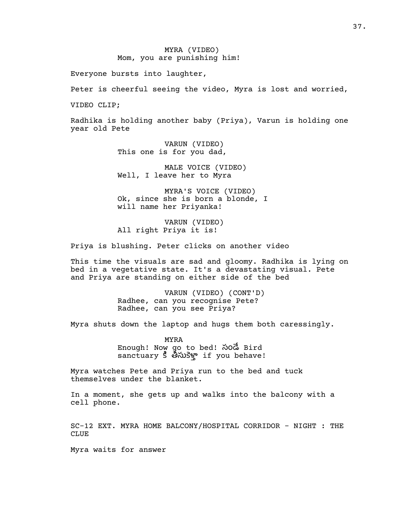## MYRA (VIDEO) Mom, you are punishing him!

Everyone bursts into laughter,

Peter is cheerful seeing the video, Myra is lost and worried,

VIDEO CLIP;

Radhika is holding another baby (Priya), Varun is holding one year old Pete

> VARUN (VIDEO) This one is for you dad,

MALE VOICE (VIDEO) Well, I leave her to Myra

MYRA'S VOICE (VIDEO) Ok, since she is born a blonde, I will name her Priyanka!

VARUN (VIDEO) All right Priya it is!

Priya is blushing. Peter clicks on another video

This time the visuals are sad and gloomy. Radhika is lying on bed in a vegetative state. It's a devastating visual. Pete and Priya are standing on either side of the bed

> VARUN (VIDEO) (CONT'D) Radhee, can you recognise Pete? Radhee, can you see Priya?

Myra shuts down the laptop and hugs them both caressingly.

MYRA Enough! Now go to bed! సండే Bird anctuary 5 3x3g if you behave!

Myra watches Pete and Priya run to the bed and tuck themselves under the blanket.

In a moment, she gets up and walks into the balcony with a cell phone.

SC-12 EXT. MYRA HOME BALCONY/HOSPITAL CORRIDOR - NIGHT : THE CLUE

Myra waits for answer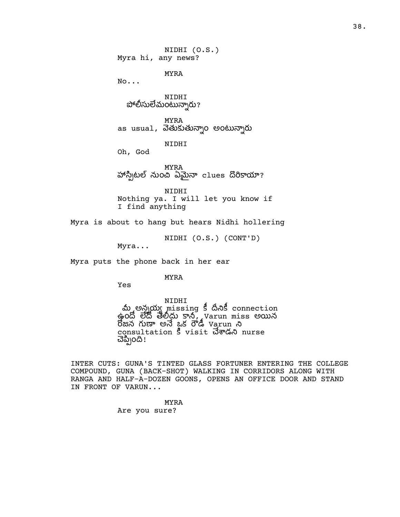NIDHI (O.S.) Myra hi, any news?

MYRA

No...

NIDHI పోలీసులేమంటున్నారు?

MYRA as usual, వెతుకుతున్నాo అంటున్నారు

NIDHI

Oh, God

MYRA హాస్కిటల్ నుంచి ఏమైనా clues దొరికాయా?

NIDHI Nothing ya. I will let you know if I find anything

Myra is about to hang but hears Nidhi hollering

NIDHI (O.S.) (CONT'D)

Myra...

Myra puts the phone back in her ear

MYRA

Yes

NIDHI మ అన్నయ్య missing కీ దీనికీ connection ఉందో లేదో తేలీదు కాని, Varun miss అయిన రోజున గుణా అనే ఒక రోడీ Varun ని consultation 5 visit *చే*శాడని nurse చెప్పింది!

INTER CUTS: GUNA'S TINTED GLASS FORTUNER ENTERING THE COLLEGE COMPOUND, GUNA (BACK-SHOT) WALKING IN CORRIDORS ALONG WITH RANGA AND HALF-A-DOZEN GOONS, OPENS AN OFFICE DOOR AND STAND IN FRONT OF VARUN...

> MYRA Are you sure?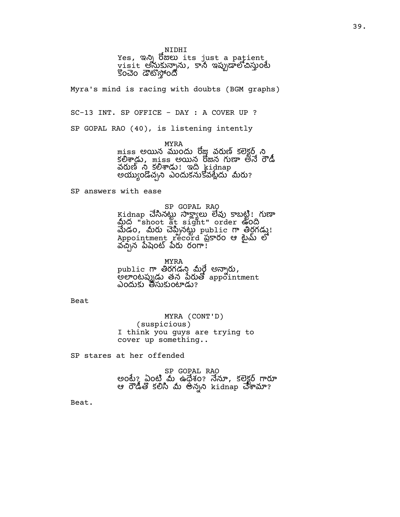NIDHI

Yes, ఇన్ని రోజులు its just a patient wisit అనుకున్నాను, కానీ ఇప్పుడాలోచిస్తుంటే కొంచెం డౌటోస్తోందో

Myra's mind is racing with doubts (BGM graphs)

SC-13 INT. SP OFFICE - DAY : A COVER UP ?

SP GOPAL RAO (40), is listening intently

MYRA

miss అయిన ముందు రోజు వరుణ్ కలెక్టర్ ని కలిశాడు, miss అయిన రొజున గుణా తనే రౌడీ వరుణ్ ని కలిశాడు! ఇది kidnap అయ్యుండొచ్చని ఎందుకనుకోవట్లేదు మీరు?

SP answers with ease

SP GOPAL RAO

Kidnap చేసినట్టు సాక్ష్యాలు లేవు కాబట్టి! గుణా మీద "shoot at sight" order ఉంది  $\overline{\text{d}}$ డం, మీరు చెప్పినట్టు public గా తిర్ధగడ్డు! Appointment record ప్రకారం ఆ టైమ్ లో వచ్చిన పేషెంట్ పేరు రంగా!

MYRA public గా తిరగడని మీరే అన్నారు,  $\vec{e}$ అలాంటప్పుడు తన పేరుతో appointment ఎందుకు తీసుకుంటాడు?

Beat

MYRA (CONT'D) (suspicious) I think you guys are trying to cover up something..

SP stares at her offended

SP GOPAL RAO అంటే? ఏంటి మే ఉధేశం? నేనూ, కలెక్టర్ గారూ ఆ రౌడితో కలిసి మీ అన్నని kidnap చేశామా?

Beat.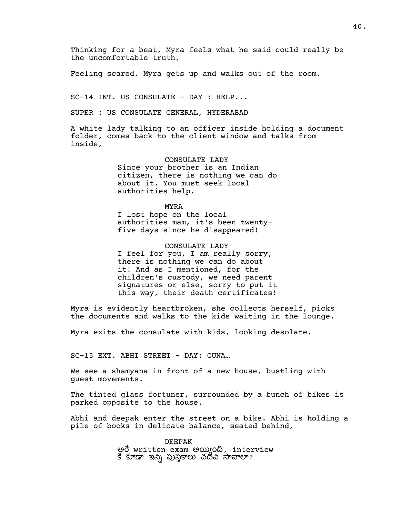Thinking for a beat, Myra feels what he said could really be the uncomfortable truth,

Feeling scared, Myra gets up and walks out of the room.

SC-14 INT. US CONSULATE - DAY : HELP...

SUPER : US CONSULATE GENERAL, HYDERABAD

A white lady talking to an officer inside holding a document folder, comes back to the client window and talks from inside,

> CONSULATE LADY Since your brother is an Indian citizen, there is nothing we can do about it. You must seek local authorities help.

MYRA I lost hope on the local authorities mam, it's been twentyfive days since he disappeared!

CONSULATE LADY I feel for you, I am really sorry, there is nothing we can do about it! And as I mentioned, for the children's custody, we need parent signatures or else, sorry to put it this way, their death certificates!

Myra is evidently heartbroken, she collects herself, picks the documents and walks to the kids waiting in the lounge.

Myra exits the consulate with kids, looking desolate.

SC-15 EXT. ABHI STREET - DAY: GUNA…

We see a shamyana in front of a new house, bustling with guest movements.

The tinted glass fortuner, surrounded by a bunch of bikes is parked opposite to the house.

Abhi and deepak enter the street on a bike. Abhi is holding a pile of books in delicate balance, seated behind,

> DEEPAK అరే written exam అయ్యింది, interview కి కూడా ఇన్ని పుస్తకాలు చదివి సావాలా?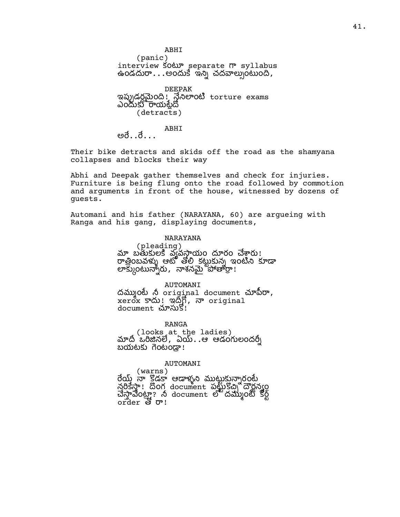ABHI (panic) interview So $\omega$  separate  $\omega$  syllabus ఉండదురా...అందుకె ఇన్ని చదవాల్పుంటుంది, DEEPAK ఇప్పుడర్లమైంది! నేనిలాంటి torture exams ఎందుకు రాయటేదో (detracts) ABHI

అరే. . రే. . .

Their bike detracts and skids off the road as the shamyana collapses and blocks their way

Abhi and Deepak gather themselves and check for injuries. Furniture is being flung onto the road followed by commotion and arguments in front of the house, witnessed by dozens of guests.

Automani and his father (NARAYANA, 60) are argueing with Ranga and his gang, displaying documents,

NARAYANA

(pleading) మా బతుకులకి వ్యవస్థాయం దూరం చేశ్వారు! ...<br>రాతింబవళ్ళు ఆటో తోలి కటుకున్న ఇంటిని కూడా లాక్కుంటున్నారు, నాశనమై హౌతార్థా!

AUTOMANI దమ్ముంటే నీ original document చూపిరా, xerox sm ! ఇదిగి, నా original document చూసుకి!

RANGA (looks at the ladies) మాదీ ఒరిజినలే, ఏయ్..ఆ ఆడంగులందర్నీ బయటకు గెంటండా!

AUTOMANI

(warns) రేయ్ నా కొడకా ఆడాళ్ళని ముటుకున్నారంటే నరికేస్తా! దొంగ document పట్టుకోచ్చి ద్యాన్యం చేస్తావేంట్రా? నీ document లో దమ్ముంటే కోర్ట్ order & o'!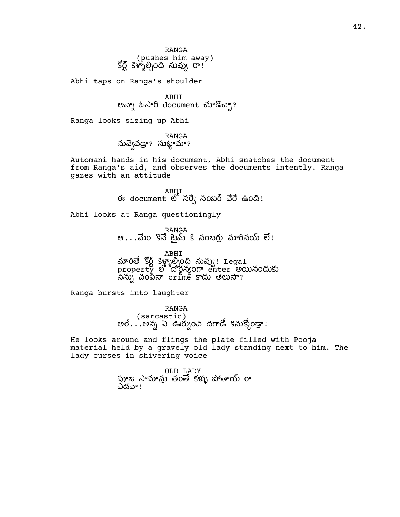RANGA (pushes him away) కోర్ట్ కెళ్ళాల్సింది నువ్వు రా!

Abhi taps on Ranga's shoulder

ABHI అన్నా ఓసారి document చూడొచ్చా?

Ranga looks sizing up Abhi

RANGA<br>? సుద్వేవడ్రా? సుట్టామా?

Automani hands in his document, Abhi snatches the document from Ranga's aid, and observes the documents intently. Ranga gazes with an attitude

> ABHI ఈ document లో సర్వే నంబర్ వేరే ఉంది!

Abhi looks at Ranga questioningly

RANGA ఆ...ం నంబ న !

ABHI మారితే కోర్ట్ కెళ్ల్మాల్సింది నువ్వు! Legal ...<br>property లో దౌర్జన్యంగా enter అయినందుకు  $\sim$ నిన్న cr $\lim\limits_{\longrightarrow}$  కాదు తెలుసా?

Ranga bursts into laughter

RANGA ( sarcastic )<br>అరే $\ldots$ అన్న ఏ ఊర్నుంచి దిగాడో కనుక్కోండ్రా!

He looks around and flings the plate filled with Pooja material held by a gravely old lady standing next to him. The lady curses in shivering voice

> OLD LADY పూజ సామాన్లు తంతే కళ్ళు పోతాయ్ రా ఎదవా!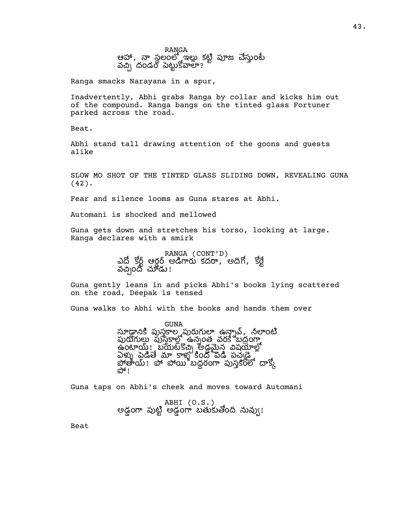RANGA ఆహా, నా స్థలంలో ఇల్లు కట్టి పూజ చేస్తుంటే వచ్చే దండం పెట్టుకోవాలా?

Ranga smacks Narayana in a spur,

Inadvertently, Abhi grabs Ranga by collar and kicks him out of the compound. Ranga bangs on the tinted glass Fortuner parked across the road.

Beat.

Abhi stand tall drawing attention of the goons and guests alike

SLOW MO SHOT OF THE TINTED GLASS SLIDING DOWN, REVEALING GUNA (42).

Fear and silence looms as Guna stares at Abhi.

Automani is shocked and mellowed

Guna gets down and stretches his torso, looking at large. Ranga declares with a smirk

> RANGA (CONT'D) ఎదో కోర్ట్ ఆర్డర్ అడిగారు కేందా, 'అదిగో, కోర్ట్ వచ్చింది చూడు!

Guna gently leans in and picks Abhi's books lying scattered on the road, Deepak is tensed

Guna walks to Abhi with the books and hands them over

GUNA సూడ్డానికి పుస్తకాల పురుగులా ఉన్నావ్, నీలాంటి స ఉనంత వర బదం <u>అంటాయ్ ! ప్రభుట్ కొచ్చి అడ్డమైన</u> విషయాల్లో ఏళ్ళు పెడితే మా కాళ్ళ కిందో పెడి పచ్చడై<br>పోతాయ్! పో పోయి బద్దరంగా పుస్తకంలో దాక్కో<br>పో!

Guna taps on Abhi's cheek and moves toward Automani

ABHI (O.S.) అడ్డంగా పుట్టి అడ్డంగా బతుకుతోంది నువ్వు!

Beat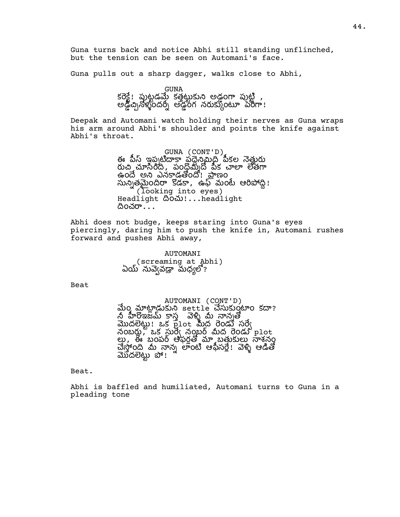Guna turns back and notice Abhi still standing unflinched, but the tension can be seen on Automani's face.

Guna pulls out a sharp dagger, walks close to Abhi,

GUNA కరెక్టే! ఫుట్టడమ్ కత్తట్టుకుని అడ్డంగా పుట్టి , అడ్డీప్పినోళ్ళందర్స్ అడ్డీంగో నరుక్కుంటూ పేరిగా!

Deepak and Automani watch holding their nerves as Guna wraps his arm around Abhi's shoulder and points the knife against Abhi's throat.

> GUNA (CONT'D) ఈ పీస్ ఇప్పటిదాకా పదేనిమిద్ పీకల నెతురు రుచి, మాసింది, పందమ్మీదో పీక చాలా లేతగా ఉం అ ఎనడం! ణం సున్నతమైందిరా కోడకా, ఉఫ్ మంటే ఆరిపోద్ది! (looking into eyes) Headlight  $\text{dom}!...$ headlight దించరా $\ldots$

Abhi does not budge, keeps staring into Guna's eyes piercingly, daring him to push the knife in, Automani rushes forward and pushes Abhi away,

> AUTOMANI (screaming at Abhi) ఏయ్` నువ్వెవడ్రా మధ్యలొ?

Beat

AUTOMANI (CONT'D)<br>మేం మాట్లాడ్రుకుని settle చేసుకుంటాం కదా? ...<br>నీ హీరోఇజమ్ కాస వెళ్ళీ మీ నానుతో  $\overline{a}$   $\overline{b}$   $\overline{c}$   $\overline{c}$   $\overline{c}$   $\overline{c}$   $\overline{c}$   $\overline{c}$   $\overline{c}$   $\overline{c}$   $\overline{c}$   $\overline{c}$   $\overline{c}$   $\overline{c}$   $\overline{c}$   $\overline{c}$   $\overline{c}$   $\overline{c}$   $\overline{c}$   $\overline{c}$   $\overline{c}$   $\overline{c}$   $\overline{c}$   $\overline{c}$   $\overline{$  $\frac{1}{2}$ నంబర్లు, ఒక సుర్వే నంబర్ మీద రెండు plot లు, ఈ బంపర్ అఫర్లతో మా బతుకులు నాశనం చేస్తోంది మీ నాన్న లాంటి ఆఫీసర్లే! వెళ్ళి ఆడితో మేదలెట్టు పో!

Beat.

Abhi is baffled and humiliated, Automani turns to Guna in a pleading tone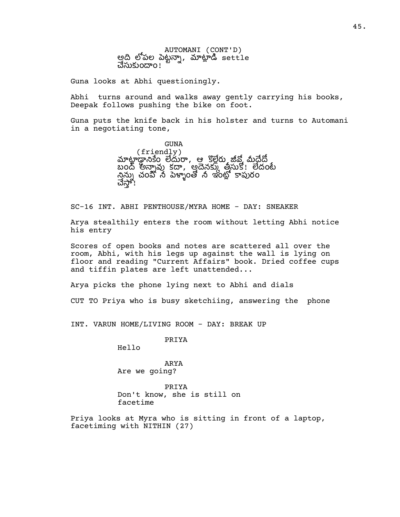AUTOMANI (CONT'D) అది లోపల పెట్టన్నా, మాట్లాడ్ settle చేసుకుందాం!

Guna looks at Abhi questioningly.

Abhi turns around and walks away gently carrying his books, Deepak follows pushing the bike on foot.

Guna puts the knife back in his holster and turns to Automani in a negotiating tone,

> GUNA (friendly) మాట్లాడ్డానికేం లేదురా, ఆ కొల్లేరు జీవ్లో మీదేదో బంద్ అన్నావు కదా, అదైనక్కు తీసుకో! లేదంటే చేస్తు మార్చించి నిర్మాణం రాష్ట్రం రాష్ట్రం చేస్తో!

SC-16 INT. ABHI PENTHOUSE/MYRA HOME - DAY: SNEAKER

Arya stealthily enters the room without letting Abhi notice his entry

Scores of open books and notes are scattered all over the room, Abhi, with his legs up against the wall is lying on floor and reading "Current Affairs" book. Dried coffee cups and tiffin plates are left unattended...

Arya picks the phone lying next to Abhi and dials

CUT TO Priya who is busy sketchiing, answering the phone

INT. VARUN HOME/LIVING ROOM - DAY: BREAK UP

PRIYA

Hello

ARYA Are we going?

PRIYA Don't know, she is still on facetime

Priya looks at Myra who is sitting in front of a laptop, facetiming with NITHIN (27)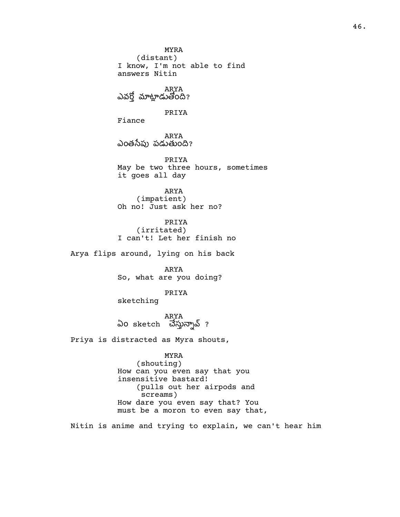MYRA (distant) I know, I'm not able to find answers Nitin ARYA<br>ఎవర్తో మాట్లాడుతోంది? PRIYA Fiance ARYA ఎంతసేపు పడుతుంది? PRIYA May be two three hours, sometimes it goes all day

ARYA (impatient) Oh no! Just ask her no?

PRIYA (irritated) I can't! Let her finish no

Arya flips around, lying on his back

ARYA So, what are you doing?

PRIYA

sketching

ARYA ఏo sketch చేస్తున్నావ్ ?

Priya is distracted as Myra shouts,

MYRA (shouting) How can you even say that you insensitive bastard! (pulls out her airpods and screams) How dare you even say that? You must be a moron to even say that,

Nitin is anime and trying to explain, we can't hear him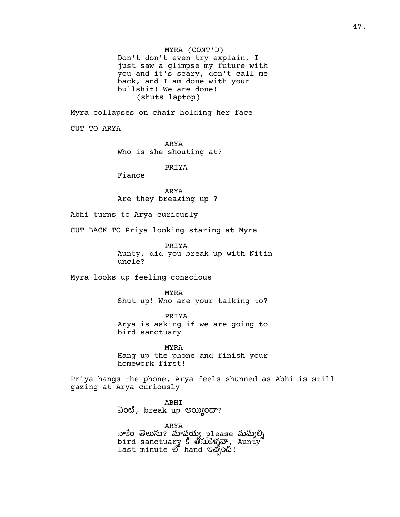MYRA (CONT'D) Don't don't even try explain, I just saw a glimpse my future with you and it's scary, don't call me back, and I am done with your bullshit! We are done! (shuts laptop)

Myra collapses on chair holding her face

CUT TO ARYA

ARYA Who is she shouting at?

PRIYA

Fiance

ARYA Are they breaking up ?

Abhi turns to Arya curiously

CUT BACK TO Priya looking staring at Myra

PRIYA Aunty, did you break up with Nitin uncle?

Myra looks up feeling conscious

MYRA Shut up! Who are your talking to?

PRIYA Arya is asking if we are going to bird sanctuary

MYRA Hang up the phone and finish your homework first!

Priya hangs the phone, Arya feels shunned as Abhi is still gazing at Arya curiously

> ABHI ఏంటి, break up అయ్యిందా?

ARYA నాకేo తెలుసు? మావయ్య please మమ్మల్ని bird sanctuary 5 తిసుకెళ్ళవా, Aunty last minute లో hand ఇచ్చింది!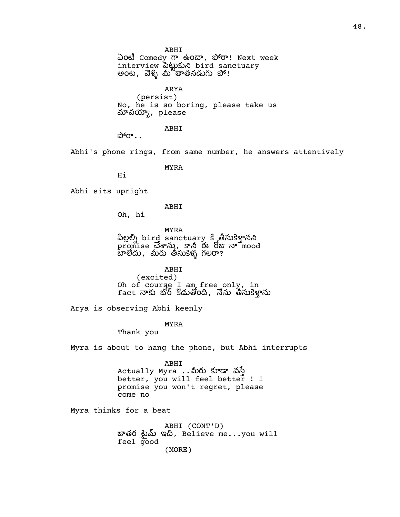ABHI

ఏం Comedy ఉం, ! Next week interview  $\frac{1}{2}$  which is another with అంట, వెళ్ళి మీ తాతనడుగు పో!

ARYA (persist) No, he is so boring, please take us మావయ్యా, p $l$ ease

ABHI

 $\partial^5 0^{\circ}$ ..

Abhi's phone rings, from same number, he answers attentively

MYRA

Hi

Abhi sits upright

ABHI

Oh, hi

MYRA పిల్లల్ని bird sanctuary కి తీసుకెళ్తానని promise చేశాను, కానీ ఈ రోజు నా mood బాలెదు, మీరు తీసుకెళ్ళ గలరా?

ABHI (excited) Oh of course I am free only, in<br>fact నాకు బోర్ కొడుతోంది, నేను తీసుకెళ్తాను

Arya is observing Abhi keenly

MYRA

Thank you

Myra is about to hang the phone, but Abhi interrupts

ABHI Actually Myra .. వ better, you will feel better ! I promise you won't regret, please come no

Myra thinks for a beat

ABHI (CONT'D) జాతర టైమ్ ఇది, Believe me...you will feel good (MORE)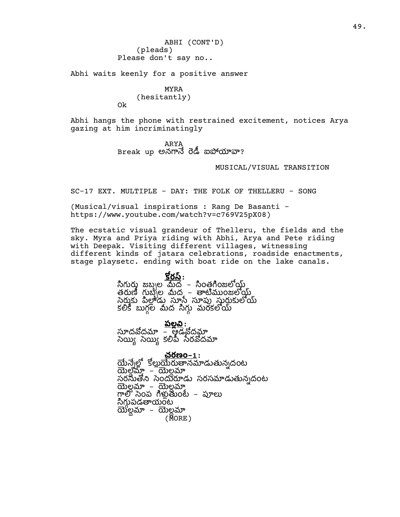ABHI (CONT'D) (pleads) Please don't say no..

Abhi waits keenly for a positive answer

### MYRA

(hesitantly) Ok

Abhi hangs the phone with restrained excitement, notices Arya gazing at him incriminatingly

> ARYA  $B$ reak up అనగానే రెడీ ఐపోయావా?

### MUSICAL/VISUAL TRANSITION

SC-17 EXT. MULTIPLE - DAY: THE FOLK OF THELLERU - SONG

(Musical/visual inspirations : Rang De Basanti https://www.youtube.com/watch?v=c769V25pX08)

The ecstatic visual grandeur of Thelleru, the fields and the sky. Myra and Priya riding with Abhi, Arya and Pete riding with Deepak. Visiting different villages, witnessing different kinds of jatara celebrations, roadside enactments, stage playsetc. ending with boat ride on the lake canals.

> కోరస్ $:$ సిగురు జబ్బల మేద – సింతగింజలోయ్ల్డ్ తరుణీ గుబ్బీల మీద – తాటిముంజలోయ్ల్ సైరుకు పీలాడు సూస్టే సూప్తు సురుకులోయ్ .<br>కలికి బుగల మీద సిగు మరకలోయ్

<u>పల్లవి:</u> సూదవోదమా – ఆడ్రోడవోదమ్గా సెయ్యి సెయ్యి కలిపీ సేరవోదమా

<u>చరణం–1</u>: యేన్నేల్లో క<u>ోల్లుయేరుతాన</u>మాడుతున్నదంట యెల్టమ్మ్ – యెల్టమ్స్ సరసుతోని సెందురూడు సరసమాడుతున్నదంట ల – ల గాలో సెంప గిళ్లుతుంటె – పూలు సిగుపడతాయంట ల – ల (MORE)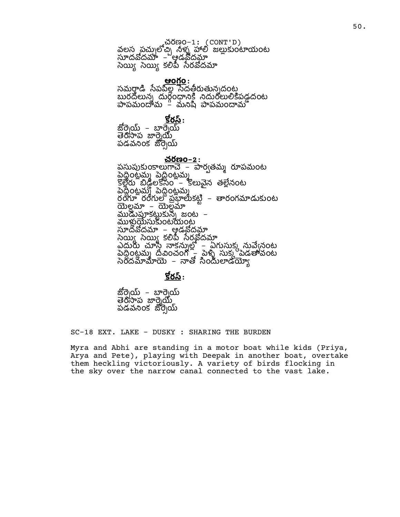చరణం-1: (CONT'D) వలస పచులోచి\ నీళ్ళ హాలీ జలుకుంటాయంట సూదవోదమా – ఆడవోదమా సెయ్యి కలిపి సేరవోదమా

<u>ఆంగ్లం</u>: సమరాడి సేపపిల్ల సేదతీరుతున్నదంట్ల రదన ర ం రపడ దంట పాపమందామ – మనిషి పాపమందామో

<u>కొర</u>స్:

జోరె్ుయ్ – బార్నెయ్ తెరిసాప జార్నెయ్ పడవనింక జొర్నెయ్

# చరణం**-2**:

పసుపుకుంకాలుగాచే – పార్వతమ్మ రూపమంట ంటమ ంటమ కొల్లేరు 'బిడ్డేలకేసిం' – కొలువైన తల్లేనంట పెదీంటమ్లో పెదింటమ్మ రంగూ రంగులో ప్రభాలుకట్టి – తారంగమాడుకుంట యెల్లమా – యెల్లమా ముడుపూకట్టుకున్న జంట –<br>ముళుయేసుకుంటయంట ముళ్లుయేసుకుంటయంట<br>సూదవోదమా – ఆడవ్రోదమ్గా సెయిఁ సెయిఁ కలిపీ సేరవోదమా ఎదురు - చూస్తి – నాకన్నుల్లో – ఏగుసుక్క నువ్వేనంట పెద్దంటము దీవించంగో – పెళ్ళి సుక్క పెడతావంట సెందమామాయె – నాతో సిందులాడయ్యో

# కోరస్ $:$

జోర్నెయ్ – బార్నెయ్ తెరిసాప జార్నెయ్ పడవనింక జొర్నెయ్

SC-18 EXT. LAKE - DUSKY : SHARING THE BURDEN

Myra and Abhi are standing in a motor boat while kids (Priya, Arya and Pete), playing with Deepak in another boat, overtake them heckling victoriously. A variety of birds flocking in the sky over the narrow canal connected to the vast lake.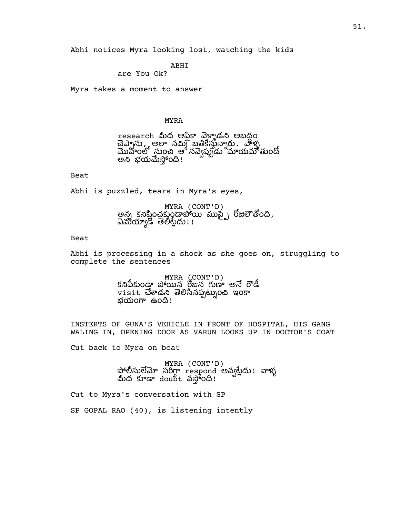Abhi notices Myra looking lost, watching the kids

# ABHI

are You Ok?

Myra takes a moment to answer

# MYRA

research మీద ఆఫ్రికా వెళ్ళాడని అబద్ధం చెప్పాను, అలా నమ్మి బతికేస్తున్నారు. వాళ్ళ<br>మొహంలో నుంచి ఆ నవ్వెప్పుడు మాయమౌతుందో అని భయమేస్తోంది!

## Beat

Abhi is puzzled, tears in Myra's eyes,

MYRA (CONT'D) అన్న కనిష్ఠించకుండాపోయి ముప్ట్సే రోజలౌతోంది, ఏమయ్యాడో తెలీట్లేదు!!

### Beat

Abhi is processing in a shock as she goes on, struggling to complete the sentences

> MYRA (CONT'D) కనిపీకుండా పోయిన రోజున గుణా అనే రౌడీ visit చేశాడని తెలిసినప్పట్నుంచి ఇంకా భయంగా ఉంది!

INSTERTS OF GUNA'S VEHICLE IN FRONT OF HOSPITAL, HIS GANG WALING IN, OPENING DOOR AS VARUN LOOKS UP IN DOCTOR'S COAT

Cut back to Myra on boat

MYRA (CONT'D) పోలీసులేమో సరిగ్గా respond అవ్వట్లేదు! వాళ్ళ<br>మీద కూడా doubt వస్తోoది!

Cut to Myra's conversation with SP

SP GOPAL RAO (40), is listening intently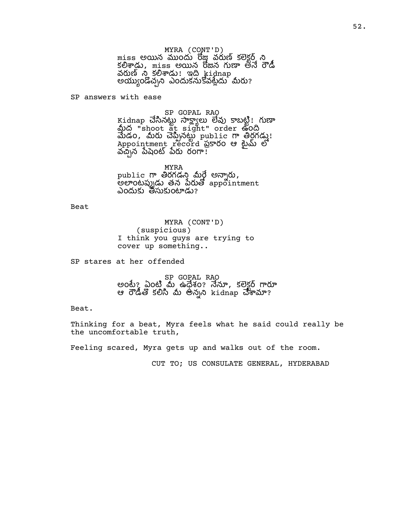MYRA (CONT'D) miss అయిన ముందు రోజు వరుణ్ కలెక్టర్ ని కలిశాడు, miss అయిన రోజన గుణా అనే రౌడీ వరుణ్ ని కలిశాడు! ఇది kidnap అయ్యుండొచ్చని ఎందుకనుకోవట్లేదు మీరు?

SP answers with ease

SP GOPAL RAO Kidnap చేసినట్టు సాక్ష్యాలు లేవు కాబట్టి! గుణా మీద "shoot at sight" order ఉంది  $\overline{\text{d}}$ డం, మీరు చెప్పినట్టు public గా తిర్ధగడ్డు! Appointment record ప్రకారం ఆ టైమ్ లో వచ్చేన పేషెంట్ పేరు రంగా!

MYRA public గా తిరగడని మీర్డే అన్నారు**,**  $\stackrel{\text{\scriptsize{e}}}{\text{\scriptsize{e}}}$ ဗ်စာ $\stackrel{\text{\scriptsize{e}}}{\text{\scriptsize{e}}}\!\!$ ဖြစ်စ $\stackrel{\text{\scriptsize{e}}}{\text{\scriptsize{a}}}$  appointment ఎందుకు తీసుకుంటాడు?

Beat

MYRA (CONT'D) (suspicious) I think you guys are trying to cover up something..

SP stares at her offended

SP GOPAL RAO అంటే? ఏంటి మే ఉధేశం? నేనూ, కలెక్టర్ గారూ ఆ రౌడీతో కలిసి మీ అన్నని kidnap చేశామా?

Beat.

Thinking for a beat, Myra feels what he said could really be the uncomfortable truth,

Feeling scared, Myra gets up and walks out of the room.

CUT TO; US CONSULATE GENERAL, HYDERABAD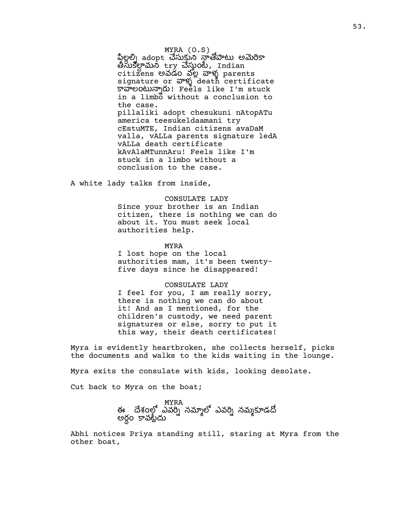MYRA (O.S) పిలల్ని adopt చేసుకుని నాతోపాటు అమెరికా తేసుకల్గామనీ try చేస్తుంటే, Indian citizens అవడం వలై వాళ్ళ parents signature or  $\overline{w}$  death certificate కావాలంటున్నారు! Feels like I'm stuck in a limbo without a conclusion to the case. pillaliki adopt chesukuni nAtopATu america teesukeldaamani try cEstuMTE, Indian citizens avaDaM valla, vALLa parents signature ledA vALLa death certificate kAvAlaMTunnAru! Feels like I'm stuck in a limbo without a conclusion to the case.

A white lady talks from inside,

### CONSULATE LADY

Since your brother is an Indian citizen, there is nothing we can do about it. You must seek local authorities help.

### MYRA

I lost hope on the local authorities mam, it's been twentyfive days since he disappeared!

### CONSULATE LADY

I feel for you, I am really sorry, there is nothing we can do about it! And as I mentioned, for the children's custody, we need parent signatures or else, sorry to put it this way, their death certificates!

Myra is evidently heartbroken, she collects herself, picks the documents and walks to the kids waiting in the lounge.

Myra exits the consulate with kids, looking desolate.

Cut back to Myra on the boat;

MYRA ఈ దేశంలో ఎవరి్ నమాలో ఎవరి్ నముకూడదో .<br>అరం కావటేదు

Abhi notices Priya standing still, staring at Myra from the other boat,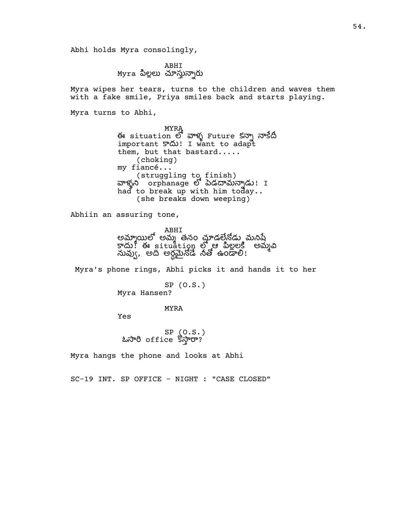Abhi holds Myra consolingly,

ABHI<br>Myra పిల్లలు చూస్తున్నారు

Myra wipes her tears, turns to the children and waves them with a fake smile, Priya smiles back and starts playing.

Myra turns to Abhi,

MYRA ఈ situation లో వాళ్ళ Future కన్నా నాకేదీ important  $\infty$ ! I want to adapt them, but that bastard..... (choking) my fiancé... (struggling to finish) వాళ్ళని orphanage లో పెడదామన్నాడు! I had to break up with him today.. (she breaks down weeping)

Abhiin an assuring tone,

ABHI అమాయిలో అము తనం చూడలేనోడు మనిపే em, external times of the extent of the search of the search of the search of the search of the search of the నువ్వు, అది అర్ధమైనోడే నేతో ఉండాలి!

Myra's phone rings, Abhi picks it and hands it to her

SP (O.S.) Myra Hansen?

MYRA

Yes

SP (O.S.) ఓసారి office కొస్తారా?

Myra hangs the phone and looks at Abhi

SC-19 INT. SP OFFICE - NIGHT : "CASE CLOSED"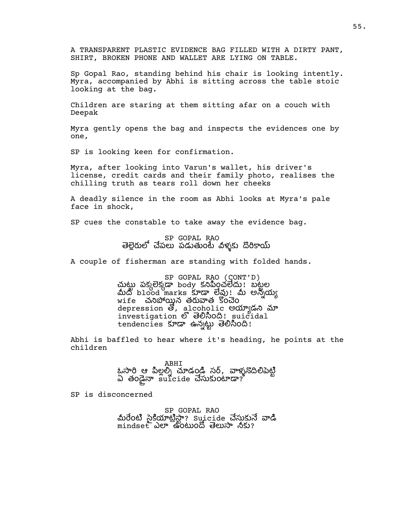A TRANSPARENT PLASTIC EVIDENCE BAG FILLED WITH A DIRTY PANT, SHIRT, BROKEN PHONE AND WALLET ARE LYING ON TABLE.

Sp Gopal Rao, standing behind his chair is looking intently. Myra, accompanied by Abhi is sitting across the table stoic looking at the bag.

Children are staring at them sitting afar on a couch with Deepak

Myra gently opens the bag and inspects the evidences one by one,

SP is looking keen for confirmation.

Myra, after looking into Varun's wallet, his driver's license, credit cards and their family photo, realises the chilling truth as tears roll down her cheeks

A deadly silence in the room as Abhi looks at Myra's pale face in shock,

SP cues the constable to take away the evidence bag.

SP GOPAL RAO తెల్లెరులో చేపలు పడుతుంటే విళ్ళకు దొరికాయ్

A couple of fisherman are standing with folded hands.

SP GOPAL RAO (CONT'D) చుట్టు పక్కలెక్కడా body కనిపించలేదు! బట్టల మీద blood marks కూడా లేవు! మీ అన్నయ్య wife చనిపోయిన తరువాత కొంచెం depression తో, alcoholic అయ్యాడని మా investigation o 300000: suicidal tendencies ఉన ం!

Abhi is baffled to hear where it's heading, he points at the children

> ABHI ఓసారి ఆ పిల్లల్) చూడండి సర్, వాళ్ళనొదిలిపెట్టి<br>ఏ తండైనా suicide చేసుకుంటాడా?

SP is disconcerned

SP GOPAL RAO మీరేంటి సైకియాట్రిస్ట్రా? suicide చేసుకునే వాడి mindset ఎలా ఉంటుందో తెలుసా నీకు?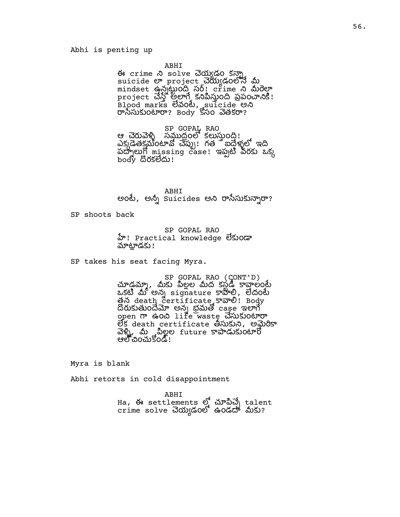## Abhi is penting up

### ABHI

ఈ crime ని solve చెయ్యడం కన్నా suicide project యడం mindset ఉన్నట్టంది సర్! crime ని మీరెల్గా project అ కం పపం! .<br>Blood marks විරටව, suicide అබ రాసేసుకుంటారా? Body కోసం వెతకరా?

SP GOPAL RAO<br>ఆ చెరువెళ్ళి సముద్రంలో కలుస్తుంది! ఎక్కడేతకమంటావో చెప్పు! గత ే ఐద్తేళ్ళలో ఇది  $\widetilde{\mathsf{a}}$ တ္ခြယ္ခြ်ီ missing case! ఇప్పటి వరకు ఒక్క body దొరకలేదు!

## ABHI

అంటే, అన్నీ suicides అని రాసేసుకున్నారా?

SP shoots back

SP GOPAL RAO హි! Practical knowledge లేకుండా మాట్లాడకు!

SP takes his seat facing Myra.

SP GOPAL RAO (CONT'D)<br>చూడ్గమ్మా, మీకు పిల్లల మీద కస్టడ్ కావాలంటే ఒకటి మీ అన్న signature కాపాలి, లేదంటే త్లన death certificate కావాలి! Body దొరుకుతుందేమో అన్న భ్రమతో case ఇలాగే open ఉం life waste ం లేక death certificate తీసుకుని, అమైరికా వెళ్ళి, మీ మల్లల future కాపాడుకుంటారో ఆల్లో చించుకోండి!

Myra is blank

Abhi retorts in cold disappointment

ABHI Ha, ఈ settlements ల్లో చూపిచ్చే talent  $\tt{crime}$  solve చెయ్యడంలో ఉండదా మీకు?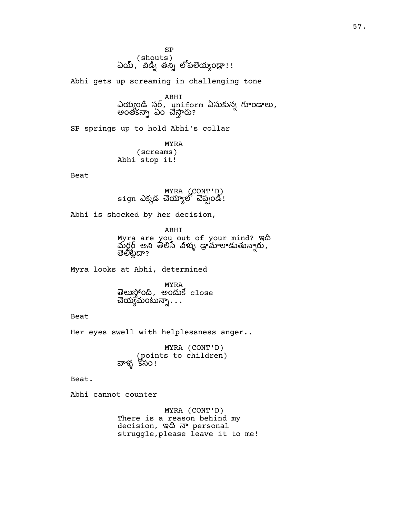SP , (shouts)<br>ఏయ్ , వీడ్ని తన్ని లోపలెయ్యండ్రా!!

Abhi gets up screaming in challenging tone

ABHI ఎయ్యండి స్తర్, uniform ఏసుకున్న గూండాలు, అంతక ఏం ?

SP springs up to hold Abhi's collar

MYRA (screams) Abhi stop it!

Beat

MYRA (CONT'D) sign ఎక్కడ చెయ్యాలో చెప్పండి!

Abhi is shocked by her decision,

ABHI Myra are you out of your mind? ఇ మర్దర్ అని తెలిసే విళ్ళు డ్రామాలాడుతున్నారు, తెలిొట్టేదా?

Myra looks at Abhi, determined

MYRA తెలుస్తోంది, అందుకే close చెయ్యమంటున్నా $\,\ldots\,$ 

Beat

Her eyes swell with helplessness anger..

MYRA (CONT'D) (points to children) వాళ్ళ `కోసం!

Beat.

Abhi cannot counter

MYRA (CONT'D) There is a reason behind my decision, ఇది నా personal struggle,please leave it to me!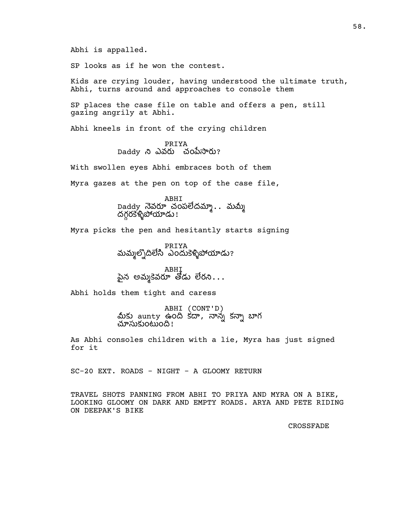Abhi is appalled.

SP looks as if he won the contest.

Kids are crying louder, having understood the ultimate truth, Abhi, turns around and approaches to console them

SP places the case file on table and offers a pen, still gazing angrily at Abhi.

Abhi kneels in front of the crying children

PRIYA Daddy ని ఎవరు చంపేసారు?

With swollen eyes Abhi embraces both of them

Myra gazes at the pen on top of the case file,

ABHI Daddy నెవరూ చంపలేదమ్మా.. మమ్మీ ౼ౘౘౘఀఄౣౢఄౘ<sup>ౚ</sup>ౘూడు !

Myra picks the pen and hesitantly starts signing

PRIYA మమ్మల్నోదిలేసి ఎందుకెళ్ళిపోయాడు?

ABHI పైన అమ్మకెవరూ తోడు లేరని $\ldots$ 

Abhi holds them tight and caress

ABHI (CONT'D)<br>మీకు aunty ఉంది కదా, నాన్న కన్నా బాగ చూసుకుంటుంది!

As Abhi consoles children with a lie, Myra has just signed for it

SC-20 EXT. ROADS - NIGHT - A GLOOMY RETURN

TRAVEL SHOTS PANNING FROM ABHI TO PRIYA AND MYRA ON A BIKE, LOOKING GLOOMY ON DARK AND EMPTY ROADS. ARYA AND PETE RIDING ON DEEPAK'S BIKE

CROSSFADE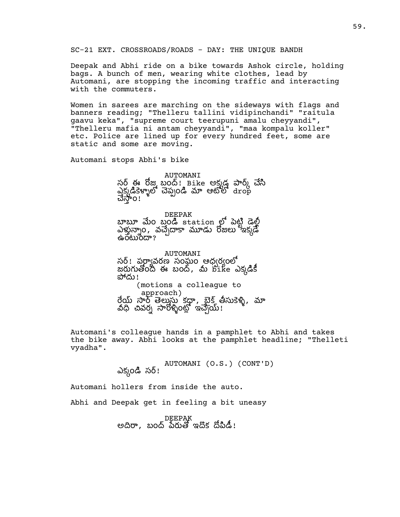SC-21 EXT. CROSSROADS/ROADS - DAY: THE UNIQUE BANDH

Deepak and Abhi ride on a bike towards Ashok circle, holding bags. A bunch of men, wearing white clothes, lead by Automani, are stopping the incoming traffic and interacting with the commuters.

Women in sarees are marching on the sideways with flags and banners reading; "Thelleru tallini vidipinchandi" "raitula gaavu keka", "supreme court teerupuni amalu cheyyandi", "Thelleru mafia ni antam cheyyandi", "maa kompalu koller" etc. Police are lined up for every hundred feet, some are static and some are moving.

Automani stops Abhi's bike

AUTOMANI సర్ ఈ రోజు బంద్! Bike అక్షుడ్త పార్క్ చేసి ఎక్కడికెళ్ళాలో చెప్పండి మా ఆటోలో drop చేస్తోo!

DEEPAK బాబూ మేం బండి station లో పెట్టి డెల్లీ ఎళ్తున్నాం, వచ్చేదాకా మూడు రోజులు ఇక్కడే ക $\sim$ ൻഡ് $\sim$ 

AUTOMANI సర్! పర్వావరణ సంఘం ఆధ్వర్యంలో జరుగుతోంది ఈ బంద్, మీ bike ఎక్కడికీ పోదు! (motions a colleague to approach) రేయ్ సార్ తెలుస్తు కద్గా, బైక్ తీసుకెళ్ళి, మా వధ చివర్న సారోళ్ళింట్లో ఇచ్చేయ్!

Automani's colleague hands in a pamphlet to Abhi and takes the bike away. Abhi looks at the pamphlet headline; "Thelleti vyadha".

> AUTOMANI (O.S.) (CONT'D) ఎక్కండి సర్!

Automani hollers from inside the auto.

Abhi and Deepak get in feeling a bit uneasy

DEEPAK అదిరా, బంద్ పేరుతో ఇదొక దోపిడీ!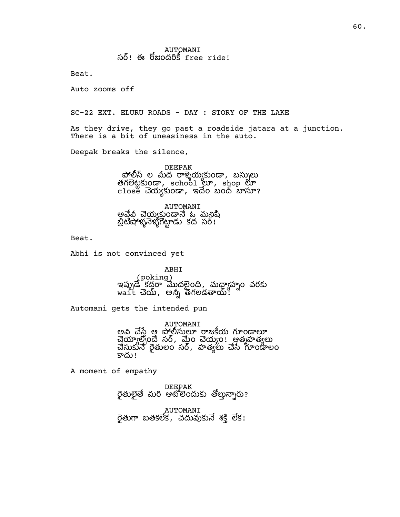Beat.

Auto zooms off

SC-22 EXT. ELURU ROADS - DAY : STORY OF THE LAKE

As they drive, they go past a roadside jatara at a junction. There is a bit of uneasiness in the auto.

Deepak breaks the silence,

DEEPAK పోలీస్ ల మీద రాళ్ళెయ్యకుండా, బస్సులు తగలెట్టకుండా, school లూ, shop లూ close చెయ్యకుండా, ఇదేం బంద్ బాసూ?

AUTOMANI అవేవి చెయ్యక్తుండానే ఓ మనిషి బ్రిటీషాళ్ళనెళ్ళగొట్టాడు కద సర్!

Beat.

Abhi is not convinced yet

ABHI (poking) ఇప్పుడే కద్దరా మొదలైంది, మధ్యాహ్నం వరకు wait , అ తగలడ!

Automani gets the intended pun

AUTOMANI అవి చేసే ఆ పోలీసులూ రాజకీయ గూండాలూ చెయ్యాల్సిందే సర్, మైం చెయ్యం! ఆత్మహత్యలు చేసుకునే రైతులం సర్, హత్యలు చేసే గూండాలం కాదు!

A moment of empathy

DEEPAK రైతులైతే మరి ఆటోలెందుకు తోల్తున్నారు?

AUTOMANI రైతుగా బతకలేక, చదువుకునే శక్తి లేక!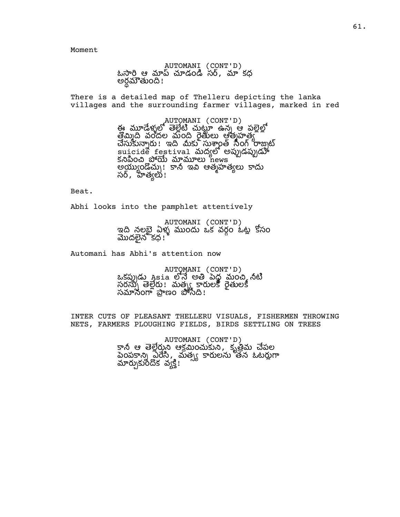Moment

AUTOMANI (CONT'D) ఓసారి ఆ మాప్ చూడండి సర్, మా కధ అర్ధమౌతుంది !

There is a detailed map of Thelleru depicting the lanka villages and the surrounding farmer villages, marked in red

> AUTOMANI (CONT'D)<br>ఈ మూడేళులో తెలేటి చుటూ ఉన్న ఆ పలెలో తొమింది మంది రెత్తులు ఆత్మహత్య చేసుకున్నారు ! ఇది మీకు సుశ్వాంత్ సింగ్ రాజ్నట్  $\mathsf{suicide}$  festival మద్యలో అప్పుడప్పుడూ కనిపించి పోయే మామూలు news అయ్యుండొచ్చు! కానీ ఇవి ఆత్మహత్యలు కాదు సర్, హత్యలు!

Beat.

Abhi looks into the pamphlet attentively

AUTOMANI (CONT'D) ఇది నలబె ఏళ్లు ముందు ఒక వరం ఓట కోసం మొదలైనౌకధ!

Automani has Abhi's attention now

AUTOMANI (CONT'D) ఒకస్పుడు Asia లోనే అతి పెద్ద మంచి నీటి సరస్సు తెల్లేరు! మత్స్మ కారులకో రైతులకీ సనం ణం !

INTER CUTS OF PLEASANT THELLERU VISUALS, FISHERMEN THROWING NETS, FARMERS PLOUGHING FIELDS, BIRDS SETTLING ON TREES

> AUTOMANI (CONT'D) కానీ ఆ తెల్లేరుని ఆక్రమించుకుని, కృత్రీమ చేపల ప్రైంపకాన్ని విరేసి, మత్స్య కారులను తన ఓటర్లుగా మార్చుకుందిక వ్యక్తి!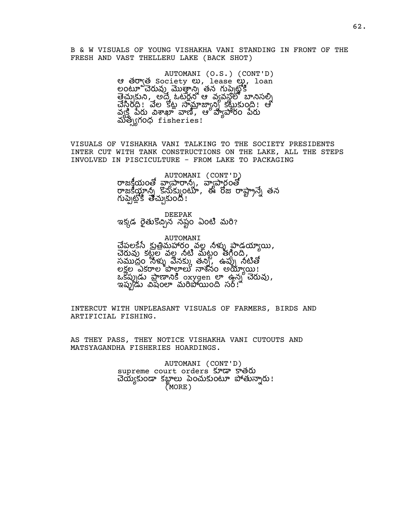B & W VISUALS OF YOUNG VISHAKHA VANI STANDING IN FRONT OF THE FRESH AND VAST THELLERU LAKE (BACK SHOT)

> AUTOMANI (O.S.) (CONT'D) ఆ తరా్త Society లు, lease లు, loan లంటూ చేయవు మొత్తాని తన గుప్పెటోకి  $\vec{P}$ త్ర అందే, గ్రాండ్ ఆ వ్యవస్థలో బానిసల్ని చేసింది! వేల కోట్ల సామాజ్యాన్ని కట్టుకుంది! ఆ వ్వక్తి పేరు విశాఖా వాణి, ఆ వ్యవారం పేరు మతగంధ fisheries!

VISUALS OF VISHAKHA VANI TALKING TO THE SOCIETY PRESIDENTS INTER CUT WITH TANK CONSTRUCTIONS ON THE LAKE, ALL THE STEPS INVOLVED IN PISCICULTURE - FROM LAKE TO PACKAGING

> AUTOMANI (CONT'D) రాజక్తీయంతో వ్యాపారాన్ని, వ్యాపార్థంతో రాజకీయ్లాన్ని కొనుక్కుంటూ, ఈ రోజు రాష్ట్రాన్నే తన గుప్పెట్లోకి తెచ్చుకుంది!

DEEPAK ఇక్కడ రైతుకొచ్చిన నష్టం ఏంటి మరి?

AUTOMANI చేపలకేసే క్రుత్రిమహారం వల్ల నీళ్ళు పాడ్డయ్యాయి, చేరువు కట్టల వల్ల నీటి మీట్టం తగ్గింది, సముద్రం నీళ్ళు వేనక్కు తన్ని, ఉప్పు నటితో లకల ఎకల శనం అ!  $\alpha$ కోచ్చుడు ప్రాణానికి oxygen లా ఉన్న చేరువు, ఇప్పుడు విషంలా మరిపోయింది సర్!ి

INTERCUT WITH UNPLEASANT VISUALS OF FARMERS, BIRDS AND ARTIFICIAL FISHING.

AS THEY PASS, THEY NOTICE VISHAKHA VANI CUTOUTS AND MATSYAGANDHA FISHERIES HOARDINGS.

> AUTOMANI (CONT'D) supreme court orders త యం క ంం ! (MORE)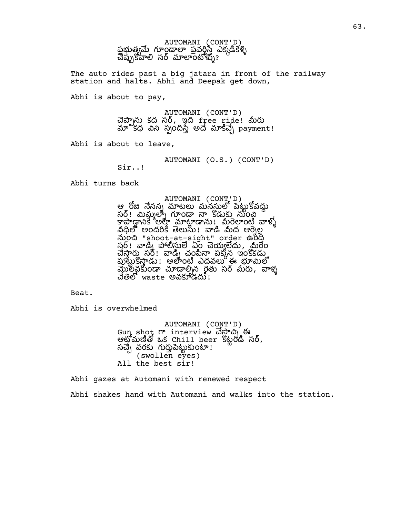

The auto rides past a big jatara in front of the railway station and halts. Abhi and Deepak get down,

Abhi is about to pay,

AUTOMANI (CONT'D) చెప్పాను కద సర్, ఇది free ride! మీరు మాొకధ విని స్పందిస్తే అదే మాకిచ్చే payment!

Abhi is about to leave,

AUTOMANI (O.S.) (CONT'D)

Sir..!

Abhi turns back

AUTOMANI (CONT'D) ఆ రోజు నేనన్న మాటలు మనసులో పెటుకోవదు సర్! మిమ్మల్ని గూండా నా కొడుకు నుంచి <u>కాపాడానికే అల్లా మాట్లాడాను !</u> మరెలాంటి వాళ్ళో నీధిలో అందరికీ తెలుసు! వాడి మీద ఆర్నెల్ల<br>నుంచి "shoot-at-sight" order ఉంది సర్! వాడ్ని పోలీస్తులే ఏం చెయ్యలేదు, మైరేం చేస్తారు. సర్: వాడ్ని చంపినా పక్కన ఇంకోకడు. పుట్టుకొస్తాడు! అతాంటి ఎదవలు ఈ భూమిలో మొలవకుండా చూడాల్సిన రైతు సర్ మీరు, వాళ్ళ చేతిలో waste అవకూడదు:

Beat.

Abhi is overwhelmed

AUTOMANI (CONT'D) Gun shot interview ఈ  $\omega$  ဆိုသီးဆီမြီး  $\omega$ s Chill beer sီမ္ႀပီး సర్, సచ్చే వరకు గుర్తుపెట్టుకుంటా! (swollen eyes) All the best sir!

Abhi gazes at Automani with renewed respect Abhi shakes hand with Automani and walks into the station.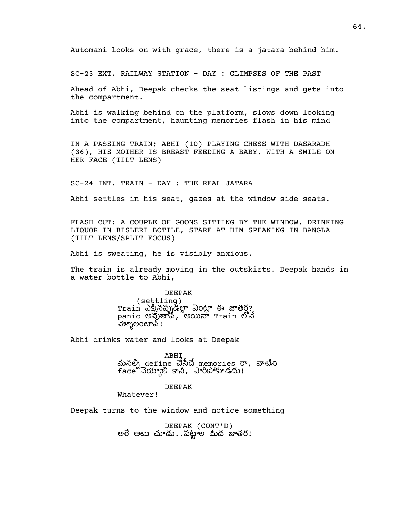Automani looks on with grace, there is a jatara behind him.

SC-23 EXT. RAILWAY STATION - DAY : GLIMPSES OF THE PAST

Ahead of Abhi, Deepak checks the seat listings and gets into the compartment.

Abhi is walking behind on the platform, slows down looking into the compartment, haunting memories flash in his mind

IN A PASSING TRAIN; ABHI (10) PLAYING CHESS WITH DASARADH (36), HIS MOTHER IS BREAST FEEDING A BABY, WITH A SMILE ON HER FACE (TILT LENS)

SC-24 INT. TRAIN - DAY : THE REAL JATARA

Abhi settles in his seat, gazes at the window side seats.

FLASH CUT: A COUPLE OF GOONS SITTING BY THE WINDOW, DRINKING LIQUOR IN BISLERI BOTTLE, STARE AT HIM SPEAKING IN BANGLA (TILT LENS/SPLIT FOCUS)

Abhi is sweating, he is visibly anxious.

The train is already moving in the outskirts. Deepak hands in a water bottle to Abhi,

### DEEPAK

(settling) Train ఎక్కినప్నుడల్లా ఏంట్రా ఈ జాతర? panic అవుతావ్, అయినా Train లోనే వెళ్ళాలంటావ్!

Abhi drinks water and looks at Deepak

ABHI మనల్ని define చేసేదే memories రా, వాటిని face చెయ్యాలి కానీ, పారిపోకూడదు!

### DEEPAK

Whatever!

Deepak turns to the window and notice something

DEEPAK (CONT'D) అరే అటు చూడు. .పట్టాల మీద జాతర!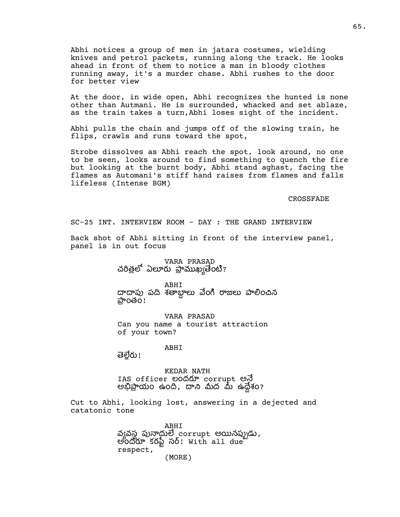Abhi notices a group of men in jatara costumes, wielding knives and petrol packets, running along the track. He looks ahead in front of them to notice a man in bloody clothes running away, it's a murder chase. Abhi rushes to the door for better view

At the door, in wide open, Abhi recognizes the hunted is none other than Autmani. He is surrounded, whacked and set ablaze, as the train takes a turn,Abhi loses sight of the incident.

Abhi pulls the chain and jumps off of the slowing train, he flips, crawls and runs toward the spot,

Strobe dissolves as Abhi reach the spot, look around, no one to be seen, looks around to find something to quench the fire but looking at the burnt body, Abhi stand aghast, facing the flames as Automani's stiff hand raises from flames and falls lifeless (Intense BGM)

CROSSFADE

SC-25 INT. INTERVIEW ROOM - DAY : THE GRAND INTERVIEW

Back shot of Abhi sitting in front of the interview panel, panel is in out focus

> VARA PRASAD చరిత్రలో ఏలూరు ప్రాముఖ్యతేంటి?

ABHI దాదాపు పది శతాబాలు వేంగి రాజలు పాలించిన పాంతం!

VARA PRASAD Can you name a tourist attraction of your town?

ABHI

తెల్లేరు!

KEDAR NATH IAS officer లందరూ corrupt అనే అయం ఉం, ద ఉ శం?

Cut to Abhi, looking lost, answering in a dejected and catatonic tone

> ABHI వ్యవస్థ పునార్జులే corrupt అయినప్పుడు, అంద కర స! With all due respect, (MORE)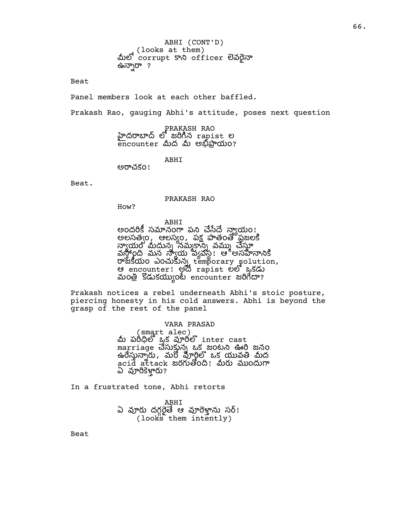ABHI (CONT'D) (looks at them)<br>බාව corrupt 5 හා officer මින්ටිත ఉన్నారా ?

Beat

Panel members look at each other baffled.

Prakash Rao, gauging Abhi's attitude, poses next question

PRAKASH RAO హైదరాబాద్ లో జరిగిన rapist ల  $\overline{\text{enc}}$ ounter మీద మీ అబ్దిపాయం?

ABHI

అచకం!

Beat.

### PRAKASH RAO

How?

ABHI

అందరికీ సమానంగా పని చేసేదే న్యాయం! అలసత్వం, ఆలస్యం, పక్ష పాతంతో ఫ్రజలకి నాయం మీదును నముకాని వము చేస్తూ వస్థాంది మన స్వాయ వ్యవస్థ! ఆ అసహనానికి  $\overline{\text{C}}$   $\alpha$   $\alpha$   $\beta$   $\alpha$   $\beta$   $\alpha$   $\beta$   $\beta$   $\alpha$   $\beta$   $\beta$   $\alpha$   $\beta$   $\beta$   $\alpha$   $\beta$   $\beta$   $\alpha$   $\beta$   $\beta$   $\beta$   $\alpha$   $\beta$   $\beta$   $\beta$   $\alpha$   $\beta$   $\beta$   $\beta$   $\alpha$   $\beta$   $\beta$   $\beta$   $\alpha$   $\beta$   $\beta$   $\beta$   $\alpha$   $\beta$   $\beta$   $\beta$   $\alpha$ ఆ encounter! అదే rapist లలో ఒకడు మంత్రి కొడుకయ్యుంటే encounter జరిగేదా?

Prakash notices a rebel underneath Abhi's stoic posture, piercing honesty in his cold answers. Abhi is beyond the grasp of the rest of the panel

### VARA PRASAD

(smart alec)<br>మీ పరిధిలో ఒక వూరిలో inter cast marriage చేసుకున్న ఒక జంటని ఊరి జనం ఉ, మ ఒక వ ద acid attack జరగుతోంది! మీరు ముందుగా ఏ వూరికెళ్తారు?

In a frustrated tone, Abhi retorts

ABHI ఏ వూరు దగ్గరైతే ఆ వూరెళ్తాను సర్! (looks them intently)

Beat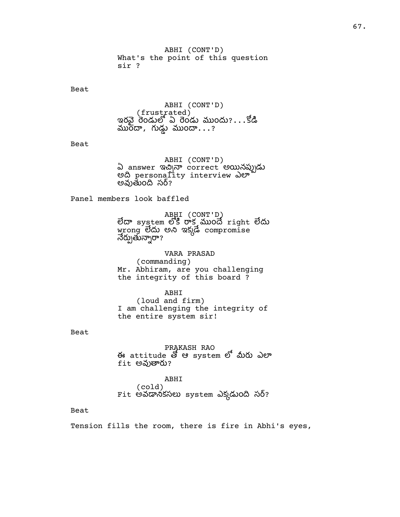ABHI (CONT'D) What's the point of this question sir ?

Beat

ABHI (CONT'D) (frustrated) ఇరవై రెండులో ఏ రెండు ముందు? $\ldots$ కోడి  $\overline{\text{w}}$ రేదా, గుడ్డు ముందా...?

Beat

ABHI (CONT'D) ఏ answer ఇచ్చినా correct అయినప్పుడు అది personality interview ఎలా అవుతుంది సర్?

Panel members look baffled

ABHI (CONT'D) లేదా system లోకి రాక ముందే right లేదు wrong లేదు అని ఇక్కడే compromise నేర్చుతున్నారా?

VARA PRASAD (commanding) Mr. Abhiram, are you challenging the integrity of this board ?

ABHI (loud and firm) I am challenging the integrity of the entire system sir!

Beat

PRAKASH RAO ఈ attitude ఆ system లో మీరు ఎలా  $fit$  అవుతారు?

ABHI (cold) Fit అవడానికసలు system ఎక్కడుంది సర్?

## Beat

Tension fills the room, there is fire in Abhi's eyes,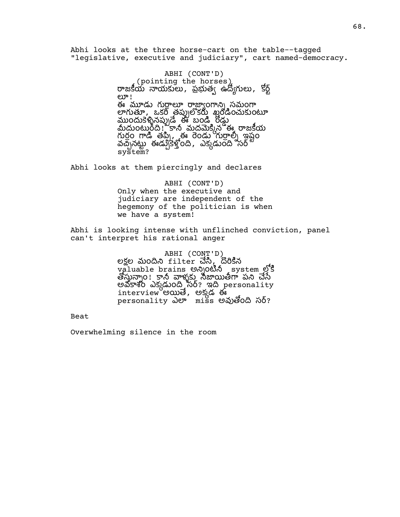Abhi looks at the three horse-cart on the table--tagged "legislative, executive and judiciary", cart named-democracy.

> ABHI (CONT'D) (pointing the horses) రాజకీయ నాయకులు, ప్రభుత్వ ఉద్యోగులు, కోర్ట్ ಲ್! ఈ మూడు గురాలూ రాజాఁంగాని৷ సమంగా లాగుతూ, ఒకరి తప్పులోకరు ఖరడించుకుంటూ ముందుకేశ్వినప్పుడే ఈ బండి రోడు మీదుంటురీది! కానీ మదమెక్కిన ఈ రాజకీయ గుర్రం గాడి తప్పి, ఈ రెండు గుర్రాల్ని ఇష్టం వచ్చేసట్టు ఈడ్రుకేళ్లోంది, ఎక్కడుంది సర్ system?

Abhi looks at them piercingly and declares

# ABHI (CONT'D) Only when the executive and judiciary are independent of the hegemony of the politician is when we have a system!

Abhi is looking intense with unflinched conviction, panel can't interpret his rational anger

> ABHI (CONT'D) లక్షల మందిని filter చేసి, దొరికిన valuable brains అన్నింటిన system లోకి తోస్తున్నాం! కానీ వాళ్ళకు నిజాయితీగా పని చేసే అవకాశం ఎక్కడుంది సర్? ఇది personality interview అయితే, అక్కడ ఈ personality ఎలా miss అవుతోంది సర్?

Beat

Overwhelming silence in the room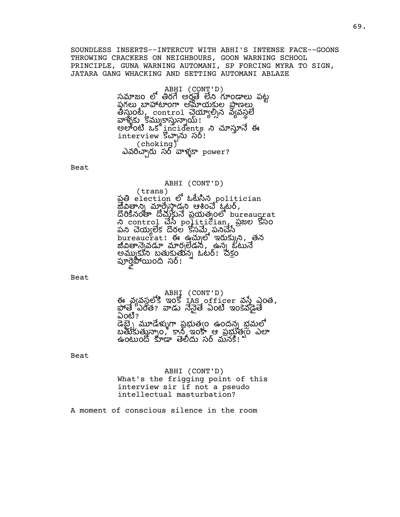SOUNDLESS INSERTS--INTERCUT WITH ABHI'S INTENSE FACE--GOONS THROWING CRACKERS ON NEIGHBOURS, GOON WARNING SCHOOL PRINCIPLE, GUNA WARNING AUTOMANI, SP FORCING MYRA TO SIGN, JATARA GANG WHACKING AND SETTING AUTOMANI ABLAZE

> ABHI (CONT'D) సమాజం లో తిరగే అర్హతే లేని గూండాలు పట్ట<br>పగలు బాహాటాంగా అమాయకుల పాణలు తీస్తుంటే, control చేయ్యాల్సిన వ్యవస్థలే వాళ్ళకు కమ్మూకాస్తున్నాయ్! అలాంటి ఒక incidents ని చూస్తూనే ఈ interview కొచ్చాను సర్! (choking) ఎవరిచ్చారు సర్ వాళ్ళకా power?

Beat

## ABHI (CONT'D)

(trans) ప్రతి election లో ఓటేసిన politician జీవిత్రాన్ని మార్చేస్తాడని ఆశించే ఓటర్,  $\ddot{\textrm{co}}$   $\ddot{\textrm{co}}$   $\ddot{\textrm{co}}$   $\ddot{\textrm{co}}$   $\ddot{\textrm{co}}$   $\ddot{\textrm{co}}$   $\ddot{\textrm{O}}$   $\ddot{\textrm{O}}$   $\ddot{\textrm{O}}$   $\ddot{\textrm{O}}$   $\ddot{\textrm{O}}$   $\ddot{\textrm{O}}$   $\ddot{\textrm{O}}$   $\ddot{\textrm{O}}$   $\ddot{\textrm{O}}$   $\ddot{\textrm{O}}$   $\ddot{\textrm{O}}$  control politician, పజల సం పని చెయిఁలేక దొరల కోసమే పనిచేసే bureaucrat! ఈ ఉచ్చులో ఇరుక్కుని, తన జీవితాన్నేవడూ మార్చలెడని, ఉన్న ఓటునే అమ్ముకుని బతుకుతున్న ఓటర్! చక్రం పూర్తైపోయింది సర్!

Beat

# ABHI (CONT'D)

ఈ వ్యవస్థలోకి ఇంకో IAS officer వస్తే ఎంత,<br>ప్రోత్తే ఎంత? వాడు నేనైతే ఏంటి ఇంకెవడైతే ఏంటి? ...<br>డెబె <sub>\</sub> మూడేళ్ళుగా పభుత్వం ఉందన్న భమలో బతుకుతున్నాం, కాన ఇంకా ఆ ప్రభుత్వం ఎలా ఉంటుందో కూడా తెలిదు సర్ మనకి!

### Beat

ABHI (CONT'D) What's the frigging point of this interview sir if not a pseudo intellectual masturbation?

A moment of conscious silence in the room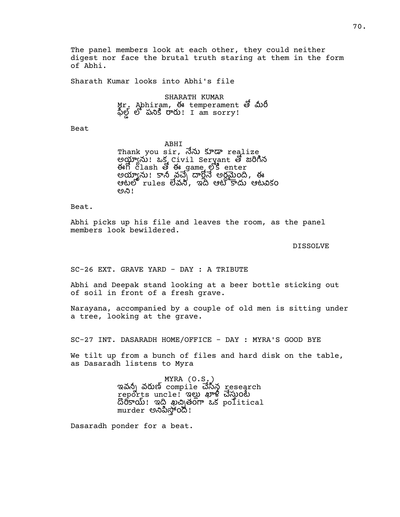The panel members look at each other, they could neither digest nor face the brutal truth staring at them in the form of Abhi.

Sharath Kumar looks into Abhi's file

SHARATH KUMAR Mr. Abhiram, ఈ temperament లో మీరీ  $\frac{1}{2}$ ల్లో పనికి రారు! I am sorry!

Beat

ABHI Thank you sir, నేను కూడా realize అయ్యాను! ఒక Civil Servant తో జరిగిన ఈగో clash తో ఈ game లోకి enter అయ్యాను! కానీ వచ్చే దార్లోనే అర్ధమైంది, ఈ ఆటలో rules లేవని, ఇది ఆటోకాదు ఆటవికం ಅನಿ!

Beat.

Abhi picks up his file and leaves the room, as the panel members look bewildered.

DISSOLVE

SC-26 EXT. GRAVE YARD - DAY : A TRIBUTE

Abhi and Deepak stand looking at a beer bottle sticking out of soil in front of a fresh grave.

Narayana, accompanied by a couple of old men is sitting under a tree, looking at the grave.

SC-27 INT. DASARADH HOME/OFFICE - DAY : MYRA'S GOOD BYE

We tilt up from a bunch of files and hard disk on the table, as Dasaradh listens to Myra

> MYRA  $(0.5)$ ఇవన్నీ వరుణ్ compile చేసిన research reports uncle! ఇల్లు ఖాళీ చేస్తుంటే దొరికాయ్! ఇది ఖచ్చితంగా ఒక political murder అనిపిస్తోంది!

Dasaradh ponder for a beat.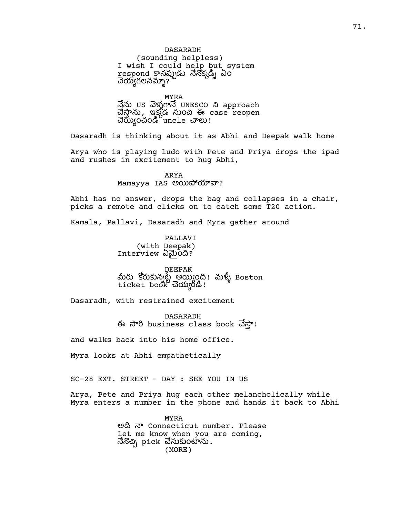# DASARADH

(sounding helpless) I wish I could help but system respond కానప్పుడు నెనొక్కడ్ని ఎo చెయ్యగలనమ్మా?

MYRA

నేను US వెళ్ళగానే UNESCO ని approach , ఇకడ ం ఈ case reopen చెయ్యించండి $^{\rm o}$ unc $1$ e చాలు!

Dasaradh is thinking about it as Abhi and Deepak walk home

Arya who is playing ludo with Pete and Priya drops the ipad and rushes in excitement to hug Abhi,

> ARYA Mamayya IAS అయిపోయావా?

Abhi has no answer, drops the bag and collapses in a chair, picks a remote and clicks on to catch some T20 action.

Kamala, Pallavi, Dasaradh and Myra gather around

PALLAVI (with Deepak) Interview ఏమైంది?

DEEPAK మీరు కోరుకున్నట్టే అయ్యింది! మళ్ళీ Boston ticket book *చెయ్య*ండి!

Dasaradh, with restrained excitement

DASARADH <del>ਲ</del> ਨਾਰੇ business class book ਹੋਨਾਂ!

and walks back into his home office.

Myra looks at Abhi empathetically

SC-28 EXT. STREET - DAY : SEE YOU IN US

Arya, Pete and Priya hug each other melancholically while Myra enters a number in the phone and hands it back to Abhi

> MYRA అ Connecticut number. Please let me know when you are coming, నేనొచ్చి pick చేసుకుంటాను $\boldsymbol{\cdot}$ (MORE)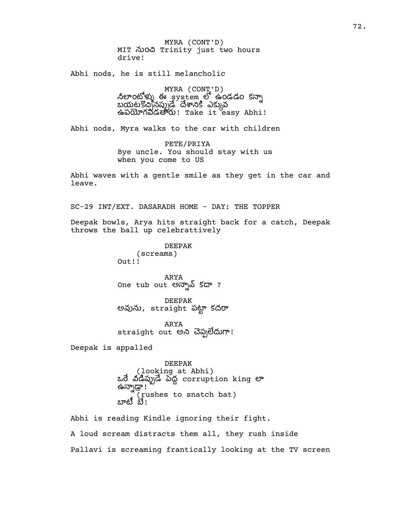MYRA (CONT'D) MIT నుంచి Trinity just two hours drive!

Abhi nods, he is still melancholic

MYRA (CONT'D) నలాంట్హోట్ను ఈ క్రాంక్షేంగ్ లో ఉండడం కన్నా బయటకొచ్చినప్పుడే దేశానికి ఎక్కువ ఉపయోగపడతారు! Take it easy Abhi!

Abhi nods, Myra walks to the car with children

PETE/PRIYA Bye uncle. You should stay with us when you come to US

Abhi waves with a gentle smile as they get in the car and leave.

SC-29 INT/EXT. DASARADH HOME - DAY: THE TOPPER

Deepak bowls, Arya hits straight back for a catch, Deepak throws the ball up celebrattively

> DEEPAK (screams) Out!!

ARYA One tub out అన్నావ్ కదా ?

DEEPAK అవును, straight పట్టా కదరా

ARYA straight out అని చెప్పలెదుగా!

Deepak is appalled

DEEPAK (looking at Abhi)  $\omega$  and  $\overline{\omega}$  and  $\overline{\omega}$  corruption king er . ''ಪುರ್ಗ (rushes to snatch bat) బాటీ బే!

Abhi is reading Kindle ignoring their fight. A loud scream distracts them all, they rush inside Pallavi is screaming frantically looking at the TV screen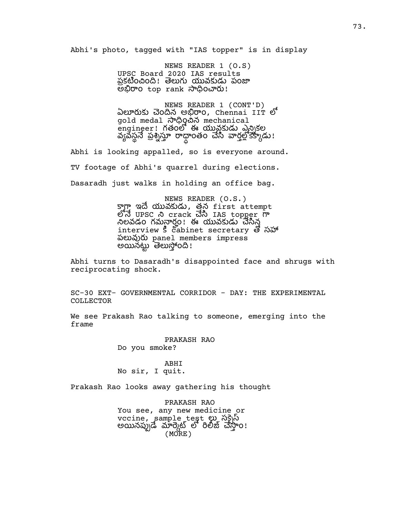Abhi's photo, tagged with "IAS topper" is in display

NEWS READER 1 (O.S) UPSC Board 2020 IAS results ప్రకటించింది! తెలుగు యువకుడు పంజా అభిరాo top rank సాధించారు!

NEWS READER 1 (CONT'D) ఏలూరుకు చెందిన అభిరాం, Chennai IIT లో gold medal సాధించిన mechanical engineer! గతంలో ఈ యువకుడు ఎన్నికల వ్యవస్థనే ప్రశ్నిస్తూ రాధాంతం చేసి వార్తల్లోకేక్కాడు!

Abhi is looking appalled, so is everyone around. TV footage of Abhi's quarrel during elections. Dasaradh just walks in holding an office bag.

> NEWS READER (O.S.) syp ఇదే యువకుడు, తన first attempt UPSC crack IAS topper నిలవడం గమనార్హం! ఈ యువకుడు చేసిన interview 5 cabinet secretary & సహ ప panel members impress అన ం!

Abhi turns to Dasaradh's disappointed face and shrugs with reciprocating shock.

SC-30 EXT- GOVERNMENTAL CORRIDOR - DAY: THE EXPERIMENTAL COLLECTOR

We see Prakash Rao talking to someone, emerging into the frame

> PRAKASH RAO Do you smoke?

ABHI No sir, I quit.

Prakash Rao looks away gathering his thought

PRAKASH RAO You see, any new medicine or vccine, sample test స అన ం! (MORE)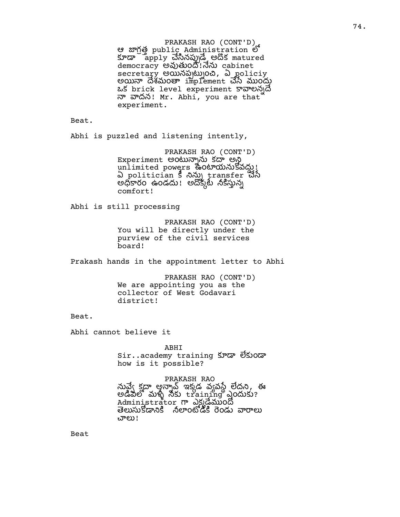PRAKASH RAO (CONT'D) e *mo*g public Administration of కూడా apply చేసినప్పుడే అదొక matured democracy అవుతుంది!నేను cabinet secretary అయినప్పట్నుంచి, ఏ policiy అయినా దేశమంతా implement చేసే ముందు ఒక brick level experiment కావాలన)దే  $\overline{a}$  నాదన! Mr. Abhi, you are that experiment.

Beat.

Abhi is puzzled and listening intently,

PRAKASH RAO (CONT'D) Experiment అంటున్నాను కదా అని unlimited powers ఉంయవ ! ఏ politician § నిన్ను transfer చేసే అధికారం ఉండదు! అదోక్కట్ నికిస్తున్న comfort!

Abhi is still processing

PRAKASH RAO (CONT'D) You will be directly under the purview of the civil services board!

Prakash hands in the appointment letter to Abhi

PRAKASH RAO (CONT'D) We are appointing you as the collector of West Godavari district!

Beat.

Abhi cannot believe it

ABHI

sir..academy training కూడా లేకుండా how is it possible?

PRAKASH RAO

నువ్వే క్షదా అన్మాడ్ వాడ్ వ్యవస్థే లేదని, ఈ అడిపిలో మళ్ళీ నీకు  ${\rm tr}$ a ${\rm i}$ n ${\rm tr}$ m ${\rm tr}$  ఎందుకు? Administrator గా ఎ<u>క్క</u>డేముందో తెలుసుకోడానికి నలాంటోడీకి రెండు వారాలు చాలు!

Beat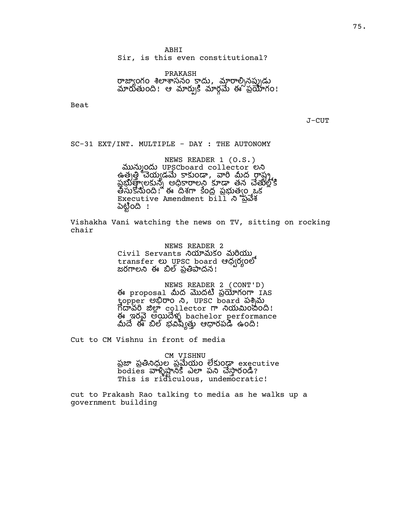PRAKASH రాజ్యాంగం శిలాశాసనం కాదు, మారాల్నినప్పుడు మారుతుంది! ఆ మార్పుకి మార్గమే ఈ ప్రయోగం!

Beat

J-CUT

SC-31 EXT/INT. MULTIPLE - DAY : THE AUTONOMY

NEWS READER 1 (O.S.) మున్ముందు UPSCboard collector లని ఉత్పత్తి చెయ్యడమే కాకుండా, వారి మీద రాష్ట్ర పబుత్రాలకున్న అదికారాలని కూడా తన చేతులోకి తేసుకోనుంది! ఈ దిశగా కేంద్ర ప్రభుత్వం ఒక Executive Amendment bill ని ప్రవేశ పెట్టింది !

Vishakha Vani watching the news on TV, sitting on rocking chair

> NEWS READER 2 Civil Servants నియామకం మరియు transfer లు UPSC board ఆధ(ర్యంలో జరగాలని ఈ బిల్ ప్రతిపాదన!

NEWS READER 2 (CONT'D) ఈ proposal మీద మొదటి ప్రయోగంగా  $ias$ topper అభిరాం ని, UPSC board పశ్చిమ  $\tilde{\Omega}$ దావరి జిల్లా collector గా నియమించింది! ఈ ఇరనై అయిదేళ్ళ bachelor performance మీదే ఈ బిల్ భవిష్యత్తు ఆధారపడి ఉంది!

Cut to CM Vishnu in front of media

#### CM VISHNU

పజా ప్రతినిధుల ప్రమేయం లేకుండా executive bodies వాళ్ళిష్టాన్లో ఎలా పని చేస్తారండి? This is ridiculous, undemocratic!

cut to Prakash Rao talking to media as he walks up a government building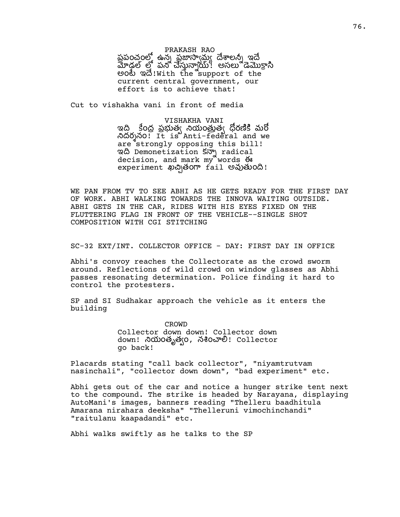PRAKASH RAO

పపంచంలో ఉన్న పజాస్టామ్ దేశాలన్న ఇదే మోడల్ లో పని చేస్తున్నాయి! అసలు డెమొక్రాసి eo හි අත්!With the support of the current central government, our effort is to achieve that!

Cut to vishakha vani in front of media

VISHAKHA VANI ఇది ్కేంద పబుత్వ నియంతుత్వ దోరణికి మరో దరనం! It is Anti-federal and we are strongly opposing this bill! ಇ Demonetization కన్నా radical decision, and mark my words <del>O</del> experiment ఖచ్చితంగా fail అవుతుంది!

WE PAN FROM TV TO SEE ABHI AS HE GETS READY FOR THE FIRST DAY OF WORK. ABHI WALKING TOWARDS THE INNOVA WAITING OUTSIDE. ABHI GETS IN THE CAR, RIDES WITH HIS EYES FIXED ON THE FLUTTERING FLAG IN FRONT OF THE VEHICLE--SINGLE SHOT COMPOSITION WITH CGI STITCHING

SC-32 EXT/INT. COLLECTOR OFFICE - DAY: FIRST DAY IN OFFICE

Abhi's convoy reaches the Collectorate as the crowd sworm around. Reflections of wild crowd on window glasses as Abhi passes resonating determination. Police finding it hard to control the protesters.

SP and SI Sudhakar approach the vehicle as it enters the building

> CROWD Collector down down! Collector down down! నియంతృత్వం, నశించాలి! Collector go back!

Placards stating "call back collector", "niyamtrutvam nasinchali", "collector down down", "bad experiment" etc.

Abhi gets out of the car and notice a hunger strike tent next to the compound. The strike is headed by Narayana, displaying AutoMani's images, banners reading "Thelleru baadhitula Amarana nirahara deeksha" "Thelleruni vimochinchandi" "raitulanu kaapadandi" etc.

Abhi walks swiftly as he talks to the SP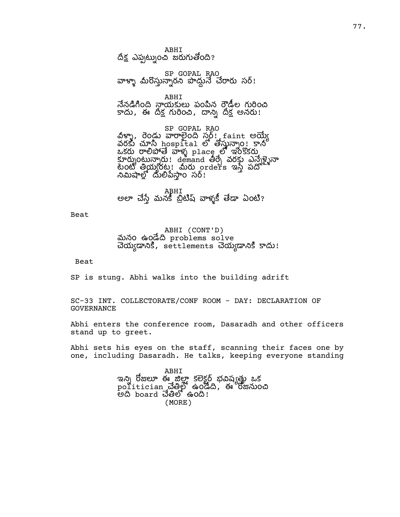ABHI దీక్ష ఎప్పట్నుంచి జరుగుతోంది?

SP GOPAL RAO వాళ్ళా మీరొస్తున్నారని పాద్దునే చేరారు సర్!

ABHI నేనడిగింది నాయకులు పంపిన రౌడీల గురించి కాదు, ఈ దిక్ష గురించి, దాన్ని దిక్ష అనరు!

SP GOPAL RAO వీళ్ళా, రెండు వారాలైంది సర్ట్. faint అయ్యే  $\sim$ రకు చూసి hospital లో తోస్తున్నాం! కానీ  $\alpha$ కరు రాలిపోతే వాళ్ళ  $_{\rm plac}$ ల్లో ఇంకొకరు కూర్పుంటున్నారు! demand తీర్చే వరకు ఎన్నేళ్ళైనా ook తీయీదం: బురు orders ఇస్తే పద్ద నిమిషాల్లో దులిపేస్తాం సర్!

ABHI అలా చేస్తే మనకీ బ్రిటిష్ వాళ్ళకీ తేడా ఏంటి?

Beat

ABHI (CONT'D) మనం ఉండేది problems solve చెయ్యడానికి, settlements చెయ్యడానికి కాదు!

Beat

SP is stung. Abhi walks into the building adrift

SC-33 INT. COLLECTORATE/CONF ROOM - DAY: DECLARATION OF GOVERNANCE

Abhi enters the conference room, Dasaradh and other officers stand up to greet.

Abhi sets his eyes on the staff, scanning their faces one by one, including Dasaradh. He talks, keeping everyone standing

> ABHI ఇన్ని రోజులూ ఈ జిలా కలెకర్ బవిష్ణతు ఒక  $\operatorname{pol}$ itician చేత్తిలో ఉండేది, ఈ రోజనుంచి .<br>అది board చేతిలో ఉంది! (MORE)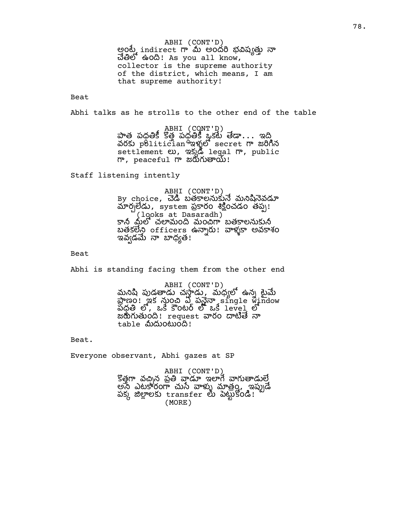ABHI (CONT'D) అంటే indirect గా మీ అందరి భవిష్యత్తు నా  $\vec{a}$ මීම සිංගි! As you all know, collector is the supreme authority of the district, which means, I am that supreme authority!

Beat

Abhi talks as he strolls to the other end of the table

ABHI (CONT'D) పాత పధతికీ కొత్త పధతికి ఒకటే తేడా $\ldots$  ఇద్ది వరకు politician <sup>ఉ</sup>ఇళ్ళలో secret గా జరిగిన settlement లు, ఇక్కడి legal గా, public  $\mathsf{m}$ , peaceful  $\mathsf{m}$  జరుగుతాయ్!

Staff listening intently

ABHI (CONT'D) By choice, చెడి బతకాలనుకునే మనిషినెవడూ మార్చలేడు, system ప్రకారం శిక్షించడం తప్ప! (looks at Dasaradh) కాని మీలో చలామంది మంచిగా బతకాలనుకుని బతకలేని officers ఉన్నారు! వాళ్ళకా అవకాశం ఇవ్వడమే నా బాధ్యత!

Beat

Abhi is standing facing them from the other end

ABHI (CONT'D) మనిషి పుడతాడు చస్తాడు, మధ్యలో ఉన్న టైమే ణం! ఇక ం ఏ ప single window పధతి లో, ఒకే కౌంటర్ లో ఒకే level లో జరుగుతుంది! request వారం దాటితే నా table మీదుంటుంది!

Beat.

Everyone observant, Abhi gazes at SP

ABHI (CONT'D) కొత్తగా వచ్చిన ప్రతి వాడూ ఇలాగే వాగుతాడులే అనే ఎటకారంగా చుసే వాళ్ళు మాత్రం, ఇప్పుడే పక్క జిల్లాలకు transfer లు పెట్టుకోండి! (MORE)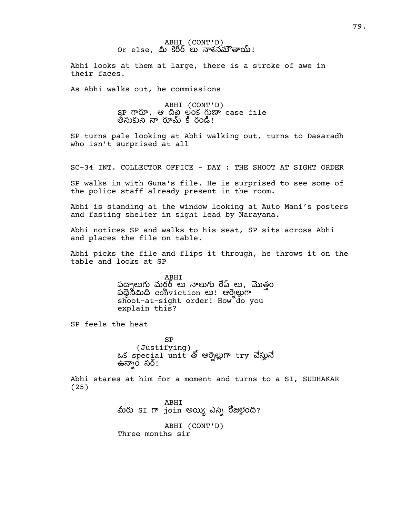## ABHI (CONT'D) or else, మీ కెరీర్ లు నాశనమౌతాయ్!

Abhi looks at them at large, there is a stroke of awe in their faces.

As Abhi walks out, he commissions

ABHI (CONT'D)  $SP$  గారూ, ఆ దీవి లంక గుణా case file తీసుకుని నా రూమ్ కి రండి!

SP turns pale looking at Abhi walking out, turns to Dasaradh who isn't surprised at all

SC-34 INT. COLLECTOR OFFICE - DAY : THE SHOOT AT SIGHT ORDER

SP walks in with Guna's file. He is surprised to see some of the police staff already present in the room.

Abhi is standing at the window looking at Auto Mani's posters and fasting shelter in sight lead by Narayana.

Abhi notices SP and walks to his seat, SP sits across Abhi and places the file on table.

Abhi picks the file and flips it through, he throws it on the table and looks at SP

> ABHI పద్నాలుగు మర్డర్ లు నాలుగు రేప్ లు, మొత్తం ప conviction ! ఆ shoot-at-sight order! How do you explain this?

SP feels the heat

SP (Justifying)<br>ఒక special unit తో ఆర్నెల్లుగా try చేస్తునే ఉన్నాం సర్!

Abhi stares at him for a moment and turns to a SI, SUDHAKAR (25)

> ABHI మీరు SI గా join అయ్యి ఎన్ని రోజులైంది? ABHI (CONT'D) Three months sir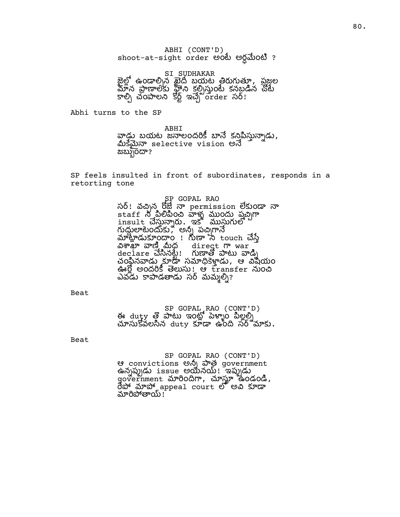ABHI (CONT'D) shoot-at-sight order అంటే అర్ధమేంటి ?

SI SUDHAKAR జైల్లో ఉండాల్సిన ఖైదీ బయట తిరుగుత్తూ, ప్రజ్ఞల మాన పాణాలకు హీని కల్పిస్తుంటే కనబడిన చోటే  $\overline{S}$ ల్సీ ఇచ్చే రా $\overline{S}$ ర్:  $\overline{S}$ ల్) రా $\overline{S}$ 

Abhi turns to the SP

ABHI వాడు బయట<sup>్</sup>ఙనాలందరికీ బానే కనిపిస్తున్నాడు**,**<br>మీకమైనా selective vision అనే  $\alpha$ బ్బుందా?

SP feels insulted in front of subordinates, responds in a retorting tone

> SP GOPAL RAO సర్! వచ్చిన రోజ్లే నా permission లేకుండా నా staff ం ళ ం ప insult చేస్తున్నారు. ఇక ముస్తుగులో *గుద్దు*లాటెందుకు, అన్న పచ్చిగానే we we we have to we have to touch why ல் சுஜூனை 200 direct m war declare చేసినట్టే! గుణాతో పాటు వాడ్ని చంకిన నాడు కూడా సమాధికెళ్లాడు, ఆ విషయం ఊర్ణి అందరికి తెలుసు! ఆ transfer నుంచి ఎవడు కాపాడతాడు సర్ మమ్మల్ని?

Beat

SP GOPAL RAO (CONT'D)<br>ఈ duty తొ పాటు ఇంట్లో పెళ్ళాం పిల్లల్ని<br>చూసుకోవలసిన duty కూడా ఉంది సర్`మాకు.

Beat

SP GOPAL RAO (CONT'D) ఆ convictions అన్ని పాత government ఉన్నప్పుడు issue అయినయ్! ఇప్పుడు where the contract of the code, రేపో మాపో appeal court లో అవి కూడా మారిపోతాయ్!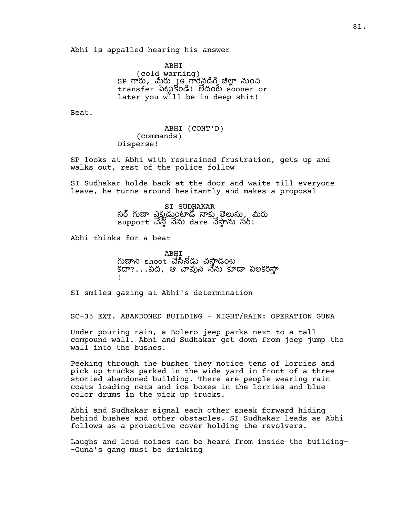Abhi is appalled hearing his answer

ABHI (cold warning) SP గారు, మీరు IG గారీనడిగి జిల్లా నుంచి transfer 30 Nood 8000 sooner or later you will be in deep shit!

Beat.

ABHI (CONT'D) (commands) Disperse!

SP looks at Abhi with restrained frustration, gets up and walks out, rest of the police follow

SI Sudhakar holds back at the door and waits till everyone leave, he turns around hesitantly and makes a proposal

> SI SUDHAKAR సర్ గుణా ఎక్కడుంటాడో నాకు తెలుసు, మీరు support చేస్తే నేను dare చేస్తాను సర్!

Abhi thinks for a beat

ABHI గుణాని shoot చేసినోడు చసాడంట కదా?...పద, ఆ చావుని నేను కూడా పలకరిస్తా !

SI smiles gazing at Abhi's determination

SC-35 EXT. ABANDONED BUILDING - NIGHT/RAIN: OPERATION GUNA

Under pouring rain, a Bolero jeep parks next to a tall compound wall. Abhi and Sudhakar get down from jeep jump the wall into the bushes.

Peeking through the bushes they notice tens of lorries and pick up trucks parked in the wide yard in front of a three storied abandoned building. There are people wearing rain coats loading nets and ice boxes in the lorries and blue color drums in the pick up trucks.

Abhi and Sudhakar signal each other sneak forward hiding behind bushes and other obstacles. SI Sudhakar leads as Abhi follows as a protective cover holding the revolvers.

Laughs and loud noises can be heard from inside the building- -Guna's gang must be drinking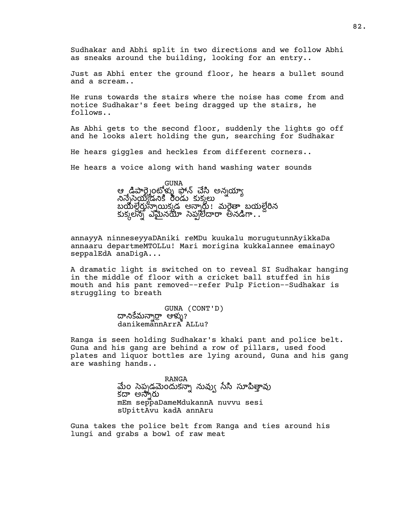Sudhakar and Abhi split in two directions and we follow Abhi as sneaks around the building, looking for an entry..

Just as Abhi enter the ground floor, he hears a bullet sound and a scream..

He runs towards the stairs where the noise has come from and notice Sudhakar's feet being dragged up the stairs, he follows..

As Abhi gets to the second floor, suddenly the lights go off and he looks alert holding the gun, searching for Sudhakar

He hears giggles and heckles from different corners..

He hears a voice along with hand washing water sounds

GUNA ఆ డిపారె౹ంటోళ్ళు పోన్ చేసి అన్నయాఁ నినేస్తైయ్యడనికి రెండు కుక్కలు బయల్దేర్లున్నాయిక్కడ అన్నారు! మరైతా బయల్దేరిన కుక్కలన్ని ఎమైనయో సెప్పలేదారా అనడిగా...'

annayyA ninneseyyaDAniki reMDu kuukalu morugutunnAyikkaDa annaaru departmeMTOLLu! Mari morigina kukkalannee emainayO seppalEdA anaDigA...

A dramatic light is switched on to reveal SI Sudhakar hanging in the middle of floor with a cricket ball stuffed in his mouth and his pant removed--refer Pulp Fiction--Sudhakar is struggling to breath

> GUNA (CONT'D) దానికేమన్నార్రా ఆళ్ళు? danikemannArrA ALLu?

Ranga is seen holding Sudhakar's khaki pant and police belt. Guna and his gang are behind a row of pillars, used food plates and liquor bottles are lying around, Guna and his gang are washing hands..

> RANGA మేం సెప్పడమెందుకన్నా నువ్వు సేసి సూపిత్తావు కదా అన్నారు mEm seppaDameMdukannA nuvvu sesi sUpittAvu kadA annAru

Guna takes the police belt from Ranga and ties around his lungi and grabs a bowl of raw meat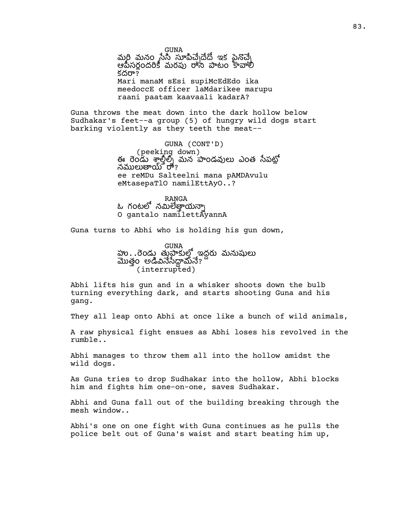GUNA మరి మనం సేసీ సూపిచేనడే ఇక పైనొచ్చే ఆపీసర్లందరికీ మరపు రాసి పాటం కావాలి కదరా? Mari manaM sEsi supiMcEdEdo ika meedoccE officer laMdarikee marupu raani paatam kaavaali kadarA?

Guna throws the meat down into the dark hollow below Sudhakar's feet--a group (5) of hungry wild dogs start barking violently as they teeth the meat--

> GUNA (CONT'D) (peeking down) ఈ రెండు శాల్షిల్స్ మన పాండవులు ఎంత సేపటో నములుతాయ్ రా? ee reMDu Salteelni mana pAMDAvulu eMtasepaTlO namilEttAyO..?

RANGA ఓ గంటలో నమిలేత్తాయన్నా O gantalo namilettAyannA

Guna turns to Abhi who is holding his gun down,

GUNA హు. . రెండు తుప్రాకుల్తో ఇద్దరు మనుషులు మొత్తం అడివినేసేద్దామేనే? (interrupted)

Abhi lifts his gun and in a whisker shoots down the bulb turning everything dark, and starts shooting Guna and his gang.

They all leap onto Abhi at once like a bunch of wild animals,

A raw physical fight ensues as Abhi loses his revolved in the rumble..

Abhi manages to throw them all into the hollow amidst the wild dogs.

As Guna tries to drop Sudhakar into the hollow, Abhi blocks him and fights him one-on-one, saves Sudhakar.

Abhi and Guna fall out of the building breaking through the mesh window..

Abhi's one on one fight with Guna continues as he pulls the police belt out of Guna's waist and start beating him up,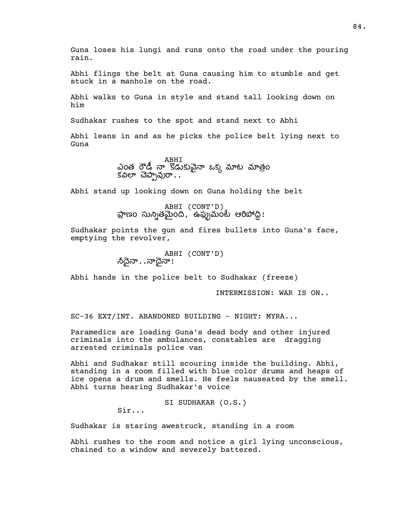Guna loses his lungi and runs onto the road under the pouring rain.

Abhi flings the belt at Guna causing him to stumble and get stuck in a manhole on the road.

Abhi walks to Guna in style and stand tall looking down on him

Sudhakar rushes to the spot and stand next to Abhi

Abhi leans in and as he picks the police belt lying next to Guna

> ABHI ఎంత రౌడీ నా కొడుకువెనా ఒకు మాట మాతం కవిలా చెప్పావురా $\ldots$

Abhi stand up looking down on Guna holding the belt

ABHI (CONT'D)<br>ప్రాణం సున్నితమైంది, ఉఫ్ముమంటే ఆరిపోద్ది!

Sudhakar points the gun and fires bullets into Guna's face, emptying the revolver,

> ABHI (CONT'D) ನಿಧನಾ $\ldots$ ನಾಧನಾ!

Abhi hands in the police belt to Sudhakar (freeze)

INTERMISSION: WAR IS ON..

SC-36 EXT/INT. ABANDONED BUILDING - NIGHT: MYRA...

Paramedics are loading Guna's dead body and other injured criminals into the ambulances, constables are dragging arrested criminals police van

Abhi and Sudhakar still scouring inside the building. Abhi, standing in a room filled with blue color drums and heaps of ice opens a drum and smells. He feels nauseated by the smell. Abhi turns hearing Sudhakar's voice

SI SUDHAKAR (O.S.)

Sir...

Sudhakar is staring awestruck, standing in a room

Abhi rushes to the room and notice a girl lying unconscious, chained to a window and severely battered.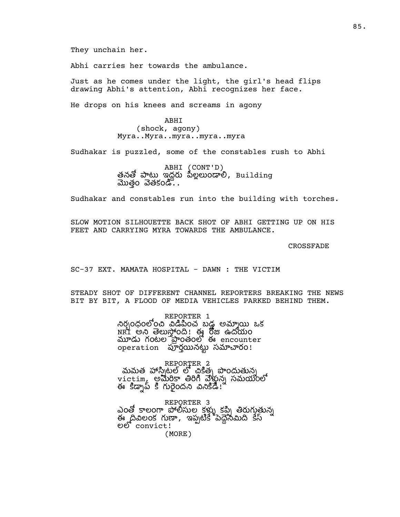They unchain her.

Abhi carries her towards the ambulance.

Just as he comes under the light, the girl's head flips drawing Abhi's attention, Abhi recognizes her face.

He drops on his knees and screams in agony

ABHI (shock, agony) Myra..Myra..myra..myra..myra

Sudhakar is puzzled, some of the constables rush to Abhi

ABHI (CONT'D) తనతో పాటు ఇద్దరు పిల్లలుండాలి, Building మొత్తం వెతకండి. .

Sudhakar and constables run into the building with torches.

SLOW MOTION SILHOUETTE BACK SHOT OF ABHI GETTING UP ON HIS FEET AND CARRYING MYRA TOWARDS THE AMBULANCE.

CROSSFADE

SC-37 EXT. MAMATA HOSPITAL - DAWN : THE VICTIM

STEADY SHOT OF DIFFERENT CHANNEL REPORTERS BREAKING THE NEWS BIT BY BIT, A FLOOD OF MEDIA VEHICLES PARKED BEHIND THEM.

> REPORTER 1 నిర్ధందంలోంచి విడిపించ బడ అమ్మాయి ఒక  $\overline{\text{NRT}}$  అని తెలుస్తోంది! ఈ రోజు ఉదయం  $\overline{\omega}$  గంటల ప్రాంతంలో ఈ encounter operation రన సరం!

REPORTER<sub>2</sub> మమత హాసి్టల్ లో చికిత్త పొందుతున్న victim, అమిరికా తిరిగి వేళ్లున్న సమయంలో ఈ కిడ్నాప్ కి గురైందని వినికిడి। ీ

REPORTER 3 ఎంత్తో కాలంగా పోలీసుల కళ్ళు కప్పి తిరుగుతున్న .<br>నేనమిది కేస్ ల convict!

(MORE)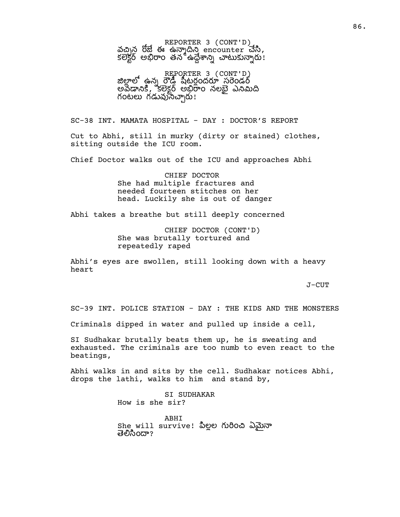REPORTER 3 (CONT'D) వచ్చిన రోజే ఈ ఉన్మాదిని encounter చేసి,  $\overline{\text{SUS}}$ ర్ అభిరాం తన ఉద్దేశాన్ని చాటుకున్నారు!

REPORTER 3 (CONT'D)<br>జిలాలో ఉన్న రౌడీ పీటరందరూ సరెండర్ అవడానికి, కలెక్టర్ అభిరాం నలభై ఎనిమిది గంటలు గడువుసిచ్చారు!

SC-38 INT. MAMATA HOSPITAL - DAY : DOCTOR'S REPORT

Cut to Abhi, still in murky (dirty or stained) clothes, sitting outside the ICU room.

Chief Doctor walks out of the ICU and approaches Abhi

CHIEF DOCTOR She had multiple fractures and needed fourteen stitches on her head. Luckily she is out of danger

Abhi takes a breathe but still deeply concerned

CHIEF DOCTOR (CONT'D) She was brutally tortured and repeatedly raped

Abhi's eyes are swollen, still looking down with a heavy heart

J-CUT

SC-39 INT. POLICE STATION - DAY : THE KIDS AND THE MONSTERS

Criminals dipped in water and pulled up inside a cell,

SI Sudhakar brutally beats them up, he is sweating and exhausted. The criminals are too numb to even react to the beatings,

Abhi walks in and sits by the cell. Sudhakar notices Abhi, drops the lathi, walks to him and stand by,

> SI SUDHAKAR How is she sir?

ABHI She will survive! పిల్లల గురించి ఏమైనా తెలిసిందా?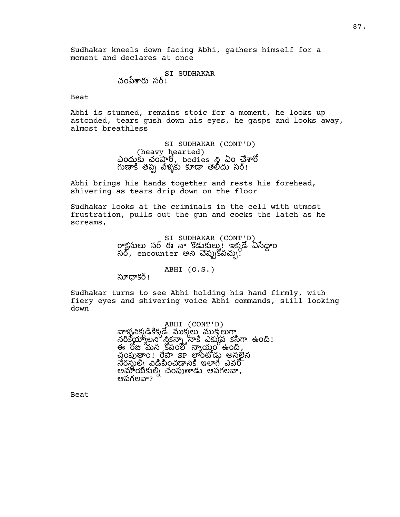Sudhakar kneels down facing Abhi, gathers himself for a moment and declares at once

> SI SUDHAKAR చంపేశారు సర్!

Beat

Abhi is stunned, remains stoic for a moment, he looks up astonded, tears gush down his eyes, he gasps and looks away, almost breathless

> SI SUDHAKAR (CONT'D) (heavy hearted) ఎందుకు చంపారో, bodies ని ఏం చేశారో గుణాకి తప్ప వీళ్ళకు కూడా తెలిదు సర్!

Abhi brings his hands together and rests his forehead, shivering as tears drip down on the floor

Sudhakar looks at the criminals in the cell with utmost frustration, pulls out the gun and cocks the latch as he screams,

> SI SUDHAKAR (CONT'D) రాక్షసులు సర్ ఈ నా కొడుకుల్లు! ఇక్కడే ఏసేద్దాం సర్, encounter అని చెప్పుకోవచ్చు!

> > ABHI (O.S.)

సూధాకర్!

Sudhakar turns to see Abhi holding his hand firmly, with fiery eyes and shivering voice Abhi commands, still looking down

> ABHI (CONT'D) వాళ్ళనిక్కడికిక్కడే ముక్కలు ముక్కలుగా నరికేయ్యాలని నీకన్నా నాకే ఎక్కువ కసిగా ఉంది! ఈ రోజు మన కోపంలో న్యాయం ఉంది, చంపుత్రాం! రేపా sp లాంటోడు అసర్జేన నేరసుల్ని విడిపించడానికి ఇలాగే ఎవరో అమాయికుల్ని చంపుతాడు ఆపగలవా, ఆపగలవా?

Beat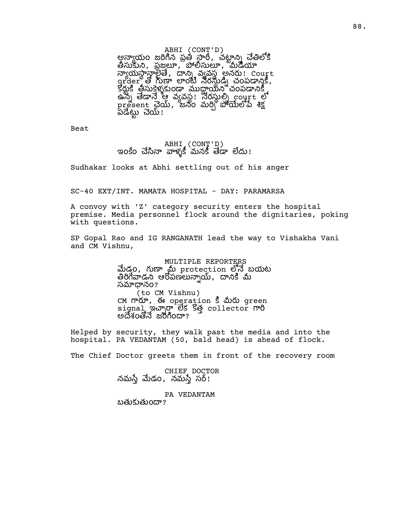ABHI (CONT'D) అన్యాయం జరిగిన ప్రతీ స్టారీ, చట్టాన్ని చేతిలోకి తీసుకుని, ప్రజలూ, పోలీసులూ, మీడియా న్యాయస్థాన్గాండే, దాన్ని వ్యవస్థ అనరు! Court <u>grder of heat organización compa</u>zy. కీరుకి తీసుకెళ్ళకుండా ముదాయిని చంపడానికి ఉన్న తేడానే ఆ వ్యవస్థ! నేరస్థుల్ని court లో  $\mathop{\mathrm{pr}}\nolimits_{\mathop{\mathrm{e}}\nolimits}$ පෙ $\mathop{\mathrm{e}}\nolimits_{\mathop{\mathrm{e}}\nolimits}$  විශ් $\mathop{\mathrm{e}}\nolimits_{\mathop{\mathrm{e}}\nolimits}$  ,  $\mathop{\mathrm{e}}\nolimits_{\mathop{\mathrm{e}}\nolimits}$  ,  $\mathop{\mathrm{e}}\nolimits_{\mathop{\mathrm{e}}\nolimits}$  ,  $\mathop{\mathrm{e}}\nolimits_{\mathop{\mathrm{e}}\nolimits}$  ,  $\mathop{\mathrm{e}}\nolimits_{\mathop{\mathrm{e}}\nolimits}$  ,  $\$ .<br>పడేట్టు చెయ్ !

Beat

ABHI (CONT'D) ఇంకేం చేసినా వాళ్ళకీ మనకీ తేడా లేదు!

Sudhakar looks at Abhi settling out of his anger

SC-40 EXT/INT. MAMATA HOSPITAL - DAY: PARAMARSA

A convoy with 'Z' category security enters the hospital premise. Media personnel flock around the dignitaries, poking with questions.

SP Gopal Rao and IG RANGANATH lead the way to Vishakha Vani and CM Vishnu,

> MULTIPLE REPORTERS మేడం, గుణా మీ protection లోనే బయట తిరిగేవాడని ఆరోపణలున్నాయ్, దానికి మీ సమాధానం? (to CM Vishnu) CM గారూ, ఈ operation 5 మీరు green signal ఇచ్చారా లేక కొత్త collector గారి అదేశంతోనే జరిగిందా?

Helped by security, they walk past the media and into the hospital. PA VEDANTAM (50, bald head) is ahead of flock.

The Chief Doctor greets them in front of the recovery room

CHIEF DOCTOR నమస్తే మేడం, నమస్తే సర్!

PA VEDANTAM బతుకుతుందా?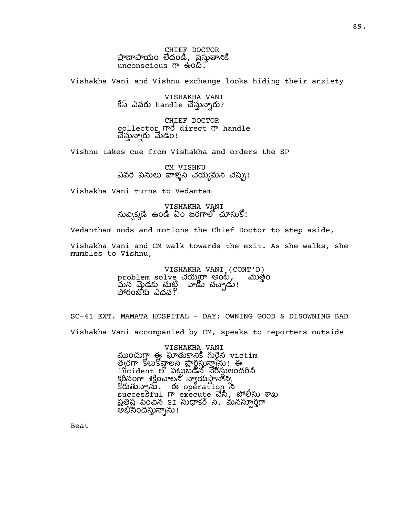CHIEF DOCTOR ప్రాణాపాయం లేదండి, ప్రస్తుతానికి  $unconscious$   $\pi$   $\omega \approx 0$ .

Vishakha Vani and Vishnu exchange looks hiding their anxiety

VISHAKHA VANI కేస్ ఎవరు handle చేస్తున్నారు?

CHIEF DOCTOR collector mo direct m handle చేస్తున్నారు మేడం!

Vishnu takes cue from Vishakha and orders the SP

CM VISHNU ఎవరి పనులు వాళ్ళని చెయ్యమని చెప్పు!

Vishakha Vani turns to Vedantam

VISHAKHA VANI నువ్విక్కడే ఉండి ఏం జరగాలో చూసుకో!

Vedantham nods and motions the Chief Doctor to step aside,

Vishakha Vani and CM walk towards the exit. As she walks, she mumbles to Vishnu,

> VISHAKHA VANI (CONT'D)<br>lve చెయ్యరా అంటే, మొత్తం problem solve చెయ్యరా అంటే, మన మైడకు చుట్టి ``వాడు చచ్చాడు! పోరంబోకు ఎదవ!ి

SC-41 EXT. MAMATA HOSPITAL - DAY: OWNING GOOD & DISOWNING BAD Vishakha Vani accompanied by CM, speaks to reporters outside

> VISHAKHA VANI ముందుగ్గా ఈ ఘాతుకానికి గురైన victim త్వరగా కోలుకోవాలని ప్రార్థిస్తున్నాను! ఈ incident లో పట్టుబడిన నేరస్థులందరినీ కఠీనంగా శికించాలని నాయసానాని  $\mathbb{S}$ ပြစ်) ကိုးကားမှာ မွေးကြီး ကိုးကားမှာ အ successful గా execute చేసి, పోలీసు శాఖ ప్రత్యేష పెంచిన SI సుధాకర్ ని, మనస్సూర్తిగా అభిసిందిస్తున్నాను!

Beat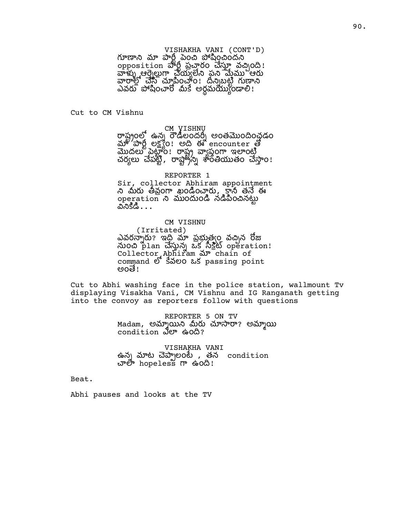### VISHAKHA VANI (CONT'D)

గూణాని మా పారీ పెంచి పోషించిందని opposition ဆိုပ္သီ သို့ဆုံဝင် ဆိလ္ကာ သို့ဆုံဝင် ! ఆ య ప ఆ వారాల్లో చేసి చూపించాం! దీన్నబట్టి గుణాని ఎవరు పోషించారో మీకే అర్ధమయ్యండాలి!

Cut to CM Vishnu

# CM VISHNU

రాష్టంలో ఉన్న రౌడీలందర్న అంతమొందించడం  $\omega_{\rm s}$   $\omega_{\rm s}$  ,  $\omega_{\rm s}$  ,  $\omega_{\rm s}$  and  $\omega_{\rm s}$  encounter  $\omega_{\rm s}$ మొదలు పెట్టాం! రాష్ట్ర వ్యాప్తంగా ఇలాంటి చర్యలు చేపట్టి, రాష్ట్రేన్ని శారేతీయుతం చేస్తాం!

### REPORTER 1

Sir, collector Abhiram appointment ని మీరు తీవ్రంగా ఖండించారు, కానీ తనే ఈ operation ని ముందుండి నడిపించినట్టు ಎನಿನಿಡಿ $\ldots$ 

### CM VISHNU

(Irritated) ఎవరస్నారు? ఇది మా ప్రభుత్వం వచ్చిన రోజు word plan చేస్తున్న ఒక సీక్షేట్ operation! Collector Abhiram ar chain of command లో కేవలం ఒక passing point ಅಂತೆ!

Cut to Abhi washing face in the police station, wallmount Tv displaying Visakha Vani, CM Vishnu and IG Ranganath getting into the convoy as reporters follow with questions

> REPORTER 5 ON TV Madam, అమ్మాయిని మీరు చూసారా? అమ్మాయి condition *S*<sup>or</sup> ఉంది?

VISHAKHA VANI ఉన్న మాట చెప్పాలంటే , తన condition చాలో hopeless గా ఉంది!

Beat.

Abhi pauses and looks at the TV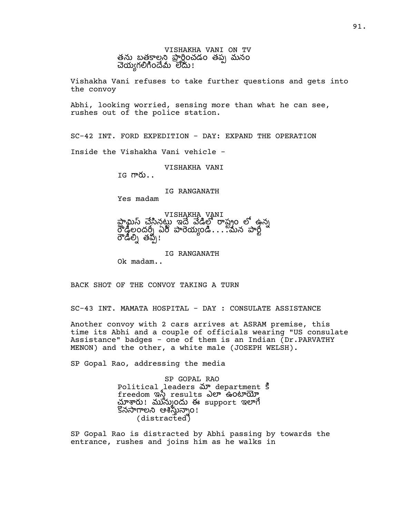VISHAKHA VANI ON TV తను బతకాలని పారించడం తప్ప మనం చెయ్యగలిగిందేమీ లేదు!

Vishakha Vani refuses to take further questions and gets into the convoy

Abhi, looking worried, sensing more than what he can see, rushes out of the police station.

SC-42 INT. FORD EXPEDITION - DAY: EXPAND THE OPERATION

Inside the Vishakha Vani vehicle -

VISHAKHA VANI

 $IG$   $m\&$ ..

IG RANGANATH

Yes madam

VISHAKHA VANI న ఇ షం ఉన లేడీలందర్నీ ఏరీ పారేయ్యండి....మన పార్ట్ రౌడీల్ని తప్పే!

IG RANGANATH

Ok madam..

BACK SHOT OF THE CONVOY TAKING A TURN

SC-43 INT. MAMATA HOSPITAL - DAY : CONSULATE ASSISTANCE

Another convoy with 2 cars arrives at ASRAM premise, this time its Abhi and a couple of officials wearing "US consulate Assistance" badges - one of them is an Indian (Dr.PARVATHY MENON) and the other, a white male (JOSEPH WELSH).

SP Gopal Rao, addressing the media

SP GOPAL RAO Political leaders  $\delta P$  department s freedom ఇస్త్రీ results ఎలా ఉంటాయో మ్లాశారు! మున్ముందు ఈ support ఇలాగే నల ఆం! (distracted)

SP Gopal Rao is distracted by Abhi passing by towards the entrance, rushes and joins him as he walks in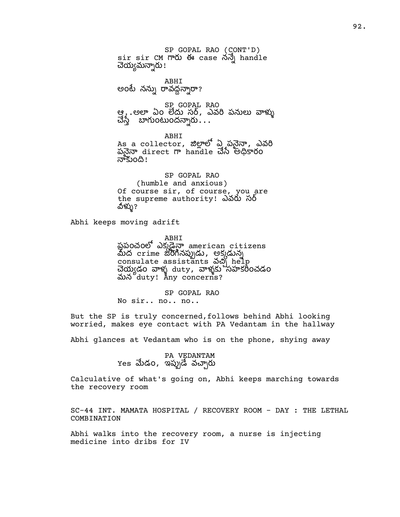SP GOPAL RAO (CONT'D) sir sir CM ఈ case న handle చెయ్యమన్నారు! ABHI అంటే నన్ను రావద్దన్నారా? SP GOPAL RAO ఆ . .అలా ఏం లేదు సర్, ఎవరి పనులు వాళ్ళు చేస్తే బాగుంటుందన్నారు $\,\ldots\,$ ABHI

 $\overline{\text{As}}$  a collector, జిల్లాలో  $\Delta$ ్తపనైన్గా, ఎవరి పనైనా direct గా handle చేసే అధికారం నాకుంది!

SP GOPAL RAO (humble and anxious) Of course sir, of course, you are the supreme authority! ఎవరు సర్ ವಿಳ್ಳು?

Abhi keeps moving adrift

ABHI<br>ప్రపంచంలో ఎక్కడైనా american citizens మీద crime జరిగినప్పుడు, అక్కడున్న consulate assistants వచ్చి help చెయ్యడం వాళ్ళ duty, వాళ్ళకు నహకరీంచడం మన duty! Any concerns?

SP GOPAL RAO No sir.. no.. no..

But the SP is truly concerned,follows behind Abhi looking worried, makes eye contact with PA Vedantam in the hallway

Abhi glances at Vedantam who is on the phone, shying away

PA VEDANTAM  $Y$ es మేడo, ఇప్పుడే వచ్చారు

Calculative of what's going on, Abhi keeps marching towards the recovery room

SC-44 INT. MAMATA HOSPITAL / RECOVERY ROOM - DAY : THE LETHAL COMBINATION

Abhi walks into the recovery room, a nurse is injecting medicine into dribs for IV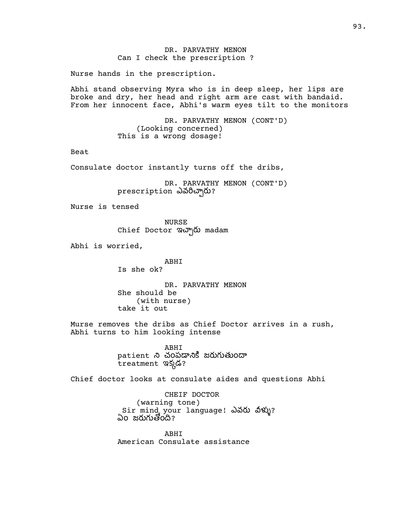## DR. PARVATHY MENON Can I check the prescription ?

Nurse hands in the prescription.

Abhi stand observing Myra who is in deep sleep, her lips are broke and dry, her head and right arm are cast with bandaid. From her innocent face, Abhi's warm eyes tilt to the monitors

> DR. PARVATHY MENON (CONT'D) (Looking concerned) This is a wrong dosage!

Beat

Consulate doctor instantly turns off the dribs,

DR. PARVATHY MENON (CONT'D) prescription ఎవరిచ్చారు?

Nurse is tensed

NURSE Chief Doctor ఇచ్చారు madam

Abhi is worried,

ABHI Is she ok?

DR. PARVATHY MENON She should be (with nurse) take it out

Murse removes the dribs as Chief Doctor arrives in a rush, Abhi turns to him looking intense

> ABHI patient ని చంపడానికి జరుగుతుందా treatment ఇక్కడ?

Chief doctor looks at consulate aides and questions Abhi

CHEIF DOCTOR (warning tone) Sir mind your language! ఎవరు వీళ్ళు? ఏం జరుగుతోంది?

ABHI American Consulate assistance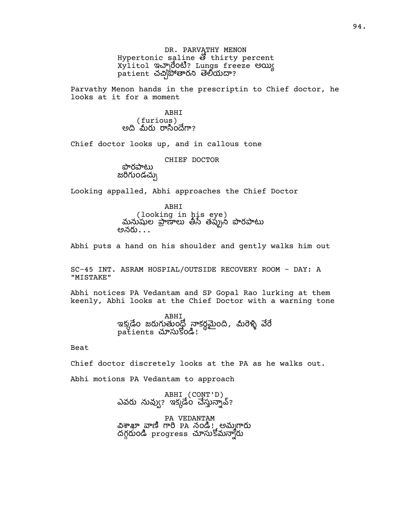DR. PARVATHY MENON Hypertonic saline  $\mathfrak F$  thirty percent xylitol ఇచ్చారేంటి? Lungs freeze అయ్య patient చచి)సోతారని తెలియదా?

Parvathy Menon hands in the prescriptin to Chief doctor, he looks at it for a moment

> ABHI (furious) అది `మీరు రాసిందేగా?

Chief doctor looks up, and in callous tone

CHIEF DOCTOR

సొరసాటు జరిగుండచ్చు

Looking appalled, Abhi approaches the Chief Doctor

ABHI ( looking in his eye)<br>మనుపుల పాణాలు తీసే తప్పుని పొరపాటు అనరు $\ldots$ 

Abhi puts a hand on his shoulder and gently walks him out

SC-45 INT. ASRAM HOSPIAL/OUTSIDE RECOVERY ROOM - DAY: A "MISTAKE"

Abhi notices PA Vedantam and SP Gopal Rao lurking at them keenly, Abhi looks at the Chief Doctor with a warning tone

> ABHI ఇక్కడేం జరుగుతుంద్లో నాకర్ధమైంది, మీరెళ్ళి వేరే patients చూసుకోండి!

Beat

Chief doctor discretely looks at the PA as he walks out.

Abhi motions PA Vedantam to approach

ABHI (CONT'D) ఎవరు నువ్వు? ఇక్కడేం చేస్తున్నావ్?

PA VEDANTAM విశాఖా వాణి గారి PA నండి! అమ్మగారు ထိုကိုပါဝင် progress သာလဲ၊ ဒီသက္ခံတ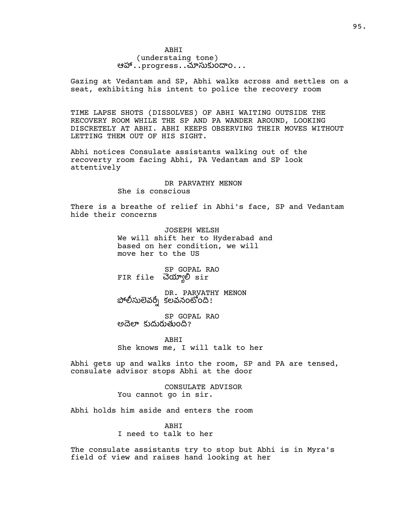## ABHI (understaing tone) ఆహా $\dots$ progress $\dots$ చూసుకుందాం $\dots$

Gazing at Vedantam and SP, Abhi walks across and settles on a seat, exhibiting his intent to police the recovery room

TIME LAPSE SHOTS (DISSOLVES) OF ABHI WAITING OUTSIDE THE RECOVERY ROOM WHILE THE SP AND PA WANDER AROUND, LOOKING DISCRETELY AT ABHI. ABHI KEEPS OBSERVING THEIR MOVES WITHOUT LETTING THEM OUT OF HIS SIGHT.

Abhi notices Consulate assistants walking out of the recoverty room facing Abhi, PA Vedantam and SP look attentively

> DR PARVATHY MENON She is conscious

There is a breathe of relief in Abhi's face, SP and Vedantam hide their concerns

> JOSEPH WELSH We will shift her to Hyderabad and based on her condition, we will move her to the US

SP GOPAL RAO FIR file Jolyge sir

DR. PARVATHY MENON పోలీసులెవర్ని కలవనంటోంది!

SP GOPAL RAO అదెలా కుదురుతుంది?

ABHI She knows me, I will talk to her

Abhi gets up and walks into the room, SP and PA are tensed, consulate advisor stops Abhi at the door

> CONSULATE ADVISOR You cannot go in sir.

Abhi holds him aside and enters the room

ABHI I need to talk to her

The consulate assistants try to stop but Abhi is in Myra's field of view and raises hand looking at her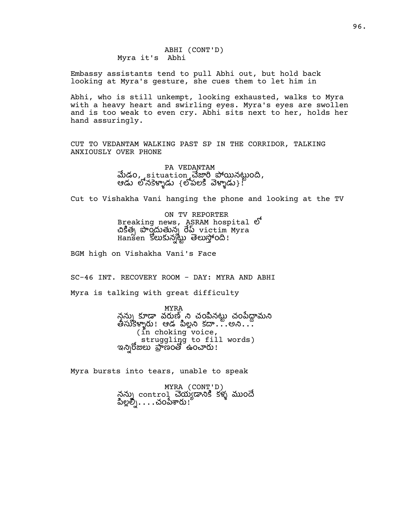Embassy assistants tend to pull Abhi out, but hold back looking at Myra's gesture, she cues them to let him in

Abhi, who is still unkempt, looking exhausted, walks to Myra with a heavy heart and swirling eyes. Myra's eyes are swollen and is too weak to even cry. Abhi sits next to her, holds her hand assuringly.

CUT TO VEDANTAM WALKING PAST SP IN THE CORRIDOR, TALKING ANXIOUSLY OVER PHONE

> PA VEDANTAM మేడం, situation చేజారి పోయినట్టుంది, ఆడు లోనకెళ్ళాడు {లోపలకి వెళ్ళాడు}.  $^{\mathrm{p}}$

Cut to Vishakha Vani hanging the phone and looking at the TV

ON TV REPORTER Breaking news, ASRAM hospital  $\mathfrak{G}^{\mathfrak{f}}$  $\mathfrak{G}$ ອີອຸດ ລີ $\sim$   $\tilde{\mathfrak{G}}$   $\sim$   $\tilde{\mathfrak{G}}$   $\sim$   $\tilde{\mathfrak{G}}$   $\sim$   $\tilde{\mathfrak{G}}$   $\sim$   $\tilde{\mathfrak{G}}$   $\sim$   $\tilde{\mathfrak{G}}$   $\sim$   $\tilde{\mathfrak{G}}$   $\sim$   $\tilde{\mathfrak{G}}$   $\sim$   $\tilde{\mathfrak{G}}$   $\sim$   $\tilde{\mathfrak{G}}$   $\sim$   $\tilde{\mathfrak{G}}$   $\sim$  Hansen న ం!

BGM high on Vishakha Vani's Face

SC-46 INT. RECOVERY ROOM - DAY: MYRA AND ABHI

Myra is talking with great difficulty

MYRA ననుృ కూడా వరుణ్ ని చంపినటు చంపేదామని తీసుకిళ్ళారు! ఆడ పిల్లని కదా...అని... (in choking voice, struggling to fill words) ఇన్నిరోజులు ప్రాణంతో ఉంచారు!

Myra bursts into tears, unable to speak

MYRA (CONT'D) న్గన్ను contro1 చెయ్యడానికి కళ్ళ ముందే పిల్లల్ని. . . . చంపేశారు !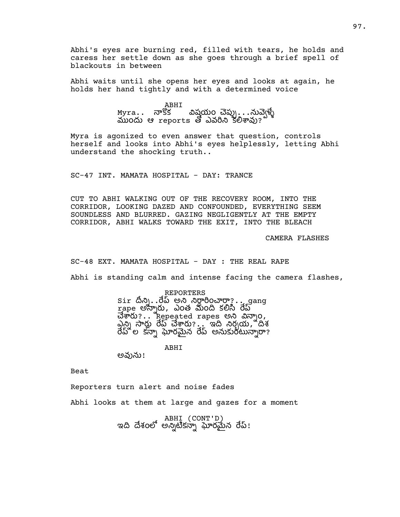Abhi's eyes are burning red, filled with tears, he holds and caress her settle down as she goes through a brief spell of blackouts in between

Abhi waits until she opens her eyes and looks at again, he holds her hand tightly and with a determined voice

> ABHI<br>Myra.. నాకొక విషయం చెప్పు...నువె్ట్మే ముందు ఆ reports తో ఎవరిని కలిశావు?

Myra is agonized to even answer that question, controls herself and looks into Abhi's eyes helplessly, letting Abhi understand the shocking truth..

SC-47 INT. MAMATA HOSPITAL - DAY: TRANCE

CUT TO ABHI WALKING OUT OF THE RECOVERY ROOM, INTO THE CORRIDOR, LOOKING DAZED AND CONFOUNDED, EVERYTHING SEEM SOUNDLESS AND BLURRED. GAZING NEGLIGENTLY AT THE EMPTY CORRIDOR, ABHI WALKS TOWARD THE EXIT, INTO THE BLEACH

CAMERA FLASHES

SC-48 EXT. MAMATA HOSPITAL - DAY : THE REAL RAPE

Abhi is standing calm and intense facing the camera flashes,

REPORTERS  $\text{sir } \hat{\mathbb{a}}$ လျှ $\mathbb{a}$ ့ ဝိုလ် ၂ လိုလ်ပြင်စာတာ $\mathbb{R}$  . . gang rape అస్నారు, ఎంత మంది కలిసి రేప్  $\vec{a}$   $\vec{b}$   $\vec{c}$  ... Repeated rapes అని విన్నా $o$ ,  $\Delta$ న్ని సార్లు రేప్ చేశారు?.. ఇది నిర్మయ, దీశ రేప్లో ల కన్నా ఘోరమైన రేప్ అనుకుంటున్నారా?

ABHI

అవును!

Beat

Reporters turn alert and noise fades

Abhi looks at them at large and gazes for a moment

ABHI (CONT'D) ఇది దేశంలో అన్నిటికస్నా ఘోరమైన రేప్!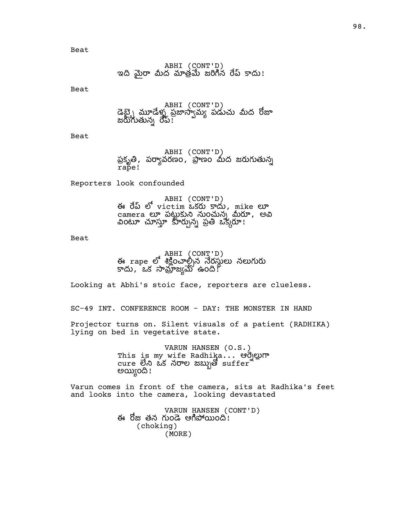Beat

Beat

ABHI (CONT'D) డెబ్బై మ్రూడేళ్ళ ప్రజాస్వామ్య పడుచు మీద రోజా జరుగుతున్న రేప్!

Beat

ABHI (CONT'D) ప్రకృతి, పర్యావరణం, ప్రాణం మీద జరుగుతున్న rape!

Reporters look confounded

ABHI (CONT'D) ఈ రేబ్ లో victim ఒకరు కాదు, mike లూ camera లూ పట్టుకుని నుంచున్న మీరూ, అవి ం న ప ఒక!

Beat

ABHI (CONT'D)<br>ఈ rape లో శిక్షించాల్సిన నేరస్థులు నలుగురు కాదు, ఒక సామ్రాజ్యమ్ ఉంది.

Looking at Abhi's stoic face, reporters are clueless.

SC-49 INT. CONFERENCE ROOM - DAY: THE MONSTER IN HAND

Projector turns on. Silent visuals of a patient (RADHIKA) lying on bed in vegetative state.

> VARUN HANSEN (O.S.) This is my wife Radhika... ఆ  $curve$  లేని ఒక నరాల జబ్బుతో  $surface$ అయ్యింది!

Varun comes in front of the camera, sits at Radhika's feet and looks into the camera, looking devastated

> VARUN HANSEN (CONT'D) ఈ రోజు తన గుండె ఆగిపోయింది $\,$ ! (choking) (MORE)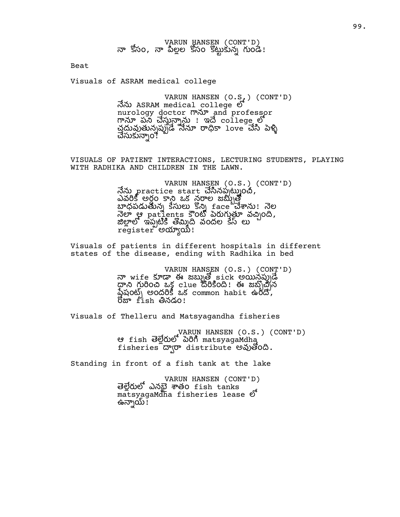Beat

Visuals of ASRAM medical college

VARUN HANSEN (O.S.) (CONT'D) నేను ASRAM medical college లో nurology doctor man and professor <u>mar పన చేస్తున్నాను ! ఇదే college లో</u> చ్రదువుతున్నప్పుడే నేనూ రాధికా love చేసి పెళ్ళి చేసుకున్నాం!ి

VISUALS OF PATIENT INTERACTIONS, LECTURING STUDENTS, PLAYING WITH RADHIKA AND CHILDREN IN THE LAWN.

> VARUN HANSEN (O.S.) (CONT'D) నేను practice start చేసినప్పట్నుంచీ, ఎవ అర ం ఒక నల జ బాధపడుతున్న కేసులు కొన్ని £ace చేశాను! నెల  $\vec{a}$ లా $\vec{y}$  patients 5000 పెరుగుతూ వచ్చింది, .<br>జిలాలో ఇప్పటికి తోమిది వందల కేస్ లు register ဗလာ္ဒဏီ!

Visuals of patients in different hospitals in different states of the disease, ending with Radhika in bed

> VARUN HANSEN (O.S.) (CONT'D) నా wife కూడా ఈ జబ్బుతో sick అయిన్లప్పుడే  $\varphi$  ကို ပါဝင်္က အန္တိုင်း ကြီး အမြောင်း ထုတ် ကြီး မြောင်း ကို ကြီး  $\tilde{\Delta}$ షంట్) అందరికీ ఒక common habit ఉంది,  $6x + fish$  లినడం!

Visuals of Thelleru and Matsyagandha fisheries

VARUN HANSEN (O.S.) (CONT'D) ఆ fish తెల్లేరులో పెరిగి matsyagaMdha fisheries agreed distribute wales.

Standing in front of a fish tank at the lake

VARUN HANSEN (CONT'D) తెల్లేరులో ఎనబై శాతం fish tanks matsyagaMdha fisheries lease ఉన్నాయ్ !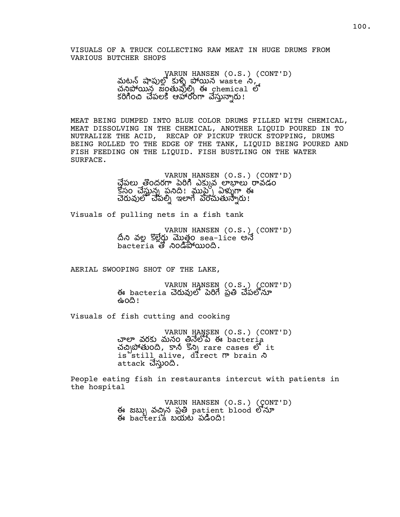VISUALS OF A TRUCK COLLECTING RAW MEAT IN HUGE DRUMS FROM VARIOUS BUTCHER SHOPS

> VARUN HANSEN (O.S.) (CONT'D) మటన్ షాపుల్లో కుళ్ళి పోయిన waste ని,  $\mathbb{E}[\mathbb{E}[\mathbb{E}[\mathbb{E}[\mathbb{E}[\mathbb{E}[\mathbb{E}[\mathbb{E}[\mathbb{E}[\mathbb{E}[\mathbb{E}[\mathbb{E}[\mathbb{E}[\mathbb{E}[\mathbb{E}[\mathbb{E}[\mathbb{E}[\mathbb{E}[\mathbb{E}[\mathbb{E}[\mathbb{E}[\mathbb{E}[\mathbb{E}[\mathbb{E}[\mathbb{E}[\mathbb{E}[\mathbb{E}[\mathbb{E}[\mathbb{E}[\mathbb{E}[\mathbb{E}[\mathbb{E}[\mathbb{E}[\mathbb{E}[\mathbb{E}[\mathbb{E}[\mathbb$ కరిగించి చేపలకి ఆహారంగా వేస్తున్నారు!

MEAT BEING DUMPED INTO BLUE COLOR DRUMS FILLED WITH CHEMICAL, MEAT DISSOLVING IN THE CHEMICAL, ANOTHER LIQUID POURED IN TO NUTRALIZE THE ACID, RECAP OF PICKUP TRUCK STOPPING, DRUMS BEING ROLLED TO THE EDGE OF THE TANK, LIQUID BEING POURED AND FISH FEEDING ON THE LIQUID. FISH BUSTLING ON THE WATER SURFACE.

> VARUN HANSEN (O.S.) (CONT'D) చేపలు తొందరగా పెరిగి ఎక్కువ లాభాలు రావడం  $\mathbb{S}$ సం చేస్తున్న పనిది! ముప్ప ఏళ్ళుగా ఈ చెరువులో చేపల్ని ఇలాగే పెంచుతున్నారు!

Visuals of pulling nets in a fish tank

VARUN HANSEN (O.S.) (CONT'D)<br>దీని వల్ల కొల్లేర్డు మొత్తం sea-lice అనే bacteria తో నిండిపోయింది.

AERIAL SWOOPING SHOT OF THE LAKE,

VARUN HANSEN (O.S.) (CONT'D) ఈ bacteria చెరువులో పెరిగే పతి చేపలోనూ ఉంది!

Visuals of fish cutting and cooking

VARUN HANSEN (O.S.) (CONT'D) చాలా వరకు మనం తినెలోపే ఈ bacteria చచ్చిపోతుంది, కానీ కొన్ని rare cases లో it is still alive, direct  $\sigma$  brain  $\delta$ attack చేస్తుంది.

People eating fish in restaurants intercut with patients in the hospital

> VARUN HANSEN (O.S.) (CONT'D)<br>ఈ జబ్బు వచ్చిన ప్రతి patient blood లోనూ  $\leftrightarrow$  bac $t$ eria బయట పడింది!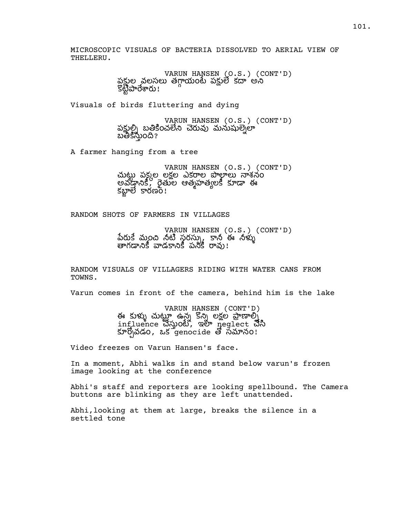MICROSCOPIC VISUALS OF BACTERIA DISSOLVED TO AERIAL VIEW OF THELLERU.

> VARUN HANSEN (O.S.) (CONT'D) పకుల వలసలు తగాయంటే పకులే కదా అని ઙ૿ૺૺૹ૿<del>ૺ</del>ૢૺૼ૱ઌૼ૱૱

Visuals of birds fluttering and dying

VARUN HANSEN (O.S.) (CONT'D) పక్షుల్ని బతికించలేని చెరువు మనుషుల్నెలా బతికిస్తుంది?

A farmer hanging from a tree

VARUN HANSEN (O.S.) (CONT'D) పకల లకల ఎకల శనం అవడానికి, రైతుల ఆత్మహత్యలకీ కూడా ఈ కబ్జాలే కారణం!

RANDOM SHOTS OF FARMERS IN VILLAGES

VARUN HANSEN (O.S.) (CONT'D) పేరుకే మంచి నటి సరస్స్కు కానీ ఈ నళ్ళు తాగడానికి వాడకానికి పనికీ రావు!

RANDOM VISUALS OF VILLAGERS RIDING WITH WATER CANS FROM TOWNS.

Varun comes in front of the camera, behind him is the lake

VARUN HANSEN (CONT'D) ఈ కుళ్ళు చుటూ ఉన్న కొన్ని లకల పాణాల్స influence သိလ္အဝယ်, ఇలా neglect သီလ కూర్చోవడం, ఒకే $\epsilon$ enoc $\pm$ de తో సమానం!

Video freezes on Varun Hansen's face.

In a moment, Abhi walks in and stand below varun's frozen image looking at the conference

Abhi's staff and reporters are looking spellbound. The Camera buttons are blinking as they are left unattended.

Abhi,looking at them at large, breaks the silence in a settled tone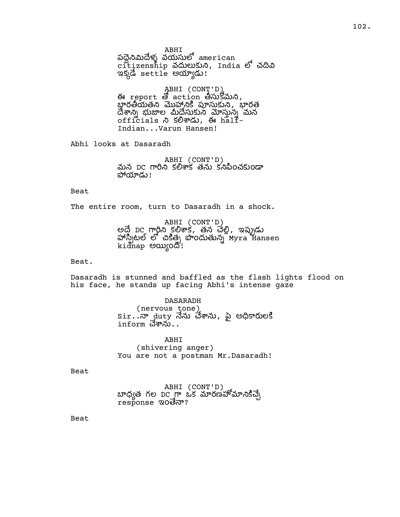ABHI  $\tilde{\omega}$ వ్వేస్తునులో american citizenship వదులుకుని, India లో చదివి ఇక్కడె settle అయ్యాడు!

ABHI (CONT'D) ఈ report తో action తీసుకోమని,<br>భారతీయతని మొహానికి పూసుకుని, భారత దేశాన్ని భుజాల మీదేసుకుని మోసున్న మన officials  $\lambda$  sow  $\lambda$ , ఈ half-Indian...Varun Hansen!

Abhi looks at Dasaradh

ABHI (CONT'D) మన DC గారిని కలిశాక తను కనిపించకుండా పోయాడు!

Beat

The entire room, turn to Dasaradh in a shock.

ABHI (CONT'D) అదే DC గార్జిన కలిశాక, తన చేల్లి, ఇప్పుడు  $\check{\mathfrak{so}}$ ီလ္ကုံၿပီး စာ အီးစ္နဲ႔ အဲ့ဝတ္လာတ္လာ ၿပီး Max Hansen kidnap అయ్యింది!

Beat.

Dasaradh is stunned and baffled as the flash lights flood on his face, he stands up facing Abhi's intense gaze

> DASARADH (nervous tone)  $\textsf{Sir.}$   $\vec{\cdot}$ నా  $\,$ duty నేను చేశాను, పై అధికారులకి  $\mathtt{inform}$  చేశాను $\ldots$

ABHI (shivering anger) You are not a postman Mr. Dasaradh!

Beat

ABHI (CONT'D)  $\omega$ ధ్యత గల DC గా ఒక మారణహోమానికిచ్చే response ಇoම්බං?

Beat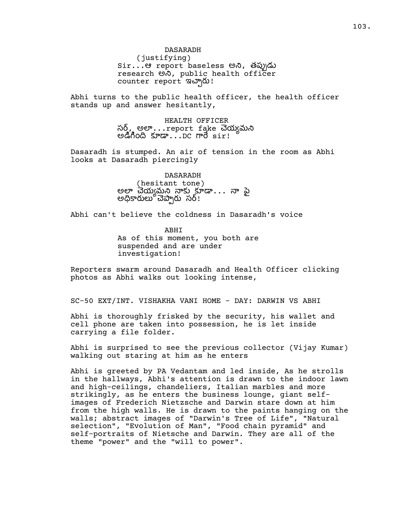DASARADH (justifying) Sir...ఆ report baseless అని, తప్పుడు research అ $\alpha$ , public health officer counter report ఇచ్చారు!

Abhi turns to the public health officer, the health officer stands up and answer hesitantly,

> HEALTH OFFICER సర్, అలా...report fake చెయ్యమని అడిగింది కూడా $\dots$ DC గారే  $\texttt{sir!}$

Dasaradh is stumped. An air of tension in the room as Abhi looks at Dasaradh piercingly

> DASARADH (hesitant tone) అలా చెయ్యమని నాకు కూడా... నా పై అధికారులు చెప్పారు సర్!

Abhi can't believe the coldness in Dasaradh's voice

ABHI As of this moment, you both are suspended and are under investigation!

Reporters swarm around Dasaradh and Health Officer clicking photos as Abhi walks out looking intense,

SC-50 EXT/INT. VISHAKHA VANI HOME - DAY: DARWIN VS ABHI

Abhi is thoroughly frisked by the security, his wallet and cell phone are taken into possession, he is let inside carrying a file folder.

Abhi is surprised to see the previous collector (Vijay Kumar) walking out staring at him as he enters

Abhi is greeted by PA Vedantam and led inside, As he strolls in the hallways, Abhi's attention is drawn to the indoor lawn and high-ceilings, chandeliers, Italian marbles and more strikingly, as he enters the business lounge, giant selfimages of Frederich Nietzsche and Darwin stare down at him from the high walls. He is drawn to the paints hanging on the walls; abstract images of "Darwin's Tree of Life", "Natural selection", "Evolution of Man", "Food chain pyramid" and self-portraits of Nietsche and Darwin. They are all of the theme "power" and the "will to power".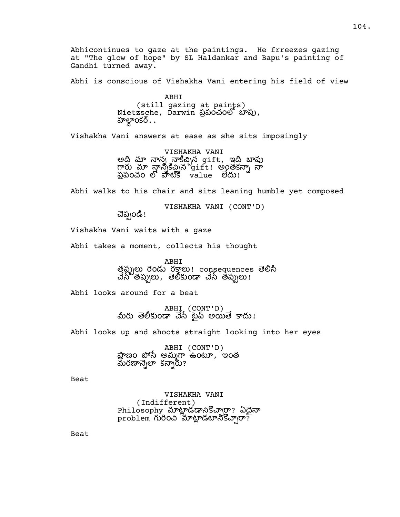Abhicontinues to gaze at the paintings. He frreezes gazing at "The glow of hope" by SL Haldankar and Bapu's painting of Gandhi turned away.

Abhi is conscious of Vishakha Vani entering his field of view

ABHI (still gazing at paints) Nietzsche, Darwin ప్రపంచంలో బాపు, ూంకర్..

Vishakha Vani answers at ease as she sits imposingly

VISHAKHA VANI అది మా నాన్న నాకిచ్చిన gift, ఇది బాపు గారు మా న్లాన్నకిచ్చిన gift! అంతకన్నా నా పపంచం value !

Abhi walks to his chair and sits leaning humble yet composed

VISHAKHA VANI (CONT'D)

చెప్పండి!

Vishakha Vani waits with a gaze

Abhi takes a moment, collects his thought

ABHI త్రప్పులు రెండు రక్తాలు! consequences తెలిసి చేసే తప్పులు, తెలీకుండా చేసే తప్పులు!

Abhi looks around for a beat

ABHI (CONT'D)<br>మీరు తెలీకుండా చేసే ట్గైప్ అయితే కాదు!

Abhi looks up and shoots straight looking into her eyes

ABHI (CONT'D) ప్రాణం పోసే అమ్మగా ఉంటూ, ఇంత మరణాన్నెలా కన్నారు?

Beat

VISHAKHA VANI (Indifferent) Philosophy మాట్లాడడానికొచ్చారా? ఏదైనా  $p$ roblem గురించి మాట్లాడటానికొచ్చారా?

Beat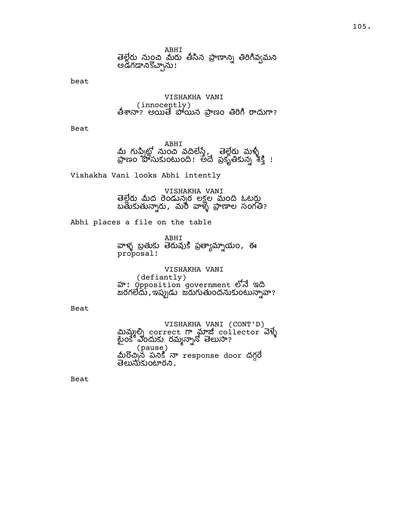ABHI

తెల్లేరు నుంచి మీరు తీసిన ప్రాణాన్ని తిరిగివ్వమని అడిగడానికొచ్చాను!

beat

VISHAKHA VANI (innocently) తిశానా? అయితే పోయిన ప్రాణం తిరిగి రాదుగా?

Beat

ABHI<br>మీ గుప్పిట్లో నుంచి వదిలేస్తే, తెల్లేరు మళ్ళీ<br>ప్రాణం పోసుకుంటుంది! అదే ప్రకృతికున్న శక్తి !

Vishakha Vani looks Abhi intently

VISHAKHA VANI తెలేరు మీద రెండున్నర లకల మంది ఓటరు బతుకుతున్నారు, మరీ వాళ్ళ ప్రాణాల సంగతి?

Abhi places a file on the table

ABHI వాళ్ళ బ్రతుకు తెరువుకి ప్రత్యామ్నాయం, ఈ proposal!

VISHAKHA VANI

(defiantly) హ! Opposition government ఇ జరగలేదు, ఇప్పుడు జరుగుతుందనుకుంటున్నావా?

Beat

VISHAKHA VANI (CONT'D) మిమ్మల్ని correct గా మాజీ collector వెళ్ళే టైంకే ఎందుకు రమ్మన్నానో తెలుసా? ె (pause)<br>మీరొచ్చిన పనికి నా response door దగ్గరే తెలుసుకుంటారని .

Beat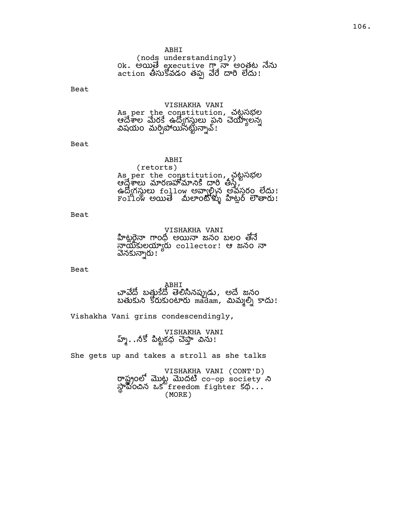#### ABHI

(nods understandingly) Ok. అయితే executive గ్తానా అంతట నేను action తీసుకోవడం తప్ప వేరే దారి లేదు!

Beat

#### VISHAKHA VANI

As per the constitution, చట సభల ఆల ర ఉగ ప లన విషయం మర్చిపోయినట్టున్నావ్!

Beat

ABHI (retorts) As per the constitution, చట సభల ఆ రణ , ఉద్యోగస్థులు follow అవ్వాల్సిన అవసరం లేదు! Follow అ ం ట !

Beat

VISHAKHA VANI హిట్లరైనా గాంధ్రీ అయినా జనం బలం తోనే నాయకులయ్యారు collector! ఆ జనం నా వెనకున్నారు !

Beat

ABHI చావేదో బత్తుకేదో తెలిసినప్పుడు, అదే జనం బతుకుని కోరుకుంటారు madam, మిమ్మల్ని కాదు!

Vishakha Vani grins condescendingly,

VISHAKHA VANI హ్మ్. .నకో పిట్టకధ చెప్తా విను!

She gets up and takes a stroll as she talks

VISHAKHA VANI (CONT'D) రాష్ట్రంలో మొట్ట మొదటి co-op society ని స్థినంచిన ఒక freedom fighter కథ... (MORE)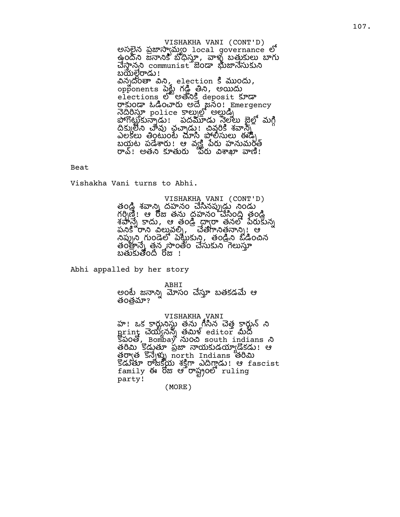VISHAKHA VANI (CONT'D) అసలైన ప్రజాస్వామ్యం local governance లో ఉందని జనానికి బోధిస్తూ, వాళ్ళ బత్తుకులు బాగు www.communist doc www.dxwsia బయేల్దేరాడు!  $\partial \lambda_j \partial \partial \varpi$ ိ  $\partial \lambda_j$  election  $\zeta$  ముందు, opponents పెర్ట్స్ గడ్డ్ తీని, అయిదు elections <sup>ල</sup>ීම මගීඨදී deposit හැං రాకుండా ఓడించారు అదే జనం! Emergency ပြွတိုက္တဲ့ bolice ခ်က္ဆိုက္လို ရုတ္တဲ့ဇူ పోగోట్జుకున్నాడు ! పదమూడు స్త్రేలు జైల్లో మగ్గి దీక్కులేని చావు చైచ్చాడు! చివరికి శవాన్ని ఎలకలు తింటుంటే చూసి పోలీసులు ఈడీృ బ య ట ప ! ఆ వ హ మ ం రావ్! అతని కూతురు ొపరు విశాఖా వాణి!

Beat

Vishakha Vani turns to Abhi.

VISHAKHA VANI (CONT'D) తండి శవాన్ని దహనం చేసినప్పుడు నిండు  $\delta$ గర్బత్: ఆ రోజు తను దహనం చేసింది తండ్రి శపాన్నే కాదు, ఆ తండ్రీ ధ్వారా తనలో పేరుకున్న పనికి రాని విలువల్ని, ్ చేతగానిత్తనాన్ని! ఆ  $\partial \omega$ )ని గుండెలో పెట్టుకుని, తండ్రి ఓడించిన త ం త న ం త ం  $\sim$ తుకుతోంది రోజు !

Abhi appalled by her story

ABHI

అంటే జనానిృ మోసం చేసూ బతకడమే ఆ తంత్రమా?

VISHAKHA VANI హ! ఒక కార్టునిస్టు తను గీసిన చెత్త కార్టున్ ని print చెయ్యినన్న తమిళ్ editor మీద  $\mathcal{L}$ හිරවී, Bombay నుంచి south indians  $\mathcal{L}$ తరీమి కొడ్డుతూ ప్రజా నాయకుడయ్యాడోకడు! ఆ ဖွဲတျှဖို့ 'ဒီလျှံဖွဲ့ north Indians ဗဝါဿ Sader రాజక్షయ శక్తిగా ఎదిగ్తాడు! ఆ fascist family ఈ రోజు ఆ రాష్ట్రంలో ruling p a r t y ! ( M O R E )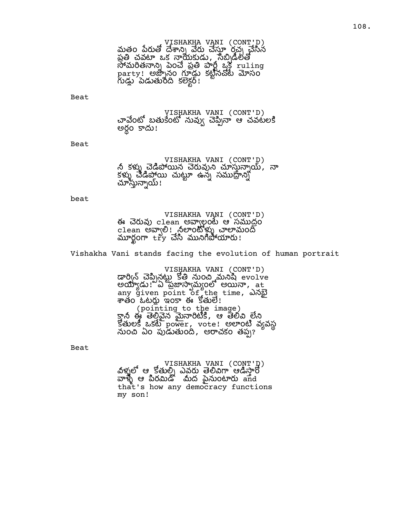VISHAKHA VANI (CONT'D) మతం పేరుతో దేశాన్ని చేస్తున్న రచ్చ చేసిన ప్రతి చవటా ఒక నాయకుడు, సేబ్బిడేలతో  $\overline{\partial}$  మరితనాన్ని పెంచే ప్రతి పార్ట్స్  $\frac{1}{2}$  ruling  $\overline{\text{party}}$ ! అజ్బానం గూడ్డు కట్టినచోట్ మోసం ం కక !

Beat

VISHAKHA VANI (CONT'D) చావేంటో బతుకేంటో నువ్వు చెప్పినా ఆ చవటలకి ...<br>అర్థం కాదు!

Beat

VISHAKHA VANI (CONT'D) నీ కళ్ళు చెడిపోయిన చెరువుని చూస్తున్నాయ్, నా కళ్ళు చేడిపోయి చుట్టూ ఉన్న సముద్రాన్ని<br>చూస్తున్నాయ్!

beat

VISHAKHA VANI (CONT'D) ఈ చెరువు clean అవా్గలంటే ఆ సముద్రం cTeau అలు రైల్ చేయంల్లోన్ని <sup>గుం</sup> మంద్ర www.com try చేసి మునిగిపోయారు!

Vishakha Vani stands facing the evolution of human portrait

VISHAKHA VANI (CONT'D) డార్విన్ చెప్పినట్టు కోతి నుంచి మనిషి evolve అయ్యాడు! ఏ ప్రజాస్వేమ్యంలో అయినా, at any given point of the time, ఎనబై శాతం ఓటర్లు ఇంకా ఈ కొతులే!

(pointing to the image) క్తానీ ఈ తెలివైన మైనారిటీకి, ఆ తెలివి లేని కేతులకి ఒకటే power, vote! అలాంటి వ్యవస్థ నుంచి ఏం పుడుతుంది, అరాచకం తప్ప?

Beat

VISHAKHA VANI (CONT'D) వళ్లులో ఆ కోతుల్ని ఎవరు తెలివిగా ఆడిసారో వాళ్ళే ఆ పిరమిడ్' మీద పైనుంటారు and that's how any democracy functions my son!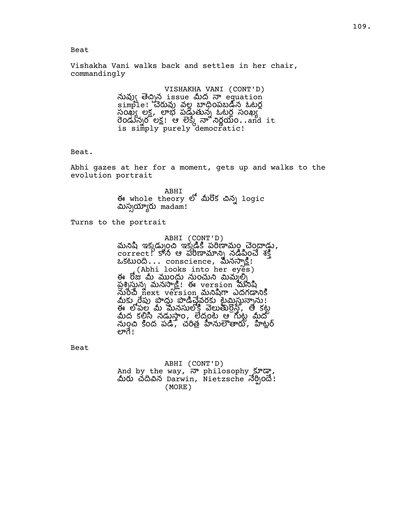### Beat

Vishakha Vani walks back and settles in her chair, commandingly

> VISHAKHA VANI (CONT'D) నువ్వు తెచ్చిన issue మీద నా equation simple! చెరువు వల్ల బాధింపబడిన ఓటర్ల సంఖ్య లక్ష, లాభ పడుతున్న ఓటర్ల సంఖ్య  $\overline{\text{do}}$ డున్నరోలక్ష! ఆ లెక్కే నా నిర్ణయం..and it is sim̃ply purely democr̃atic!

#### Beat.

Abhi gazes at her for a moment, gets up and walks to the evolution portrait

> ABHI ఈ whole theory లో మీరొక చిన్న logic మిస్పయ్యారు madam!

Turns to the portrait

# ABHI (CONT'D) మనిషి ఇక్కడ్నుంచి ఇక్కడికి పరిణామం చెంద్రాడు,  $\overline{\text{correct}}$  ,  $\overline{\text{S}}$   $\text{\&}$   $\overline{\text{S}}$   $\text{\&}$   $\overline{\text{S}}$   $\overline{\text{S}}$   $\overline{\text{S}}$   $\overline{\text{S}}$   $\overline{\text{S}}$   $\overline{\text{S}}$   $\overline{\text{S}}$   $\overline{\text{S}}$   $\overline{\text{S}}$   $\overline{\text{S}}$   $\overline{\text{S}}$   $\overline{\text{S}}$   $\overline{\text{S}}$   $\overline{\text{S}}$   $\overline{\text{S}}$   $\overline$ ఒకటుంది...  $\frac{1}{2}$  conscience, మీనస్పాక్షి! (Abhi looks into her eyes) ఈ రోజు మీ ముంద్దు నుంచుని మిమ్మల్ని ప్రశ్నిస్తున్న మనస్సాక్షి! ఈ version మనిషి నురిచే next version మనిషిగా ఎదగడానికి మీకు రేపు పొద్దు పొడిచేవరకు టైమిస్తున్నాను! ఈ లోపల్ల మీ మనసులోకి వెలుతుర్దోస్తే, తో కట్ట మీద కల్గిసి నడుస్తాం, లేదంటే ఆ గుట్ట మీదో మంచి కింద పడి, చరిత్ర హినులాతారు, హిట్లర్ లాగే!

Beat

ABHI (CONT'D) And by the way, నా philosophy కూడా,<br>మీరు చదివిన Darwin, Nietzsche నేర్పిందే! (MORE)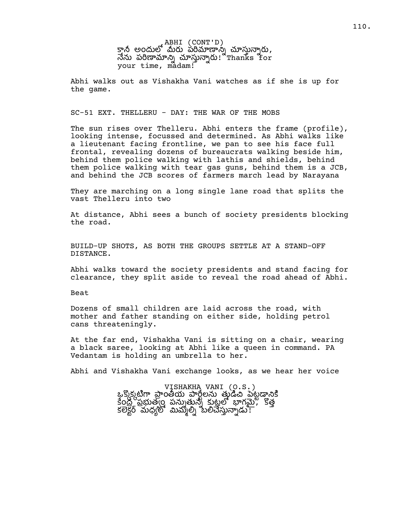ABHI (CONT'D) క్తానీ అందులో మీరు పరిమాణాన్న చూస్తున్నారు,  $\vec{a}$ သ သိပ်အသောလျှ သာလှသျှလ၊ "Thanks for your time, madam!

Abhi walks out as Vishakha Vani watches as if she is up for the game.

#### SC-51 EXT. THELLERU - DAY: THE WAR OF THE MOBS

The sun rises over Thelleru. Abhi enters the frame (profile), looking intense, focussed and determined. As Abhi walks like a lieutenant facing frontline, we pan to see his face full frontal, revealing dozens of bureaucrats walking beside him, behind them police walking with lathis and shields, behind them police walking with tear gas guns, behind them is a JCB, and behind the JCB scores of farmers march lead by Narayana

They are marching on a long single lane road that splits the vast Thelleru into two

At distance, Abhi sees a bunch of society presidents blocking the road.

BUILD-UP SHOTS, AS BOTH THE GROUPS SETTLE AT A STAND-OFF DISTANCE.

Abhi walks toward the society presidents and stand facing for clearance, they split aside to reveal the road ahead of Abhi.

Beat

Dozens of small children are laid across the road, with mother and father standing on either side, holding petrol cans threateningly.

At the far end, Vishakha Vani is sitting on a chair, wearing a black saree, looking at Abhi like a queen in command. PA Vedantam is holding an umbrella to her.

Abhi and Vishakha Vani exchange looks, as we hear her voice

VISHAKHA VANI (O.S.) ఒకుకుటిగా పాంతీయ పారీలను తుడిచి పెటడానికి  $\overline{5}$ ంద్ర ప్రభుత్వం పన్నుతున్న కుట్టలో భాగమై, కొత్త కలెక్టర్ మధ్యలో మిమ్మల్స్ బలిచేస్తున్నాడు!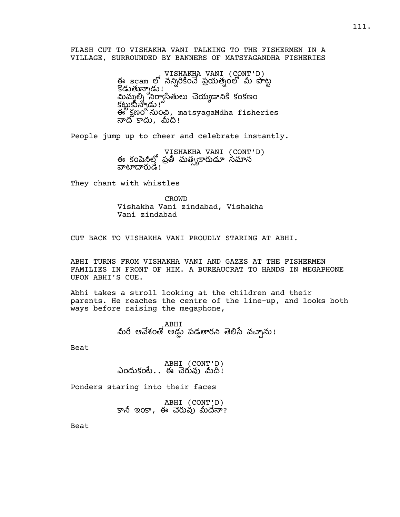FLASH CUT TO VISHAKHA VANI TALKING TO THE FISHERMEN IN A VILLAGE, SURROUNDED BY BANNERS OF MATSYAGANDHA FISHERIES

> VISHAKHA VANI (CONT'D)<br>ఈ scam లో నన్నిరికించే ప్రయత్నంలో మీ పొట్ట  $\mathbb{\tilde{S}}$ డుతున్నాడు ! $\frac{1}{2}$ మిములి సిరాసితులు చెయఁడానికి కంకణం క ! ఈ కూర్చుంది, matsyagaMdha fisheries  $\overline{N}$ దీ కాదు, మీదీ!

People jump up to cheer and celebrate instantly.

VISHAKHA VANI (CONT'D) ఈ కంపెనీల్లో ప్రతీ మత్స్యకారుడూ సమాన వాటాదారుడే !

They chant with whistles

CROWD Vishakha Vani zindabad, Vishakha Vani zindabad

CUT BACK TO VISHAKHA VANI PROUDLY STARING AT ABHI.

ABHI TURNS FROM VISHAKHA VANI AND GAZES AT THE FISHERMEN FAMILIES IN FRONT OF HIM. A BUREAUCRAT TO HANDS IN MEGAPHONE UPON ABHI'S CUE.

Abhi takes a stroll looking at the children and their parents. He reaches the centre of the line-up, and looks both ways before raising the megaphone,

> ABHI మీరీ ఆవేశంతో అడ్డు పడతారని తెలిసే వచ్చాను!

Beat

ABHI (CONT'D) ఎందుకంటే.. ఈ చెరువు మీది $:$ 

Ponders staring into their faces

ABHI (CONT'D) కానీ ఇంకా, ఈ చెరువు మీదేనా?

Beat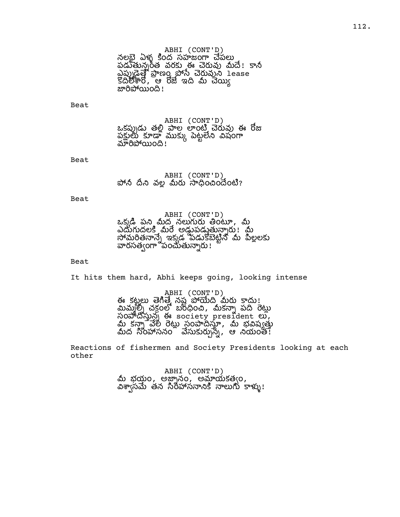ABHI (CONT'D) నలభై ఏళ్ళ కింద సహజంగా చేపలు పడుతున్నరత వరకు ఈ చెరువు మీదే! కానీ ఎప్పుడైత్తే ప్రాణం పోసే చేరువుని lease కొదిలేశారో, ఆ రోజే ఇది మీ చెయ్యి జారిపోయింది!

Beat

ABHI (CONT'D) ఒకప్పుడు తల్లి పాల లాంటి చెరువు ఈ రోజు ప ట షం మారిపోయింది!

Beat

ABHI (CONT'D) పోనీ దీని వల్ల మీరు సాధించిందెంటి?

Beat

ABHI (CONT'D) ఒక్కడి పని మీద నలుగురు తింటూ, మీ <u>ఎదుగుదలకి మీరే అడ్డుపడుతున్</u>నారు! మీ మత ఇకడ ప న లల వారసత్వంగా వంచుతున్నారు !

#### Beat

It hits them hard, Abhi keeps going, looking intense

ABHI (CONT'D) ఈ కట్టలు తెగిత్తే నష్ట పోయేది మీరు కాదు<u>!</u> మిమ్మల్) చక్రంలో బరిధించి, మీకన్నా పది రెట్లు సంవాదిస్తున్న ఈ society president లు,<br>మీ కన్నా వేలి రెట్లు సంపాదిస్తూ, మీ భవిష్యత్తు<br>మీద సింహాసనం నేసుకుర్చున్న, ఆ నియంత!

Reactions of fishermen and Society Presidents looking at each other

> ABHI (CONT'D)<br>మీ భయం, అజ్నానం, అమ్హాయకత్వం, విశాసమే తన సిరిహాసనానికి నాలుగు కాళ్ళు!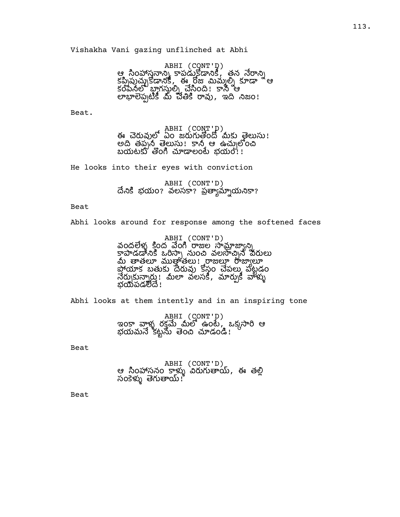Vishakha Vani gazing unflinched at Abhi

ABHI (CONT'D) ఆ సింహాస్త్రనాన్ని కాపడుకోడానికీ, తైన నేరాన్ని కప్పిపుచ్చుకోడానికి, ఈ రోజు మిమ్మల్ని కూడా <sup>ఇ</sup>ఆ కంపెనలో బాగస్తుల్ని చేసింది! కానీ ఆ లాభాలెప్పటికీ మే చేతికి రావు, ఇది నిజం!

Beat.

ABHI (CONT'D) ఈ చెరువులో ఏం జరుగుతోందో మీకు తైలుసు! అది తప్పన్ తెలుసు! కానీ ఆ ఉచ్చులోంచి బయటకు తొంగి చూడాలంటే భయం!!

He looks into their eyes with conviction

ABHI (CONT'D) దేనికి భయం? వలసకా? ప్రత్యామ్నాయనికా?

Beat

Abhi looks around for response among the softened faces

ABHI (CONT'D) వందలేళ్ళ కింద వేంగి రాజుల సామాజాఁనిృ కాపాడడానికి ఒరిస్తా నుంచి వలసాచిని విరులు <u>శ్రీ తాత్రంగా ముత్తుత్వంగా అవ్వారా - గ్రామం</u> ...<br>పోయాక బతుకు దేరువు కోసం చేపలు పటడం నేర్చుకున్నారు.! మీలా వలసకీ, మార్చుకీ వాళ్ళు భయవడలేదే!

Abhi looks at them intently and in an inspiring tone

ABHI (CONT'D)<br>ఇంకా వాళ్ళ రక్తమే మీలో ఉంటే, ఒక్కసారి ఆ భయమనే కట్టను తెంచి చూడండి!

Beat

ABHI (CONT'D) ఆ సింహాసనం కాళ్ళు విరుగుతాయ్, ఈ తల్లి సంకెళ్ళు తెగుతాయ్!ో

Beat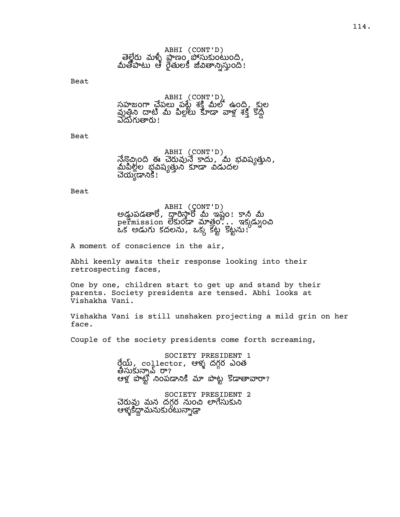Beat

ABHI (CONT'D) సహజంగా చేపలు పట్టే శక్తి మీలో ఉంది, కుల పుత్తిని దాటి మీ పిల్లలు కూడా వాళ్ల శక్తి కోద్ద్<br>ఎదుగుతారు!

Beat

ABHI (CONT'D) నేనొచ్చింది ఈ చెరువునే కాదు, మీ భవిష్యత్తుని,<br>మీపిల్లల భ్రవిష్యత్తుని కూడా విడుదల చెయ్యడానికి!

Beat

ABHI (CONT'D) అడ్డుపడతారో, దారిస్తారో మీ ఇష్టం! కానీ మీ  $p$ ermission లేకుండా మాత్రం... ఇక్కడ్నుంచి  $\frac{1}{2}$ లడుగు కదలను, ఒక్క కట్టే కట్టను!

A moment of conscience in the air,

Abhi keenly awaits their response looking into their retrospecting faces,

One by one, children start to get up and stand by their parents. Society presidents are tensed. Abhi looks at Vishakha Vani.

Vishakha Vani is still unshaken projecting a mild grin on her face.

Couple of the society presidents come forth screaming,

SOCIETY PRESIDENT 1 రేయ్, collector, ఆళ్ళ దగ్గర ఎంత తీసుకున్నావ్ రా? ఆళ్ల పాట్టి నింపడానికి మా పొట్ట కొడాతావారా?

SOCIETY PRESIDENT 2 చెరువు మన దగర నుంచి లాగేసుకుని ఆళ మం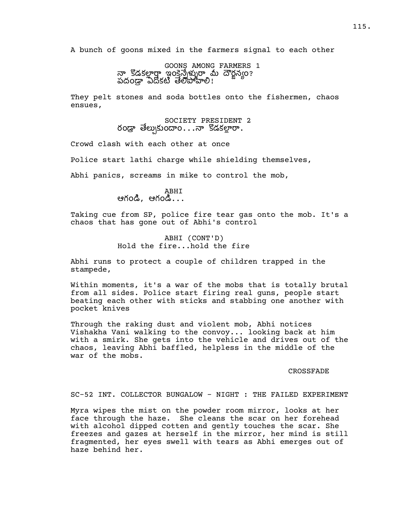A bunch of goons mixed in the farmers signal to each other

GOONS AMONG FARMERS 1 నా కొడకల్లార్హ్హా ఇంకెన్నేళ్ళురా మీ దౌర్జన్యం? పదండా ఏదోకటి తేలోపోహీలి!

They pelt stones and soda bottles onto the fishermen, chaos ensues,

society president 2<br>Yoడ్రా తేల్చుకుందాం $\ldots$ నా కొడకల్లారా.

Crowd clash with each other at once

Police start lathi charge while shielding themselves,

Abhi panics, screams in mike to control the mob,

ABHI ఆగండి, ఆగండి $\ldots$ 

Taking cue from SP, police fire tear gas onto the mob. It's a chaos that has gone out of Abhi's control

### ABHI (CONT'D) Hold the fire...hold the fire

Abhi runs to protect a couple of children trapped in the stampede,

Within moments, it's a war of the mobs that is totally brutal from all sides. Police start firing real guns, people start beating each other with sticks and stabbing one another with pocket knives

Through the raking dust and violent mob, Abhi notices Vishakha Vani walking to the convoy... looking back at him with a smirk. She gets into the vehicle and drives out of the chaos, leaving Abhi baffled, helpless in the middle of the war of the mobs.

#### CROSSFADE

#### SC-52 INT. COLLECTOR BUNGALOW - NIGHT : THE FAILED EXPERIMENT

Myra wipes the mist on the powder room mirror, looks at her face through the haze. She cleans the scar on her forehead with alcohol dipped cotten and gently touches the scar. She freezes and gazes at herself in the mirror, her mind is still fragmented, her eyes swell with tears as Abhi emerges out of haze behind her.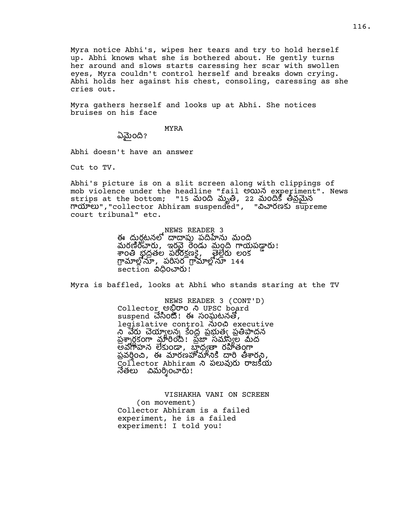Myra notice Abhi's, wipes her tears and try to hold herself up. Abhi knows what she is bothered about. He gently turns her around and slows starts caressing her scar with swollen eyes, Myra couldn't control herself and breaks down crying. Abhi holds her against his chest, consoling, caressing as she cries out.

Myra gathers herself and looks up at Abhi. She notices bruises on his face

MYRA

ఏమైంది?

Abhi doesn't have an answer

Cut to TV.

Abhi's picture is on a slit screen along with clippings of mob violence under the headline "fail అయిన experiment". News strips at the bottom; "15 మంది మృతి, 22 మందికి తీవ్రమైన mయాలు", "collector Abhiram suspended", "నిచారణకు supreme court tribunal" etc.

> NEWS READER 3 ఈ దురటనలో దాదాపు పదిహేను మంది మరణీంచారు, ఇరవై రెండు మంది గాయపడ్డారు! శాంతి భద్రతల పరిరక్షణకై, ్యాల్లేరు లంక గ్రామాల్లోనూ, పరిసర గ్రామాల్లోనూ 144 section విధించారు!

Myra is baffled, looks at Abhi who stands staring at the TV

NEWS READER 3 (CONT'D) collector అభిరాం ని UPSC board  $s$ uspend చేసింటి. ఈ సంఘటనతో, legislative control నుంచి executive ని వేరు చెయ్యాలన్న కేంద్ర ప్రభుత్వ ప్రతిపాదన ప్రశ్నార్ధకంగా మారింది! ప్రజా సమస్యల మీద అవగాహన లేకుండా, బాధ్యతా రహితంగా ప్రవర్గం ఈ మారణహోమానికి దారి తీశారని, Collector Abhiram ని పలువురు రాజకీయ నేతలు విమర్శించారు!

VISHAKHA VANI ON SCREEN (on movement) Collector Abhiram is a failed experiment, he is a failed experiment! I told you!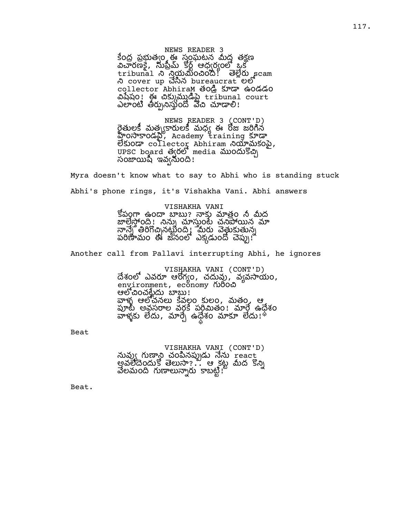NEWS READER 3 కేంద పబుత్వం ఈ సంఘటన మీద తకణ  $\overline{\mathcal{S}}$ రణక్గి, సుప్రీమ్ కోర్ట్ ఆధ్వర్యంలో ఒక tribunal యంం! scam ని cover up చేసిన bureaucrat లలో collector AbhiraM తండి కూడా ఉండడం သို့သည်။ အသံစားအတွင်းများ court ఎలాంటి తీర్చునిస్తుంది వేచి చూడాలి!

NEWS READER 3 (CONT'D) రెతులకీ మత్యకారులకీ మద్ద ఈ రోజు జరిగిన హింసాకాండని, Academy training కూడా లేకుండా  $\cot 1$ ector Abhiram నియామకంపై, UPSC board త్వరలో media ముందుకొచ్చి సంజాయిషీ ఇవ్వనుంది!

Myra doesn't know what to say to Abhi who is standing stuck Abhi's phone rings, it's Vishakha Vani. Abhi answers

> VISHAKHA VANI కోపంగా ఉందా బాబు? నాకు మాత్రం నీ మీద జాల్తెస్తోంది! నిన్ను చూస్తుంటే చనిపోయిన మా నాన్నే తిరిగొచ్చినట్టింది. మేరు వెత్తుకుతున్న పరిణామం ఈ జనంలో ఎక్కడుందో చెప్పు!

Another call from Pallavi interrupting Abhi, he ignores

VISHAKHA VANI (CONT'D) దేశంలో ఎవరూ ఆరోగ్యం, చదువు, వ్యవసాయం, environment, economy గురించి ఆలోచించళ్లేుదు బాబు! వాళ్ళ ఆలోచనలు కేవల్గం కులం, మతం, ఆ పూట్ అవసరాల వర్గకే పరిమితం! మార్గే ఉధేశం వాళ్ళకు లేదు, మార్చే ఉధేశం మాకూ లేదు.'

Beat

VISHAKHA VANI (CONT'D) నువ్వు గుణ్యా చంపినప్పుడు నేను react అవలేదేందుకో తెలుసా?... ఆ కట్ట మీద కొన్ని వేలమంది గుణాలున్నారు కాబట్టి!ీ

Beat.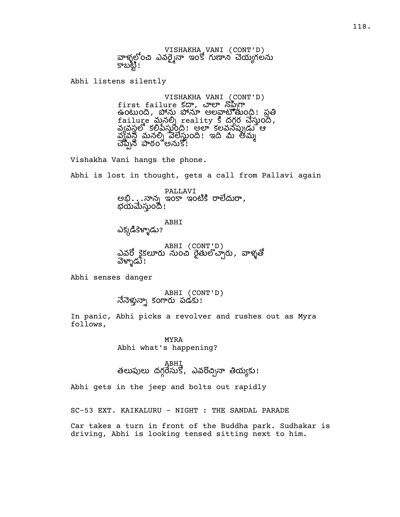VISHAKHA VANI (CONT'D) వాళ్ళలోంచి ఎవరె నా ఇంకో గుణాని చెయఁగలను కాబట్టి!

Abhi listens silently

VISHAKHA VANI (CONT'D) first failure కదా, చాలా నొప్పిగా ఉంటుంది, పోను పోనూ అలవాటోతుంది! ప్రతి railure మనల్ని reality 5 దగ్గర చేస్తుంది, వ్యవస్థలో కలిపేస్తుంది! అలా కలవనేప్పుడు ఆ చ్యవస్థి మనల్ని వేలేస్తుంది! ఇది మీ అమ్మ చెప్పిన పాఠం అనుకో!

Vishakha Vani hangs the phone.

Abhi is lost in thought, gets a call from Pallavi again

PALLAVI అభి $\ldots$ నాన్న ఇంకా ఇంటికి రాలేదురా, భయమేస్తుంది!

ABHI ఎక్కడికెళ్ళాడు?

ABHI (CONT'D) ఎవరో కైకలూరు నుంచి రైతులొచ్చారు, వాళ్ళతో వెళ్ళాడు !

Abhi senses danger

ABHI (CONT'D) నేనెళ్తున్నా కంగారు పడకు!

In panic, Abhi picks a revolver and rushes out as Myra follows,

> MYRA Abhi what's happening?

ABHI తలుపులు దగ్గరేసుకో, ఎవరొచ్చినా తియ్యకు!

Abhi gets in the jeep and bolts out rapidly

SC-53 EXT. KAIKALURU - NIGHT : THE SANDAL PARADE

Car takes a turn in front of the Buddha park. Sudhakar is driving, Abhi is looking tensed sitting next to him.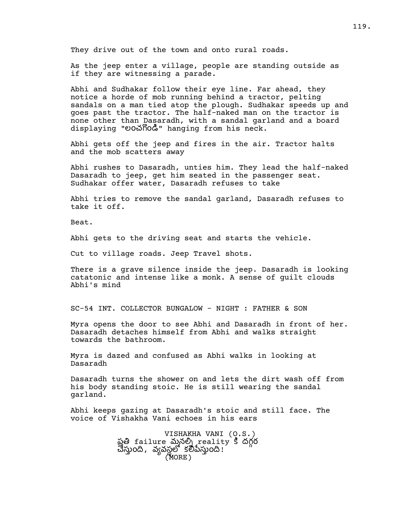They drive out of the town and onto rural roads.

As the jeep enter a village, people are standing outside as if they are witnessing a parade.

Abhi and Sudhakar follow their eye line. Far ahead, they notice a horde of mob running behind a tractor, pelting sandals on a man tied atop the plough. Sudhakar speeds up and goes past the tractor. The half-naked man on the tractor is none other than Dasaradh, with a sandal garland and a board displaying "లంచగొండి" hanging from his neck.

Abhi gets off the jeep and fires in the air. Tractor halts and the mob scatters away

Abhi rushes to Dasaradh, unties him. They lead the half-naked Dasaradh to jeep, get him seated in the passenger seat. Sudhakar offer water, Dasaradh refuses to take

Abhi tries to remove the sandal garland, Dasaradh refuses to take it off.

Beat.

Abhi gets to the driving seat and starts the vehicle.

Cut to village roads. Jeep Travel shots.

There is a grave silence inside the jeep. Dasaradh is looking catatonic and intense like a monk. A sense of guilt clouds Abhi's mind

SC-54 INT. COLLECTOR BUNGALOW - NIGHT : FATHER & SON

Myra opens the door to see Abhi and Dasaradh in front of her. Dasaradh detaches himself from Abhi and walks straight towards the bathroom.

Myra is dazed and confused as Abhi walks in looking at Dasaradh

Dasaradh turns the shower on and lets the dirt wash off from his body standing stoic. He is still wearing the sandal garland.

Abhi keeps gazing at Dasaradh's stoic and still face. The voice of Vishakha Vani echoes in his ears

> VISHAKHA VANI (O.S.) ప్రతి failure మనల్ని reality కి దగ్గర చేస్తుంది, వ్యవస్థలో కలీపేస్తుంది! (MORE)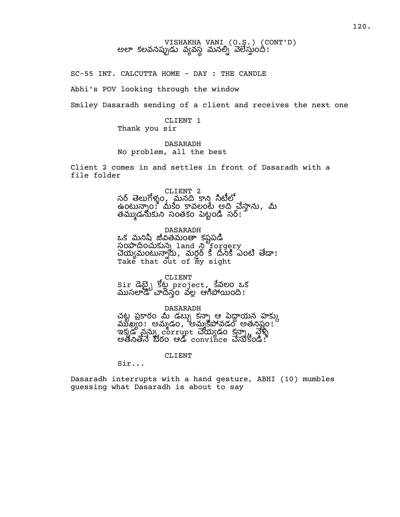# VISHAKHA VANI (O.S.) (CONT'D) అలా కలవనప్పుడు వ్యవస్థ మనల్ని వెలేస్తుంది!

SC-55 INT. CALCUTTA HOME - DAY : THE CANDLE

Abhi's POV looking through the window

Smiley Dasaradh sending of a client and receives the next one

CLIENT 1 Thank you sir

DASARADH No problem, all the best

Client 2 comes in and settles in front of Dasaradh with a file folder

CLIENT 2

సర్ తెలుగోళ్ళం, మనది కాని సిటీలో ఉంటున్నాం! మీకేం కావలంటే అది చేస్తాను, మీ తమ్ముడనుకుని సంతకం పెట్టండి సర్:

DASARADH

ఒక మనిపి జీవితమంతా కపపడి సంపాదించుకున్న land ని forgery చేయ్యమంటున్నారు , మర్దర్ కి దేనికి ఎంటి తేడా! Take that out of m̈y sight

CLIENT Sir డెబ్బై కోట్ల project, కేవలం ఒక స్ట్ స్టాండ్ స్ట్రాండ్ ఆగిపోయింది!

DASARADH చట్ట ప్రకారం మీ డబ్బు కన్నా ఆ పెద్దాయన హక్కు<br>ముఖ్యం! అమ్మడం, అమ్మకపోవడం అతనిష్టం!  $\sim$ శక్కడ నన్ను corrupt చేయ్యడం కన్నా, వెళ్ళీ అతోనితోనే బీరం ఆడి convince చేసుకోండి!

CLIENT

Sir...

Dasaradh interrupts with a hand gesture, ABHI (10) mumbles guessing what Dasaradh is about to say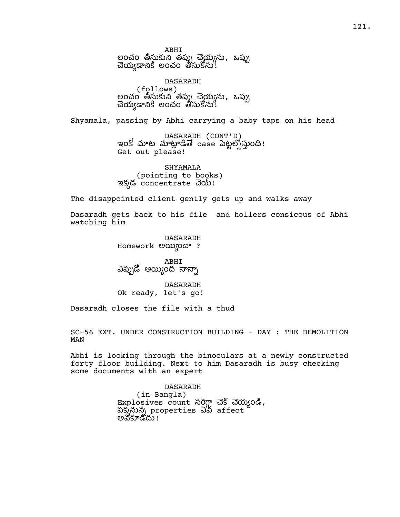ABHI లంచం తీస్తుకుని తప్పు చెయ్యను, ఒప్పు చెయ్యడానికి లంచం తీసుకోను!

DASARADH (follows) లంచం తీసుకుని తప్పు చెయ్యను, ఒప్పు చెయ్యడానికి లంచం తీసుకోను!

Shyamala, passing by Abhi carrying a baby taps on his head

DASARADH (CONT'D) ఇంకో మాట మాట్లాడితే case పెట్టల్సోస్తుంది! Get out please!

SHYAMALA (pointing to books) ఇక్కడ concentrate చెయ్!

The disappointed client gently gets up and walks away

Dasaradh gets back to his file and hollers consicous of Abhi watching him

> DASARADH Homework అయ్యిందా?

ABHI ఎప్పుడో అయ్యింది నాన్నా

DASARADH Ok ready, let's go!

Dasaradh closes the file with a thud

SC-56 EXT. UNDER CONSTRUCTION BUILDING - DAY : THE DEMOLITION MAN

Abhi is looking through the binoculars at a newly constructed forty floor building. Next to him Dasaradh is busy checking some documents with an expert

> DASARADH (in Bangla) Explosives count సర్గిగ్గా చెక్ చెయ్యండి, పక్కనున్న properties ఏపీ affect అవకూడదు !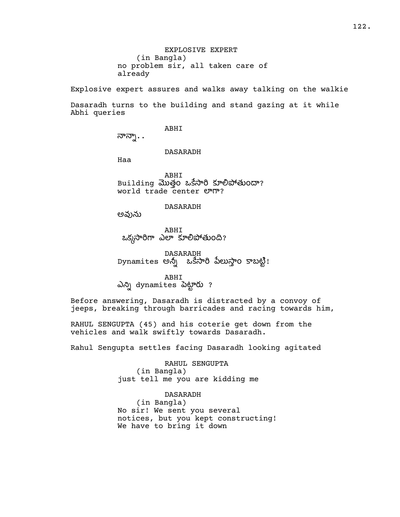Explosive expert assures and walks away talking on the walkie

Dasaradh turns to the building and stand gazing at it while Abhi queries

ABHI

నాన్నా..

DASARADH

Haa

ABHI Building మొత్తం ఒకేసారి కూలిపోతుందా? world trade center **erm?** 

DASARADH

అవును

ABHI ఒక్కసారిగా ఎలా కూలిపోతుంది?

DASARADH Dynamites అన్నీ ఒకేసారి పేలుస్తాం కాబట్టి!

ABHI ఎన్ని dynamites పెట్టారు ?

Before answering, Dasaradh is distracted by a convoy of jeeps, breaking through barricades and racing towards him,

RAHUL SENGUPTA (45) and his coterie get down from the vehicles and walk swiftly towards Dasaradh.

Rahul Sengupta settles facing Dasaradh looking agitated

RAHUL SENGUPTA (in Bangla) just tell me you are kidding me

DASARADH (in Bangla) No sir! We sent you several notices, but you kept constructing! We have to bring it down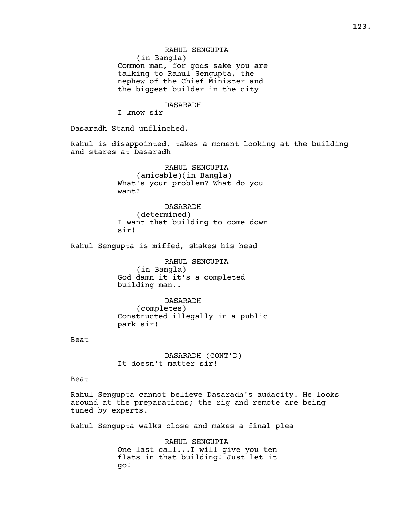RAHUL SENGUPTA (in Bangla) Common man, for gods sake you are talking to Rahul Sengupta, the nephew of the Chief Minister and the biggest builder in the city

#### DASARADH

I know sir

Dasaradh Stand unflinched.

Rahul is disappointed, takes a moment looking at the building and stares at Dasaradh

> RAHUL SENGUPTA (amicable)(in Bangla) What's your problem? What do you want?

DASARADH (determined) I want that building to come down sir!

Rahul Sengupta is miffed, shakes his head

RAHUL SENGUPTA (in Bangla) God damn it it's a completed building man..

DASARADH (completes) Constructed illegally in a public park sir!

Beat

DASARADH (CONT'D) It doesn't matter sir!

Beat

Rahul Sengupta cannot believe Dasaradh's audacity. He looks around at the preparations; the rig and remote are being tuned by experts.

Rahul Sengupta walks close and makes a final plea

RAHUL SENGUPTA One last call...I will give you ten flats in that building! Just let it go!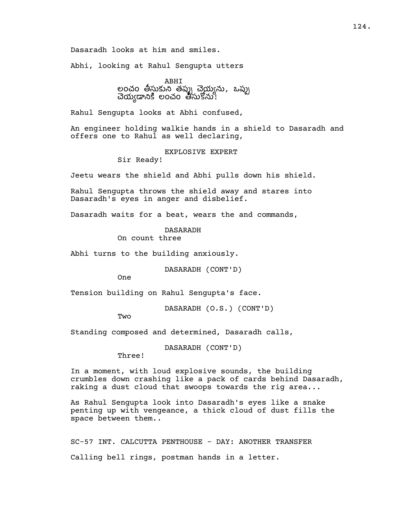Dasaradh looks at him and smiles.

Abhi, looking at Rahul Sengupta utters

ABHI లంచం తీస్తుకుని తప్పు చెయ్యను, ఒప్పు చెయ్యడానికి లంచం తీసుకోను!

Rahul Sengupta looks at Abhi confused,

An engineer holding walkie hands in a shield to Dasaradh and offers one to Rahul as well declaring,

EXPLOSIVE EXPERT

Sir Ready!

Jeetu wears the shield and Abhi pulls down his shield.

Rahul Sengupta throws the shield away and stares into Dasaradh's eyes in anger and disbelief.

Dasaradh waits for a beat, wears the and commands,

DASARADH

On count three

Abhi turns to the building anxiously.

DASARADH (CONT'D)

One

Tension building on Rahul Sengupta's face.

DASARADH (O.S.) (CONT'D)

**Two** 

Standing composed and determined, Dasaradh calls,

DASARADH (CONT'D)

Three!

In a moment, with loud explosive sounds, the building crumbles down crashing like a pack of cards behind Dasaradh, raking a dust cloud that swoops towards the rig area...

As Rahul Sengupta look into Dasaradh's eyes like a snake penting up with vengeance, a thick cloud of dust fills the space between them..

SC-57 INT. CALCUTTA PENTHOUSE - DAY: ANOTHER TRANSFER Calling bell rings, postman hands in a letter.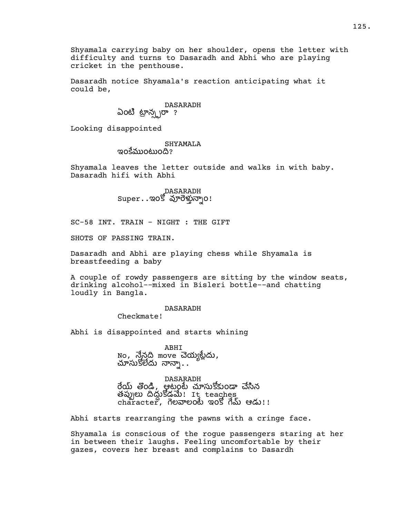Shyamala carrying baby on her shoulder, opens the letter with difficulty and turns to Dasaradh and Abhi who are playing cricket in the penthouse.

Dasaradh notice Shyamala's reaction anticipating what it could be,

## DASARADH ఏంటి ట్రాన్స్టరా ?

Looking disappointed

#### SHYAMALA ఇంకేముంటుంది?

Shyamala leaves the letter outside and walks in with baby. Dasaradh hifi with Abhi

DASARADH<br>Super.マ.ఇంకో వూరెళ్తున్నాం!

SC-58 INT. TRAIN - NIGHT : THE GIFT

SHOTS OF PASSING TRAIN.

Dasaradh and Abhi are playing chess while Shyamala is breastfeeding a baby

A couple of rowdy passengers are sitting by the window seats, drinking alcohol--mixed in Bisleri bottle--and chatting loudly in Bangla.

### DASARADH

Checkmate!

Abhi is disappointed and starts whining

ABHI no, నేనది move చెయ్యట్లేదు,<br>చూసుకోలేదు నాన్నా..

DASARADH రేయ్ తొండి, ఆటంటే చూసుకోకుండా చేసిన త డ! It teaches  $charcter$ , గెలవాలంటే ఇంకో గేమ్ ఆడు!!

Abhi starts rearranging the pawns with a cringe face.

Shyamala is conscious of the rogue passengers staring at her in between their laughs. Feeling uncomfortable by their gazes, covers her breast and complains to Dasardh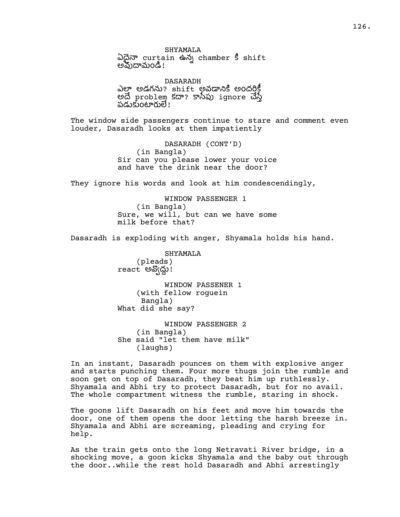SHYAMALA ఏదైనా curtain ఉన్న chamber కి shift అవుదామండి!

DASARADH ఎల్తా అడగను? shift అవడానికి అందర్తికీ అదే problem కదా? కానేపు ignore చేస్తే పడుకుంటారులే!

The window side passengers continue to stare and comment even louder, Dasaradh looks at them impatiently

> DASARADH (CONT'D) (in Bangla) Sir can you please lower your voice and have the drink near the door?

They ignore his words and look at him condescendingly,

WINDOW PASSENGER 1 (in Bangla) Sure, we will, but can we have some milk before that?

Dasaradh is exploding with anger, Shyamala holds his hand.

SHYAMALA (pleads) react అ !

WINDOW PASSENER 1 (with fellow roguein Bangla) What did she say?

WINDOW PASSENGER 2 (in Bangla) She said "let them have milk" (laughs)

In an instant, Dasaradh pounces on them with explosive anger and starts punching them. Four more thugs join the rumble and soon get on top of Dasaradh, they beat him up ruthlessly. Shyamala and Abhi try to protect Dasaradh, but for no avail. The whole compartment witness the rumble, staring in shock.

The goons lift Dasaradh on his feet and move him towards the door, one of them opens the door letting the harsh breeze in. Shyamala and Abhi are screaming, pleading and crying for help.

As the train gets onto the long Netravati River bridge, in a shocking move, a goon kicks Shyamala and the baby out through the door..while the rest hold Dasaradh and Abhi arrestingly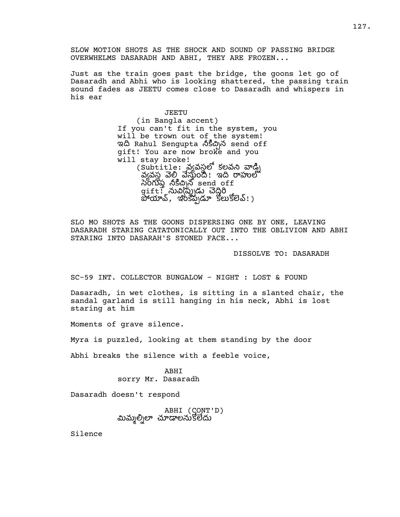SLOW MOTION SHOTS AS THE SHOCK AND SOUND OF PASSING BRIDGE OVERWHELMS DASARADH AND ABHI, THEY ARE FROZEN...

Just as the train goes past the bridge, the goons let go of Dasaradh and Abhi who is looking shattered, the passing train sound fades as JEETU comes close to Dasaradh and whispers in his ear

> JEETU (in Bangla accent) If you can't fit in the system, you will be trown out of the system! ఇది Rahul Sengupta నీకిచిన send off gift! You are now broke and you will stay broke! (Subtitle: వ్యవస్థలో కలవని వాడ్డి) వ్యవస్థ వేస్తుంది! ఇది రాహుల్ సీంగుప్ప నీకిచ్చన్ send off  $\texttt{gift}$ ှိလ်တိုလ္တိုက် အထို့ဝ పోయావ్, ఇంకెప్పడూ కోలుకోలెవ్! )

SLO MO SHOTS AS THE GOONS DISPERSING ONE BY ONE, LEAVING DASARADH STARING CATATONICALLY OUT INTO THE OBLIVION AND ABHI STARING INTO DASARAH'S STONED FACE...

DISSOLVE TO: DASARADH

SC-59 INT. COLLECTOR BUNGALOW - NIGHT : LOST & FOUND

Dasaradh, in wet clothes, is sitting in a slanted chair, the sandal garland is still hanging in his neck, Abhi is lost staring at him

Moments of grave silence.

Myra is puzzled, looking at them standing by the door

Abhi breaks the silence with a feeble voice,

ABHI sorry Mr. Dasaradh

Dasaradh doesn't respond

ABHI (CONT'D) మిమ్మల్నిలా చూడాలనుకోలేదు

Silence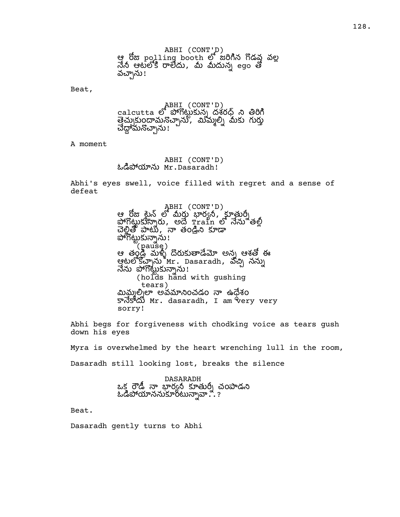Beat,

ABHI (CONT'D)  $c$ alcutta లో పోగొట్టుకున్న దశ్రద్ధ ని తిరిగి త్తెచ్చుకుందామనొచ్చాను, మిమ్మల్ని మీకు గుర్తు చేద్దామనచ్చాను!<br>చేద్దామనచ్చాను!

A moment

### ABHI (CONT'D) ఓడిపోయాను Mr.Dasaradh!

Abhi's eyes swell, voice filled with regret and a sense of defeat

> ABHI (CONT'D) ఆ రోజు టైన్ లో మీరు భార్యనీ, కూతుర్ని<br>పోగొట్టుకున్నారు, అదే ±ైrain లో నేను తల్లీ చెల్లితో పాటు, నా తండ్రిని కూడా .<br>పోగొట్టుకున్నాను ! ొ(paus̃e)<br>ఆ తండి మళ్ళీ దొరుకుతాడేమో అన్న ఆశతో ఈ ఆటలోకొచ్చాను  $^8$ Mr. Dasaradh, వోచ్చి నన్ను నేను పోగోట్టుకున్నాను! (holds hand with gushing tears) మిమ్మలిృలా అవమానించడం నా ఉధేశం  $\overline{S}$ ින්රාී Mr. dasaradh, I am  $\overline{V}$ ery very sorry!

Abhi begs for forgiveness with chodking voice as tears gush down his eyes

Myra is overwhelmed by the heart wrenching lull in the room, Dasaradh still looking lost, breaks the silence

> DASARADH ఒక రౌడీ నా భార్యనీ కూతుర్నీ చంపాడని ఓడిపోయాననుకూరటున్నావా...?

Beat.

Dasaradh gently turns to Abhi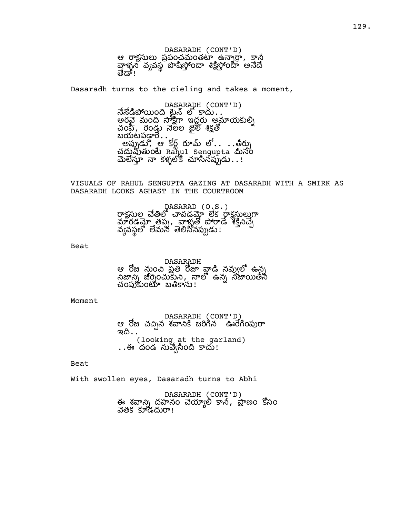DASARADH (CONT'D) ఆ రాక్షసులు ప్రపంచమంతటా ఉన్నార్తా, కానీ వాళ్ళ వనస్తు విస్తరం శికిస్తరం అనేదే ತಹಿ"!

Dasaradh turns to the cieling and takes a moment,

DASARADH (CONT'D) నేనోడిపోయింది ట్లైన్ లో కాదు అర మం ఇద అయ చంపి, రెండు నెలల జైల్ శిక్షతో  $\overline{\mathrm{u}}$ యటపడ్డారే $\overline{\mathrm{u}}$ . అప్పుడు, ఆ కోర్ట్ రూమ్ లో.. . . తీర్పు చదువుతుంటే Rahul Sengupta మీసం మెలేస్తూ నా కళ్ళలోకి చూసినప్పుడు $\ldots$ !

VISUALS OF RAHUL SENGUPTA GAZING AT DASARADH WITH A SMIRK AS DASARADH LOOKS AGHAST IN THE COURTROOM

> pasarap (o.s.)<br>రాకసుల చేతిలో చావడమో లేక రాకసులుగా మారడమ్ తప్ప, వాళ్ళతో పోరాడే శక్తినచ్చే వ్యవస్థలో లేమన తెలిసినప్పుడు!

Beat

DASARADH ఆ రోజు నుంచి పతి రోజా వాడి నవుఁలో ఉన్న నిజాన్ని జర్నించుకుని, నాలో ఉన్న నిజాయితీసి చంపుకుంటూ బతికాను!

Moment

DASARADH (CONT'D) ఆ రోజ చచ్చిన శవానికి జరిగిన ఊరేగింపురా ಇದಿ $\ldots$ (looking at the garland) . .ఈ దండ నువెఁసింది కాదు!

Beat

With swollen eyes, Dasaradh turns to Abhi

DASARADH (CONT'D) ఈ శ్రవాన్ని ద్రహనం చెయ్యాలి కానీ, ప్రాణం కోసం వేతక కూడదురా!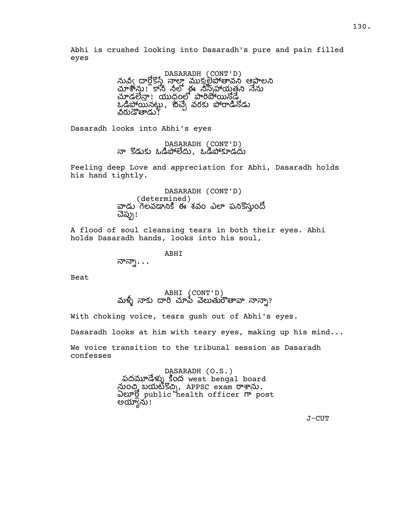Abhi is crushed looking into Dasaradh's pure and pain filled eyes

> DASARADH (CONT'D)<br>నువీఁ దారోకోసే నాలా ముక్రులెపోతావని ఆపాలని చూశాను! కాసీ సలో ఈ సిస్సహాయతని నేను చూడలేనా! యుధంలో పారిపోయినోడే, ఒడిపోయినట్లు, జేచ్చే వరకు పోరాడినోడు వరుడౌతాడు**!**

Dasaradh looks into Abhi's eyes

DASARADH (CONT'D) నా కొడుకు ఓడిపోలేదు, ఓడిపోకూడదు

Feeling deep Love and appreciation for Abhi, Dasaradh holds his hand tightly.

> DASARADH (CONT'D) (determined) వాడు గెలవడానికి ఈ శవం ఎలా పనికొస్తుందో చెప్పు!

A flood of soul cleansing tears in both their eyes. Abhi holds Dasaradh hands, looks into his soul,

> ABHI  $\sigma$ న్నా $\ldots$

Beat

ABHI (CONT'D) మళ్ళీ నాకు దారి చూపే వెలుతురౌతావా నాన్నా?

With choking voice, tears gush out of Abhi's eyes.

Dasaradh looks at him with teary eyes, making up his mind...

We voice transition to the tribunal session as Dasaradh confesses

> DASARADH (O.S.) పదమూడేళ్ళు కింద west bengal board  $\tilde{\omega}$ ၀ဆ္ బయటికొచ్చి, APPSC exam రాశాను. ఏ public health officer post అయ్యాను!

> > J-CUT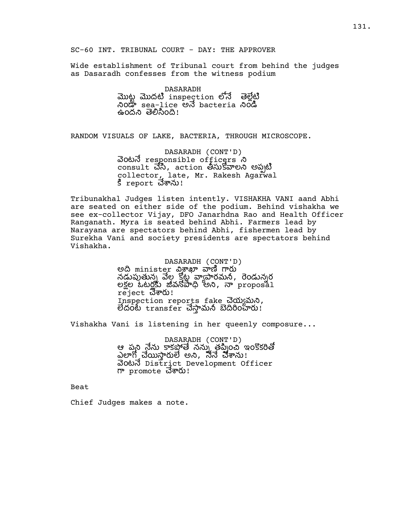SC-60 INT. TRIBUNAL COURT - DAY: THE APPROVER

Wide establishment of Tribunal court from behind the judges as Dasaradh confesses from the witness podium

> DASARADH ಮುಟ್ಟ ಮುದಟಿ inspection ಲಿನೆ ತಠ್ಲೆಟಿ වෙ sea-lice ම bacteria වගකී ఉందని తెలిసింది!

RANDOM VISUALS OF LAKE, BACTERIA, THROUGH MICROSCOPE.

DASARADH (CONT'D) බ්රහය responsible officers  $\infty$  $\frac{1}{2}$  consult చెసి, action తీసుకోవాలని అప్పటి collector, late, Mr. Rakesh Agarwal కి report చేశాను!

Tribunakhal Judges listen intently. VISHAKHA VANI aand Abhi are seated on either side of the podium. Behind vishakha we see ex-collector Vijay, DFO Janarhdna Rao and Health Officer Ranganath. Myra is seated behind Abhi. Farmers lead by Narayana are spectators behind Abhi, fishermen lead by Surekha Vani and society presidents are spectators behind Vishakha.

> DASARADH (CONT'D) అది minister విశాఖా వాణి గారు నడుపుతున్న వేల కోట వ్యాపారమనీ, రెండున్నర లక్షల ఓటర్లకు జీవనోపాధి అని, నా proposa1 reject *చే*శారు! Inspection reports fake యమ, లెదంటె transfer చేస్తామనీ బెదిరింహరు!

Vishakha Vani is listening in her queenly composure...

DASARADH (CONT'D) ఆ పని నేను కాకపోతే నను\ తపిౖంచీ ఇంకొకరితో ఎలాగో చేయిస్తారులే అని, నేనే చేశాను! ంట District Development Officer  $m$  promote ධි $\overline{w}$ 0)!

Beat

Chief Judges makes a note.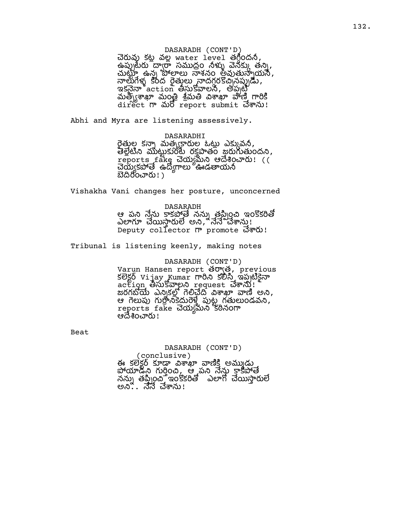## DASARADH (CONT'D) చెరువు కట్ల వల్ల water level తగ్గిందనీ,  $\widetilde{\mathcal{A}}$ ప్పురేయ ద్వారా సముద్రం నీళ్ళు వెనక్కు తన్ని, ఉ న శ న ం అ య , నాలుగేళ్ళ కేంద రైతులు నాదగ్గరకొచ్చనప్పుడు, ಇకనైనా $^{\circ}$ action తీసుకోవాలనీ, అప్పట్టి మత్వ గా మార్చార్ - సమత్ - సమత్ - సాంశ్రీ, గారికి direct m మరో report submit చేశాను!

Abhi and Myra are listening assessively.

## DASARADHI

రైత్మల కన్నా మత్ర్యకారుల ఓట్లు ఎక్కువనీ, తేల్లేటిని ముట్టుకుంటే రక్తపాతం జయగుతుందని, reports fake చెయ్యమని ఆదేశించారు! (( చెయ్యకపోతే ఉదోగాలు <del>"ఊ</del>డతాయనీ బెదిరించారు! )

Vishakha Vani changes her posture, unconcerned

## D A S A RA D H

ఆ పని నేను కాకపోతే ననుృ తప్పించి ఇంకొకరితో  $\delta$ లాగూ చేయిస్తారులే అని, నేనే చేశాను! Deputy collector nº promote 300!

Tribunal is listening keenly, making notes

## DASARADH (CONT'D) Varun Hansen report తర్వాత, previous కలెక్టర్ vijay Kumar గారిని కలిసి ఇప్పటికైనా action ဗိုလ်ဒီဆူ့ပုဂံ request చేశాను! ಹರಗಬೆಯ ಎನ್ಸಿತಲ್ಲಿ ಗಲಿವದಿ ವಿಶಾಖ್ ವ್ಯಾ ಅನಿ, త గెలుపు గుర్రానికేదురెళ్తే పుట్ట్ గతులుండవని, reports fake చెయ్యమన కఠినంగా ఆదేశించారు !

Beat

# DASARADH (CONT'D)

(conclusive) ఈ కలెకర్ కూడా విశాఖా వాణికి అము్డు పోయాడీసి గుర్తించి, ఆ పని నేను కాకపోతే నను৷ తప్పించే ఇంకకరితో ఎలాగో చేయిసారులే ಅನಿ .. ನೆನೆ ವೆశాను!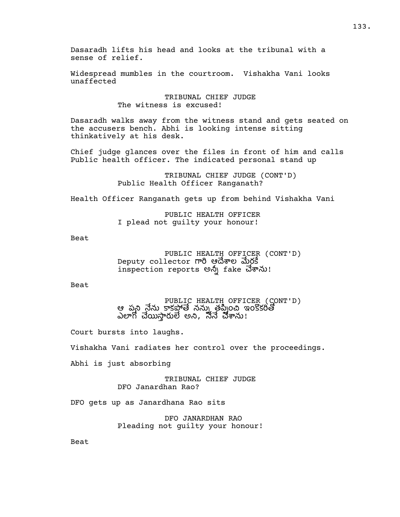Dasaradh lifts his head and looks at the tribunal with a sense of relief.

Widespread mumbles in the courtroom. Vishakha Vani looks unaffected

> TRIBUNAL CHIEF JUDGE The witness is excused!

Dasaradh walks away from the witness stand and gets seated on the accusers bench. Abhi is looking intense sitting thinkatively at his desk.

Chief judge glances over the files in front of him and calls Public health officer. The indicated personal stand up

> TRIBUNAL CHIEF JUDGE (CONT'D) Public Health Officer Ranganath?

Health Officer Ranganath gets up from behind Vishakha Vani

PUBLIC HEALTH OFFICER I plead not guilty your honour!

Beat

PUBLIC HEALTH OFFICER (CONT'D) Deputy collector గారి ఆదేశాల మేరకే inspection reports అన్న fake చేశాను!

Beat

PUBLIC HEALTH OFFICER (CONT'D) ఆ పని నేను కాకపోతే నను్ తపించి ఇంకొకరితో ఎలాగో చేయిస్తారులే అని, నేనే చేశాను!

Court bursts into laughs.

Vishakha Vani radiates her control over the proceedings.

Abhi is just absorbing

TRIBUNAL CHIEF JUDGE DFO Janardhan Rao?

DFO gets up as Janardhana Rao sits

DFO JANARDHAN RAO Pleading not guilty your honour!

Beat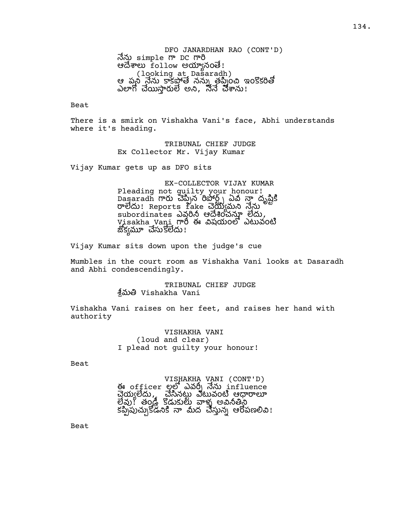DFO JANARDHAN RAO (CONT'D) నేను simple గా DC గారి ఆదేశాలు follow అయ్యానంతె! (looking at Dasaradh) ఆ పని నేను కాకపోతే నను్ తప్పించి ఇంకొకరితో ఎలాగో చేయిస్తారులే అని, నేనే చేశాను!

Beat

There is a smirk on Vishakha Vani's face, Abhi understands where it's heading.

> TRIBUNAL CHIEF JUDGE Ex Collector Mr. Vijay Kumar

Vijay Kumar gets up as DFO sits

EX-COLLECTOR VIJAY KUMAR Pleading not guilty your honour! Dasaradh న ఏ దృ రాలేదు! Reports fake చెయ్యమని నేను  $s$ ubordinates ఎవరినీ ఆదేశించన్నూ లేదు, Visakha Vani గారీ ఈ విషయంలో ఎటువంటి జొక్వమూ చేసుకోలేదు!

Vijay Kumar sits down upon the judge's cue

Mumbles in the court room as Vishakha Vani looks at Dasaradh and Abhi condescendingly.

> TRIBUNAL CHIEF JUDGE శిమతి Vishakha Vani

Vishakha Vani raises on her feet, and raises her hand with authority

> VISHAKHA VANI (loud and clear) I plead not guilty your honour!

Beat

VISHAKHA VANI (CONT'D) ఈ officer లల్లో ఎవర్నీ నేను influence చేయ్యలేదు, చేసినట్టు ఎటువంటి ఆధారాలూ లేవు! తండ్రి కోడుకులు వాళ్ళ అవినీతిస్తే కేప్పేపుచ్చుకోడనికి నా మీద చేస్తున్న ఆరోపణలివి!

Beat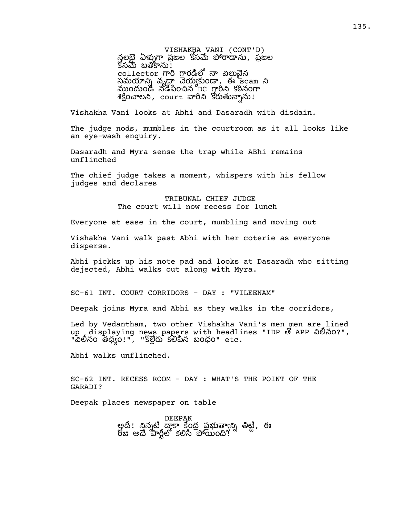VISHAKHA VANI (CONT'D) న్లలభై ఏళ్ళుగా ప్రజల కోసమే పోరాడాను, ప్రజల  $\sim$ కసమే బతికాను $\sim$ collector గారి గారడిలో నా విలువైన సమయాన్ని వృధ్ధా చెయ్యకుండా, ఈ scam ని ముందుండి నడిపించిన DC గ్లారీని కఠినంగా శిక్షించాలని, court వారిని కోరుతున్నాను!

Vishakha Vani looks at Abhi and Dasaradh with disdain.

The judge nods, mumbles in the courtroom as it all looks like an eye-wash enquiry.

Dasaradh and Myra sense the trap while ABhi remains unflinched

The chief judge takes a moment, whispers with his fellow judges and declares

> TRIBUNAL CHIEF JUDGE The court will now recess for lunch

Everyone at ease in the court, mumbling and moving out

Vishakha Vani walk past Abhi with her coterie as everyone disperse.

Abhi pickks up his note pad and looks at Dasaradh who sitting dejected, Abhi walks out along with Myra.

SC-61 INT. COURT CORRIDORS - DAY : "VILEENAM"

Deepak joins Myra and Abhi as they walks in the corridors,

Led by Vedantham, two other Vishakha Vani's men men are lined up displaying news papers with headlines "IDP తో APP చిలీనం?", "విలీనం తధ్యం!", "కొల్లేరు కలిపిన బంధం" etc**.** 

Abhi walks unflinched.

SC-62 INT. RECESS ROOM - DAY : WHAT'S THE POINT OF THE GARADI?

Deepak places newspaper on table

DEEPAK అంది! నిన్నటి దాకా కేంద్ర ప్రభుత్వాన్ని తిట్టి, ఈ రోజు అదే పార్టీలో కలిసి పోయింది!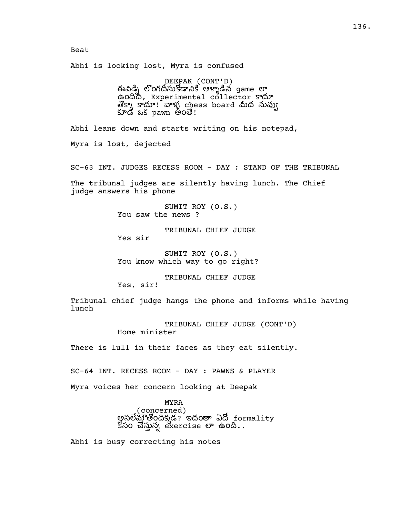### Beat

Abhi is looking lost, Myra is confused

DEEPAK (CONT'D) ఈవిడ్ని లొంగదీసుకోడానికి ఆళ్ళాడిన game లా ఉందిదీ, Experimental collector కాదూ తొక్కా కాదూ! వాళ్ళ chess board మీద నువ్వు<br>కూడ ఒక pawn అంతే!

Abhi leans down and starts writing on his notepad,

Myra is lost, dejected

SC-63 INT. JUDGES RECESS ROOM - DAY : STAND OF THE TRIBUNAL

The tribunal judges are silently having lunch. The Chief judge answers his phone

> SUMIT ROY (O.S.) You saw the news ?

TRIBUNAL CHIEF JUDGE Yes sir

SUMIT ROY (O.S.) You know which way to go right?

TRIBUNAL CHIEF JUDGE Yes, sir!

Tribunal chief judge hangs the phone and informs while having lunch

> TRIBUNAL CHIEF JUDGE (CONT'D) Home minister

There is lull in their faces as they eat silently.

SC-64 INT. RECESS ROOM - DAY : PAWNS & PLAYER

Myra voices her concern looking at Deepak

MYRA

(concerned) అసలేమా్తోందిక్కడ? ఇదంతా ఏదో formality కోసం చేస్తున్న exercise లా ఉంది..

Abhi is busy correcting his notes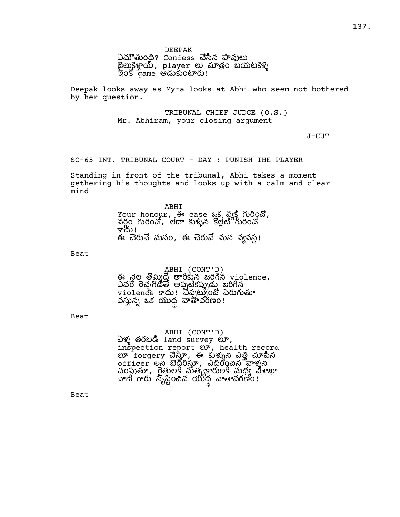ఏమౌతుంది? Confess చేసిన పావులు జైలుకైళ్తాయి, player లు మాత్రం బయటకెళ్ళి ఇంకో game ఆడుకుంటారు!

Deepak looks away as Myra looks at Abhi who seem not bothered by her question.

> TRIBUNAL CHIEF JUDGE (O.S.) Mr. Abhiram, your closing argument

> > J-CUT

SC-65 INT. TRIBUNAL COURT - DAY : PUNISH THE PLAYER

Standing in front of the tribunal, Abhi takes a moment gethering his thoughts and looks up with a calm and clear mind

> ABHI Your honour, ఈ case  $25 \sin^2 6$  గురించో, వర్గం గురించో, లేదా కుళ్ళిన కొల్లేటీ గురించో కాదు! ఈ చెరువే మనం, ఈ చెరువే మన వ్యవస్థ!

Beat

ABHI (CONT'D) ఈ నెల తొమ్మిదో తారీకున జరిగిన  $v$ iolence, ఎవరో రెచ్చగొడితే అపుటికప్పుడు జరిగిన violence కాదు! విప్పట్నంచో పెరుగుతూ వస్తున్న ఒక యుధ్ధ వాతావరణం!

Beat

ABHI (CONT'D)  $\delta$ ళ్ళ తరబడి land survey లూ, inspection report  $ev$ , health record లూ forgery చేస్తూ, ఈ కుళ్ళుని ఎత్తి చూపిన  $\overline{\rm{of}}$ ficer లని బెధ్దరిస్తూ, ఎదిరించిన వాళ్ళని చంపుతూ, రైత్తులకి మత్సకారులకి మధ్య విశాఖా వాణి గారు సృష్టించిన యుధ వాతావరణం!

Beat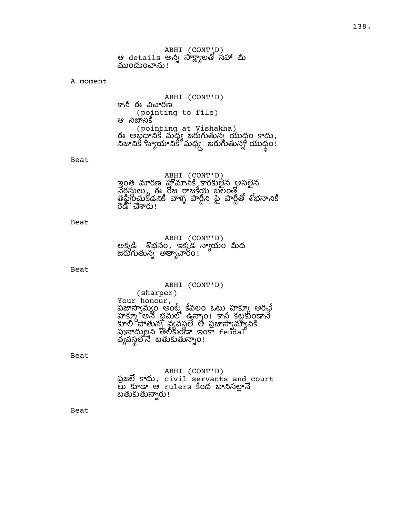ABHI (CONT'D) ఆ details అన్నీ సాక్ష్యాలతో సహా మీ ముందుంచాను!

#### A moment

ABHI (CONT'D) కానీ ఈ విచారణ (pointing to file) ಆ ನಿಜ್**ನಿ**ಕೆ (pointing at Vishakha) ఈ అబ్ధధానికి మధ్య జరుగుతున్న యుధం కాదు, నిజానికి 'స్యాయానికీ' మధ్య - జరుగుతున్న<sup>6</sup> యుధం!

#### Beat

ABHI (CONT'D) ఇంత మారణ హోమానికి కారకులైన అసలైన నేర్దస్థులు, ఈ రోజు రాజకీయ బలంతో  $\sim$ తపించుకోడనికి వాళ్ళ పారిని పె పారీతో శోబనానికి రెడ్ చేశారు !

## Beat

ABHI (CONT'D) అక్కడి శొభనం, ఇక్కడ న్యాయం మీద జరుగుతున్న అత్యాచారం!

Beat

ABHI (CONT'D) (sharper) Your honour, పజాసాఁమఁ౦ అంటే కేవల౦ ఓటు హకూు అరిచే హక్కు అనే భ్రమలో ఉన్నాం! కానీ కట్టకుండానే కూలి 'పోతున్ వ్యవల్' తి పజాసామానికి పునాదులని తెలికుండా ఇంకా feudal వ్యవస్థలోనే బతుకుతున్నాం!

Beat

ABHI (CONT'D) ప్రజలే కాదు, civil servants and court లు కూడా ఆ rulers కింద బానిసల్లానే బతుకుతున్నారు!

Beat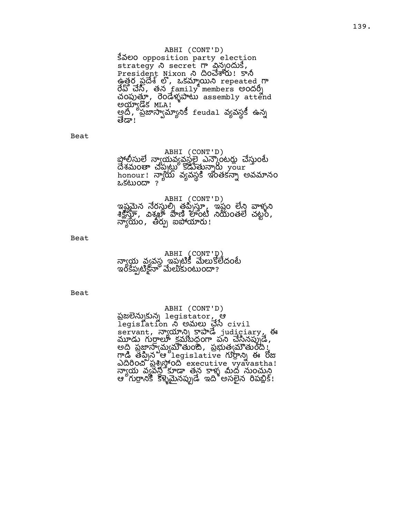ABHI (CONT'D) Sãeo opposition party election strategy  $\lambda$  secret m adjocus, President Nixon & Qod&W! 5 \$ ఉ త ర ప , ఒ క r e p e a t e d రేప్ చేసి, తన  $\pm$ amily members అందర్శి చంపుత్తూ, రెండేళ్ళపాటు assembly attend అయ్యాడిక MLA! అది, ప్రజాస్వామ్యానికీ feudal వ్యవస్థకీ ఉన్న ತಹ್'

Beat

## ABHI (CONT'D)

పోలీసులే నాఁయవఁవసలే ఎన్బౌంటరు చేసుంటే దేశమంతా చప్పట్లు కోడుత్తున్నారు your h o n o u r ! య వ వ స ఇ ం త క అ వ న ం ఒ క ం ?

## ABHI (CONT'D)

ఇష్టమైన నేరస్థుల్స్ తప్పిస్తూ, ఇష్టం లేని వాళ్ళని  $\delta$  ,  $\frac{1}{2}$ ,  $\frac{1}{2}$ ,  $\frac{1}{2}$ ,  $\frac{1}{2}$ ,  $\frac{1}{2}$ ,  $\frac{1}{2}$ ,  $\frac{1}{2}$ ,  $\frac{1}{2}$ ,  $\frac{1}{2}$ ,  $\frac{1}{2}$ ,  $\frac{1}{2}$ ,  $\frac{1}{2}$ ,  $\frac{1}{2}$ ,  $\frac{1}{2}$ ,  $\frac{1}{2}$ ,  $\frac{1}{2}$ ,  $\frac{1}{2}$ ,  $\frac{1}{2}$ ,  $\frac{1}{2}$ ,  $\frac{$ న్యాయేం, తీర్పు ఐపోయారు!

Beat

|  | ABHI (CONT'D)<br>న్యాయ వ్యవస్థ ఇప్పటికీ మేలుకోలేదంటే<br>ఇంకేప్పటికైనా మేలుకుంటుందా? |
|--|-------------------------------------------------------------------------------------|
|  |                                                                                     |

Beat

## ABHI (CONT'D) ప్రజలెన్నుకున్న legistator, ఆ legislation న అమలు చేసే civil servant, న్యాయాన్ని కాపాడే judiciary, ఈ మూడు గుర్రాలు క్రమబదంగా పని చేసినప్పుడే, అ ప మ ం , ప త ం ! గాడి తప్పిన ఆ legislative గుర్రాన్ని ఈ రోజు addom gangod executive vyavastha! య వ వ స త న ళ ద ం .<br>ఆ గుర్రానికి కళ్ళమైనప్పుడే ఇది అసలైన రిపబ్లిక్!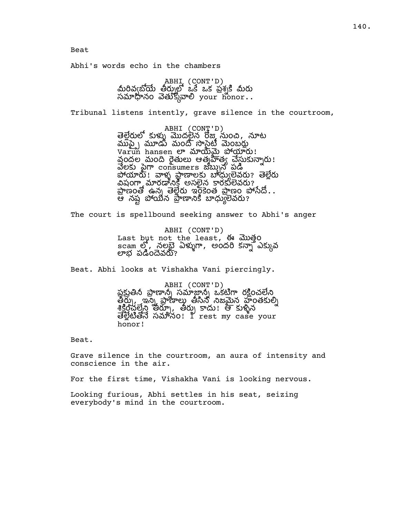Abhi's words echo in the chambers

ABHI (CONT'D)<br>మీరివ్వబోయే తీర్నులో ఒకే ఒక ప్రశ్నకి మీరు సమాధానం వెతుక్కోవాలి  $\gamma$ our honor..

Tribunal listens intently, grave silence in the courtroom,

ABHI (CONT'D) తెల్లేరులో కుళ్ళు మొదలైన రోజు నుంచి, నూట ముప్పే మూడు మంది సొసెటీ మెంబరు  $\mathtt{Varun}$  hansen లా మాయిమై పోయారు! వందల మంది రైతులు ఆత్మహిత్య చేస్తుకున్నారు! వేలకు పైగా consumers జబ్బున పడి పోయారు! వాళ్ళ ప్రాణాలకు బాధ్యులేవరు? తెల్లేరు విషంగ్హా మారడానికి అసలైన కారకులేవరు?  $\frac{1}{2}$ ణంతో ఉన్న తెల్లేరు ఇంకేంత ప్రాణం పోసేదో... ఆ నష్ట పోయేన ప్రాణానికి బాధ్యులేవరు?

The court is spellbound seeking answer to Abhi's anger

ABHI (CONT'D) Last but not the least, ఈ మొత్తo scam లో, నలభై ఏళ్ళుగా, అందరి కన్నా ఎక్కువ లాభ పడిందెవరూ?

Beat. Abhi looks at Vishakha Vani piercingly.

ABHI (CONT'D) పకుతిని పాణాన్ని సమాజాన్ని ఒకటిగా రకించలేని తీర్ప, ఇన్న ప్రాణాలు తీసిన నిజమైన హంతకుల్ని  $\frac{1}{2}$  ,  $\frac{1}{2}$  ,  $\frac{1}{2}$  ,  $\frac{1}{2}$  ,  $\frac{1}{2}$  ,  $\frac{1}{2}$  ,  $\frac{1}{2}$  ,  $\frac{1}{2}$  ,  $\frac{1}{2}$  ,  $\frac{1}{2}$  ,  $\frac{1}{2}$  ,  $\frac{1}{2}$  ,  $\frac{1}{2}$  ,  $\frac{1}{2}$  ,  $\frac{1}{2}$  ,  $\frac{1}{2}$  ,  $\frac{1}{2}$  ,  $\frac{1}{2}$  ,  $\frac{$  సనం! I rest my case your honor!

Beat.

Grave silence in the courtroom, an aura of intensity and conscience in the air.

For the first time, Vishakha Vani is looking nervous.

Looking furious, Abhi settles in his seat, seizing everybody's mind in the courtroom.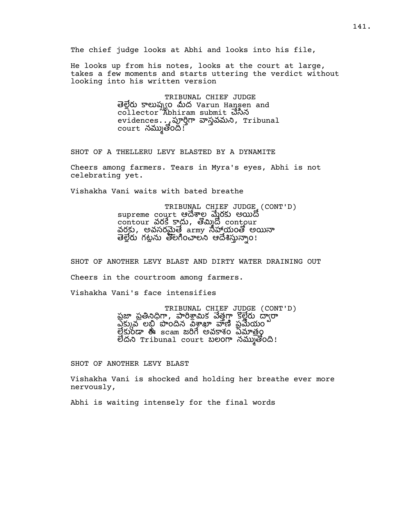The chief judge looks at Abhi and looks into his file,

He looks up from his notes, looks at the court at large, takes a few moments and starts uttering the verdict without looking into his written version

> TRIBUNAL CHIEF JUDGE తెల్లెరు కాలుష్చ్యం మీద Varun Hansen and collector Abhiram submit చేసిన evidences... స్టూర్తిగా వాస్తవమని, Tribunal  $\overline{\text{court}}$  నమ్ముతోంది. $\overline{\text{f}}$

SHOT OF A THELLERU LEVY BLASTED BY A DYNAMITE

Cheers among farmers. Tears in Myra's eyes, Abhi is not celebrating yet.

Vishakha Vani waits with bated breathe

TRIBUNAL CHIEF JUDGE (CONT'D) supreme court ఆదేశాల మేరకు అయిదో contour వరకే కాదు, తొమ్మిదో contour వరకు, అవసరమైతే army సహాయంతో అయినా తెల్లేరు గట్టను తొలగించాలని ఆదేశిస్తున్నాం!

SHOT OF ANOTHER LEVY BLAST AND DIRTY WATER DRAINING OUT Cheers in the courtroom among farmers.

Vishakha Vani's face intensifies

TRIBUNAL CHIEF JUDGE (CONT'D) ప్రజా ప్రతినిధిగా, పారిశ్రామిక వేత్తగా కొల్లేరు ద్వారా వేక్కువ లభి పొందిన వశాఖా వాణి ప్రమేయం త్రకుండా ఈ scam జరిగే అవకాశం ఏమాత్రం లేదని Tribunal court బలంగా నమ్ముతోంది!

SHOT OF ANOTHER LEVY BLAST

Vishakha Vani is shocked and holding her breathe ever more nervously,

Abhi is waiting intensely for the final words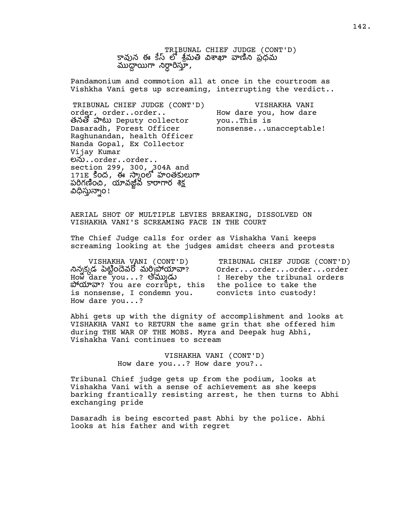TRIBUNAL CHIEF JUDGE (CONT'D) కావున ఈ కేస్లో శ్రీమతి విశాఖా వాణిని ప్రధమ ముద్దాయిగా నిర్ధారిస్తూ,

Pandamonium and commotion all at once in the courtroom as Vishkha Vani gets up screaming, interrupting the verdict..

TRIBUNAL CHIEF JUDGE (CONT'D) order, order..order.. తనతో పాటు Deputy collector Dasaradh, Forest Officer Raghunandan, health Officer Nanda Gopal, Ex Collector Vijay Kumar లను..order..order.. section 299, 300, 304A and 171E కింద, ఈ స్కాంలో హంతకులుగా పరిగణించి, యావజ్జీవ కారాగార శిక్ష విధిస్తున్నాం!

VISHAKHA VANI How dare you, how dare you..This is nonsense...unacceptable!

AERIAL SHOT OF MULTIPLE LEVIES BREAKING, DISSOLVED ON VISHAKHA VANI'S SCREAMING FACE IN THE COURT

The Chief Judge calls for order as Vishakha Vani keeps screaming looking at the judges amidst cheers and protests

VISHAKHA VANI (CONT'D) నిన్నడ పెట్టిందేవరో మర్చిపోయావా? How dare you...? అ ard are corrupt, this the police to take the is nonsense, I condemn you. How dare you...?

TRIBUNAL CHIEF JUDGE (CONT'D) Order...order...order...order ! Hereby the tribunal orders convicts into custody!

Abhi gets up with the dignity of accomplishment and looks at VISHAKHA VANI to RETURN the same grin that she offered him during THE WAR OF THE MOBS. Myra and Deepak hug Abhi, Vishakha Vani continues to scream

> VISHAKHA VANI (CONT'D) How dare you...? How dare you?..

Tribunal Chief judge gets up from the podium, looks at Vishakha Vani with a sense of achievement as she keeps barking frantically resisting arrest, he then turns to Abhi exchanging pride

Dasaradh is being escorted past Abhi by the police. Abhi looks at his father and with regret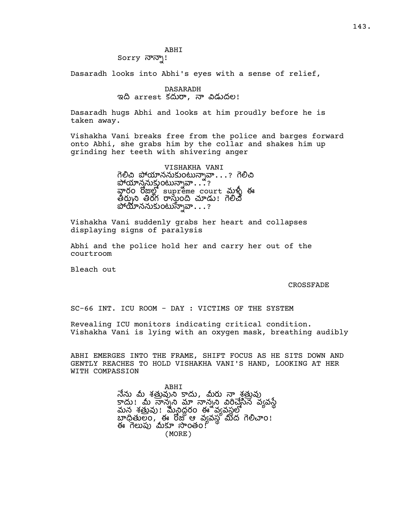### ABHI Sorry నాన్నా!

Dasaradh looks into Abhi's eyes with a sense of relief,

## DASARADH ఇది arrest కదురా, నా విడుదల!

Dasaradh hugs Abhi and looks at him proudly before he is taken away.

Vishakha Vani breaks free from the police and barges forward onto Abhi, she grabs him by the collar and shakes him up grinding her teeth with shivering anger

> VISHAKHA VANI గెల్లీచి ప్రోయ్రాననుకుంటున్నావా...? గెలిచి పోయాన్తనుక్తుంటున్నావా...?? రాం రోజుల్లో supreme court మళ్ళీ ఈ తీర్పుని తిరోగ రాస్తుంది చూడు! గెలిచే పోయాననుకుంటున్నావా. . . ?

Vishakha Vani suddenly grabs her heart and collapses displaying signs of paralysis

Abhi and the police hold her and carry her out of the courtroom

Bleach out

#### CROSSFADE

SC-66 INT. ICU ROOM - DAY : VICTIMS OF THE SYSTEM

Revealing ICU monitors indicating critical condition. Vishakha Vani is lying with an oxygen mask, breathing audibly

ABHI EMERGES INTO THE FRAME, SHIFT FOCUS AS HE SITS DOWN AND GENTLY REACHES TO HOLD VISHAKHA VANI'S HAND, LOOKING AT HER WITH COMPASSION

> ABHI నేను మీ శత్రువుని కాదు, మీరు నా శ్రత్రువు ! న న న వవ మన శత్రమ మేనిద్దం ఈ వ్యవస్థలో బాధితులం, ఈ రోజు ఆ వ్యవస్థ మీద గెలిచాం! ఈ గెలుపు మీకూ సొంతం! (MORE)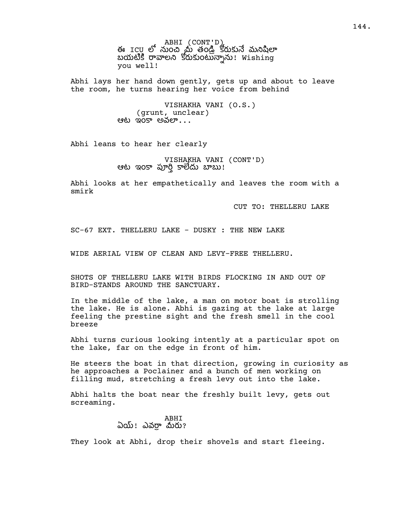ABHI (CONT'D)<br>ఈ ICU లో నుంచి మ తండ్రి కరుకునే మనిషిలా బయటికి రావాలని కోరుకుంటున్నాను! Wishing you well!

Abhi lays her hand down gently, gets up and about to leave the room, he turns hearing her voice from behind

> VISHAKHA VANI (O.S.) (grunt, unclear) ఆట $\alpha$  ఇంకా అవలా $\ldots$

Abhi leans to hear her clearly

VISHAKHA VANI (CONT'D) ఆట ఇంకా పూర్తి కాలేదు బాబు!

Abhi looks at her empathetically and leaves the room with a smirk

CUT TO: THELLERU LAKE

SC-67 EXT. THELLERU LAKE - DUSKY : THE NEW LAKE

WIDE AERIAL VIEW OF CLEAN AND LEVY-FREE THELLERU.

SHOTS OF THELLERU LAKE WITH BIRDS FLOCKING IN AND OUT OF BIRD-STANDS AROUND THE SANCTUARY.

In the middle of the lake, a man on motor boat is strolling the lake. He is alone. Abhi is gazing at the lake at large feeling the prestine sight and the fresh smell in the cool breeze

Abhi turns curious looking intently at a particular spot on the lake, far on the edge in front of him.

He steers the boat in that direction, growing in curiosity as he approaches a Poclainer and a bunch of men working on filling mud, stretching a fresh levy out into the lake.

Abhi halts the boat near the freshly built levy, gets out screaming.

> ABHI ఏయ్! ఎవరా మీరు?

They look at Abhi, drop their shovels and start fleeing.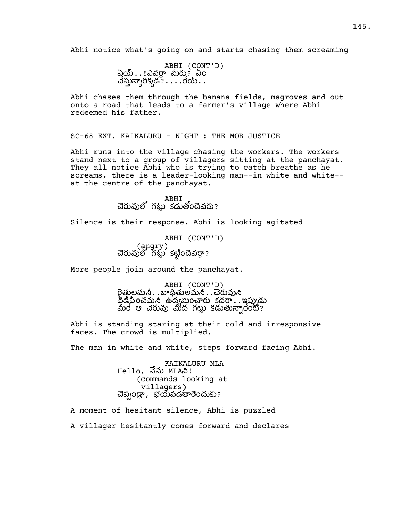Abhi notice what's going on and starts chasing them screaming

ABHI (CONT'D)  $\partial \tilde{\omega}$ ..!ఎవర్గా మీరు? ఏం  $\vec{a}$ స్మన్నారిక్కడ? $\ldots$ ...రేయ్...

Abhi chases them through the banana fields, magroves and out onto a road that leads to a farmer's village where Abhi redeemed his father.

SC-68 EXT. KAIKALURU - NIGHT : THE MOB JUSTICE

Abhi runs into the village chasing the workers. The workers stand next to a group of villagers sitting at the panchayat. They all notice Abhi who is trying to catch breathe as he screams, there is a leader-looking man--in white and white- at the centre of the panchayat.

> ABHI చెరువులో గటు కడుతోందెవరు?

Silence is their response. Abhi is looking agitated

ABHI (CONT'D) ్ర (angry )<br>చెరువులో గట్లు కట్టిందెవర్రా?

More people join around the panchayat.

ABHI (CONT'D) రైత్తులమనీ. . బాధితులమనీ. . చెరువుని వీడిపించమనీ ఉద్యమించారు కదరా $\ldots$ ఇప్పుడు మీరే ఆ చెరువు మీద గట్లు కడుతున్నారేంటి?

Abhi is standing staring at their cold and irresponsive faces. The crowd is multiplied,

The man in white and white, steps forward facing Abhi.

KAIKALURU MLA Hello, నేను MLAని! (commands looking at villagers) చెప్పండ్రా, భయపడతారెందుకు?

A moment of hesitant silence, Abhi is puzzled A villager hesitantly comes forward and declares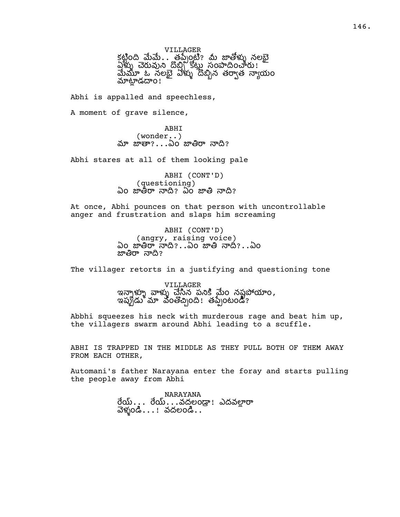VILLAGER కట్టింది మేమే . . . తప్పేంటి? మీ జాతోళ్ళు నలభై  $\Delta$ ళ్ళు చెరువుని దొబ్బి కోట్లు సంపాదించారు! మేమూ ఓ నలబె ఏళ్ళు దొబ్బిన తరా్త నాయం మాట్లాడదాం!

Abhi is appalled and speechless,

A moment of grave silence,

ABHI (wonder..) మా జాతా $? \dots$ ఏం జాతిరా నాది?

Abhi stares at all of them looking pale

ABHI (CONT'D) (questioning) ఏం జాతీరా నాది? ఏం జాతి నాది?

At once, Abhi pounces on that person with uncontrollable anger and frustration and slaps him screaming

> ABHI (CONT'D) (angry, raising voice) ఏం జాతిరా నాది?..ఏం జాతి నాది?..ఏం జాతిరా నాది?

The villager retorts in a justifying and questioning tone

VILLAGER ఇన్నాళ్ళూ వాళ్ళు చ్లేసిన పనికి మేo నష్టపోయాo, ఇప్పుడు మా వంతొచ్చింది! తప్పేంటండి?

Abbhi squeezes his neck with murderous rage and beat him up, the villagers swarm around Abhi leading to a scuffle.

ABHI IS TRAPPED IN THE MIDDLE AS THEY PULL BOTH OF THEM AWAY FROM EACH OTHER,

Automani's father Narayana enter the foray and starts pulling the people away from Abhi

> NARAYANA రేయ్...రేయ్...వదలండా! ఎదవలారా వెళ్ళండి $\dots$ ! వదలండి $\dots$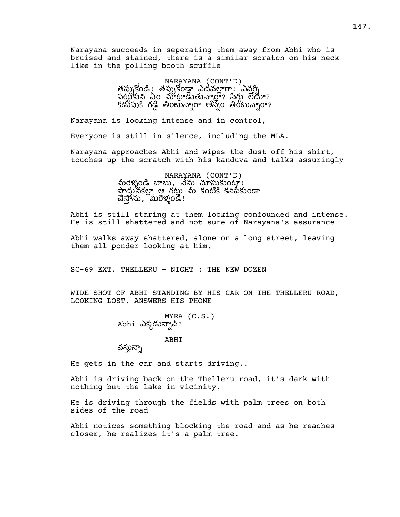Narayana succeeds in seperating them away from Abhi who is bruised and stained, there is a similar scratch on his neck like in the polling booth scuffle

> NARAYANA (CONT'D) తప్పుకోండి! తప్పుకోండ్ ఎదవల్లారా! ఎవర్ని పట్టుకున్న ఏం మాట్లాడుతున్నార్థా? సిగ్గు లేదూ? కడుపుకి గడ్డి తింటున్నారా అన్నం తింటున్నారా?

Narayana is looking intense and in control,

Everyone is still in silence, including the MLA.

Narayana approaches Abhi and wipes the dust off his shirt, touches up the scratch with his kanduva and talks assuringly

> NARAYANA (CONT'D)<br>.మీరెళ్ళండి బాబు, నేను చూస్తుకుంటా నా దూరంలో ఆ గటు మీ కంటికి కనిపికుండా చేస్తాను, నురేళ్ళండి!

Abhi is still staring at them looking confounded and intense. He is still shattered and not sure of Narayana's assurance

Abhi walks away shattered, alone on a long street, leaving them all ponder looking at him.

SC-69 EXT. THELLERU - NIGHT : THE NEW DOZEN

WIDE SHOT OF ABHI STANDING BY HIS CAR ON THE THELLERU ROAD, LOOKING LOST, ANSWERS HIS PHONE

> MYRA (O.S.) Abhi ఎక్కడున్నావ్?

> > ABHI

వస్తున్నా

He gets in the car and starts driving..

Abhi is driving back on the Thelleru road, it's dark with nothing but the lake in vicinity.

He is driving through the fields with palm trees on both sides of the road

Abhi notices something blocking the road and as he reaches closer, he realizes it's a palm tree.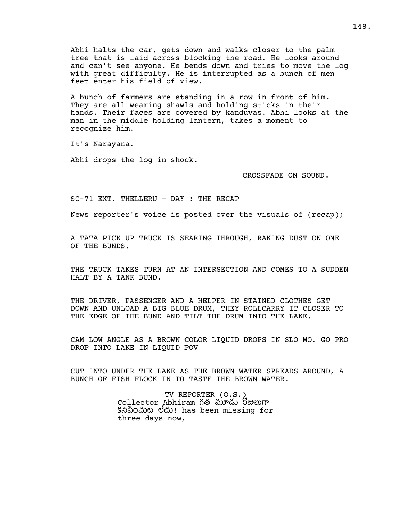Abhi halts the car, gets down and walks closer to the palm tree that is laid across blocking the road. He looks around and can't see anyone. He bends down and tries to move the log with great difficulty. He is interrupted as a bunch of men feet enter his field of view.

A bunch of farmers are standing in a row in front of him. They are all wearing shawls and holding sticks in their hands. Their faces are covered by kanduvas. Abhi looks at the man in the middle holding lantern, takes a moment to recognize him.

It's Narayana.

Abhi drops the log in shock.

CROSSFADE ON SOUND.

SC-71 EXT. THELLERU - DAY : THE RECAP

News reporter's voice is posted over the visuals of (recap);

A TATA PICK UP TRUCK IS SEARING THROUGH, RAKING DUST ON ONE OF THE BUNDS.

THE TRUCK TAKES TURN AT AN INTERSECTION AND COMES TO A SUDDEN HALT BY A TANK BUND.

THE DRIVER, PASSENGER AND A HELPER IN STAINED CLOTHES GET DOWN AND UNLOAD A BIG BLUE DRUM, THEY ROLLCARRY IT CLOSER TO THE EDGE OF THE BUND AND TILT THE DRUM INTO THE LAKE.

CAM LOW ANGLE AS A BROWN COLOR LIQUID DROPS IN SLO MO. GO PRO DROP INTO LAKE IN LIQUID POV

CUT INTO UNDER THE LAKE AS THE BROWN WATER SPREADS AROUND, A BUNCH OF FISH FLOCK IN TO TASTE THE BROWN WATER.

> TV REPORTER (O.S.) Collector Abhiram గత మూడు రోజులుగా కంట ! has been missing for three days now,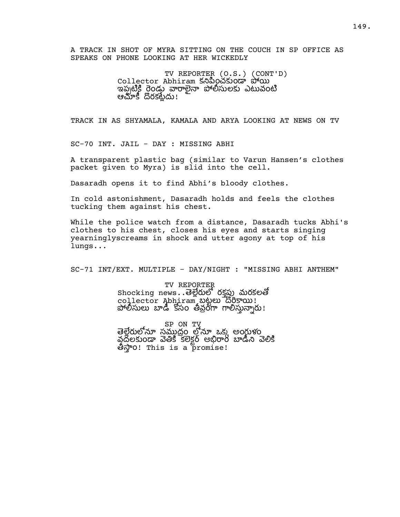A TRACK IN SHOT OF MYRA SITTING ON THE COUCH IN SP OFFICE AS SPEAKS ON PHONE LOOKING AT HER WICKEDLY

> TV REPORTER (O.S.) (CONT'D) Collector Abhiram కనిపించకుండా పోయి ఇప్పటికి రెండు వారాలెనా పోలీసులకు ఎటువంటి ఆచూకీ దొరకట్లేదు!

TRACK IN AS SHYAMALA, KAMALA AND ARYA LOOKING AT NEWS ON TV

SC-70 INT. JAIL - DAY : MISSING ABHI

A transparent plastic bag (similar to Varun Hansen's clothes packet given to Myra) is slid into the cell.

Dasaradh opens it to find Abhi's bloody clothes.

In cold astonishment, Dasaradh holds and feels the clothes tucking them against his chest.

While the police watch from a distance, Dasaradh tucks Abhi's clothes to his chest, closes his eyes and starts singing yearninglyscreams in shock and utter agony at top of his lungs...

SC-71 INT/EXT. MULTIPLE - DAY/NIGHT : "MISSING ABHI ANTHEM"

TV REPORTER  $\texttt{Shocking}\ \textsf{news}\ \textsf{.}$  తెల్లేరులో రక్తస్తు మరకలతో collector Abhiram బట్టలు దొరకాయి! పోలీసులు బాడీ కోసం తీవ్రంగా గాలిస్తున్నారు!

sp on tv<br>తెలేరులోనూ సముదం లోనూ ఒకు అంగుళం వదలకుండా వెతికి కలెకర్ అబిరాం బాడీని వెలికి ం! This is a promise!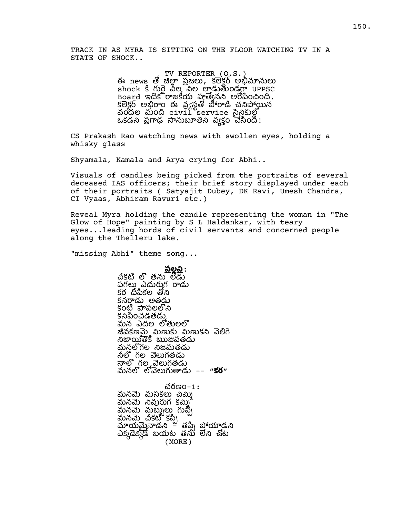TRACK IN AS MYRA IS SITTING ON THE FLOOR WATCHING TV IN A STATE OF SHOCK..

> TV REPORTER (O.S.) ఈ news తో జిల్లా ప్రజలు, కలెక్టర్ అభిమానులు shock కి గురై వీల పైల లాడుతుండగా UPPSC Board ఇదొక<sup>ి</sup>రాజకీయ హత్యేనని అరోపించింది. - కలెకర్ అబిరాం ఈ వ్యత పౌరాడి చనిపోయిన <u>ဆဝိုဝို့ပဲ သူဝတို့ civil service သူဝိုလ်</u>ပို့ ఒకడని ప్రగాఢ సానుబూతిని వ్యక్తం చెసింది!

CS Prakash Rao watching news with swollen eyes, holding a whisky glass

Shyamala, Kamala and Arya crying for Abhi..

Visuals of candles being picked from the portraits of several deceased IAS officers; their brief story displayed under each of their portraits ( Satyajit Dubey, DK Ravi, Umesh Chandra, CI Vyaas, Abhiram Ravuri etc.)

Reveal Myra holding the candle representing the woman in "The Glow of Hope" painting by S L Haldankar, with teary eyes...leading hords of civil servants and concerned people along the Thelleru lake.

"missing Abhi" theme song...

<u>పల్లవి</u> : చికటి లొ తను లేడు పగలు ఎదురుగ రాడు కర దీపికల తోని కనరాడు అతడు కంటి పాపలలోని కనిపించడతడు.

మన ఎదల ల జీవకణమై మిణుకు మిణుకని వెలిగె నిజాయితేకి ఋజవతడు మనలోగల నిజమతడు నీలో గల వెలుగతడు నాలో గల వెలుగతడు మనలో లోవెలుగుతాడు –– "**కర**"

చరణం–1**:**<br>మనమె మసకలు చిమ్మి మనమే నివురుగ కమ్మి<br>మనమె మబ్బులు గుప్పీ<br>మనమె చీకటి కప్పి<br>మాయమైనాడని – తప్పి పోయాడని ఎక్కడేక్కడే బయట తను లేని చోట (MORE)